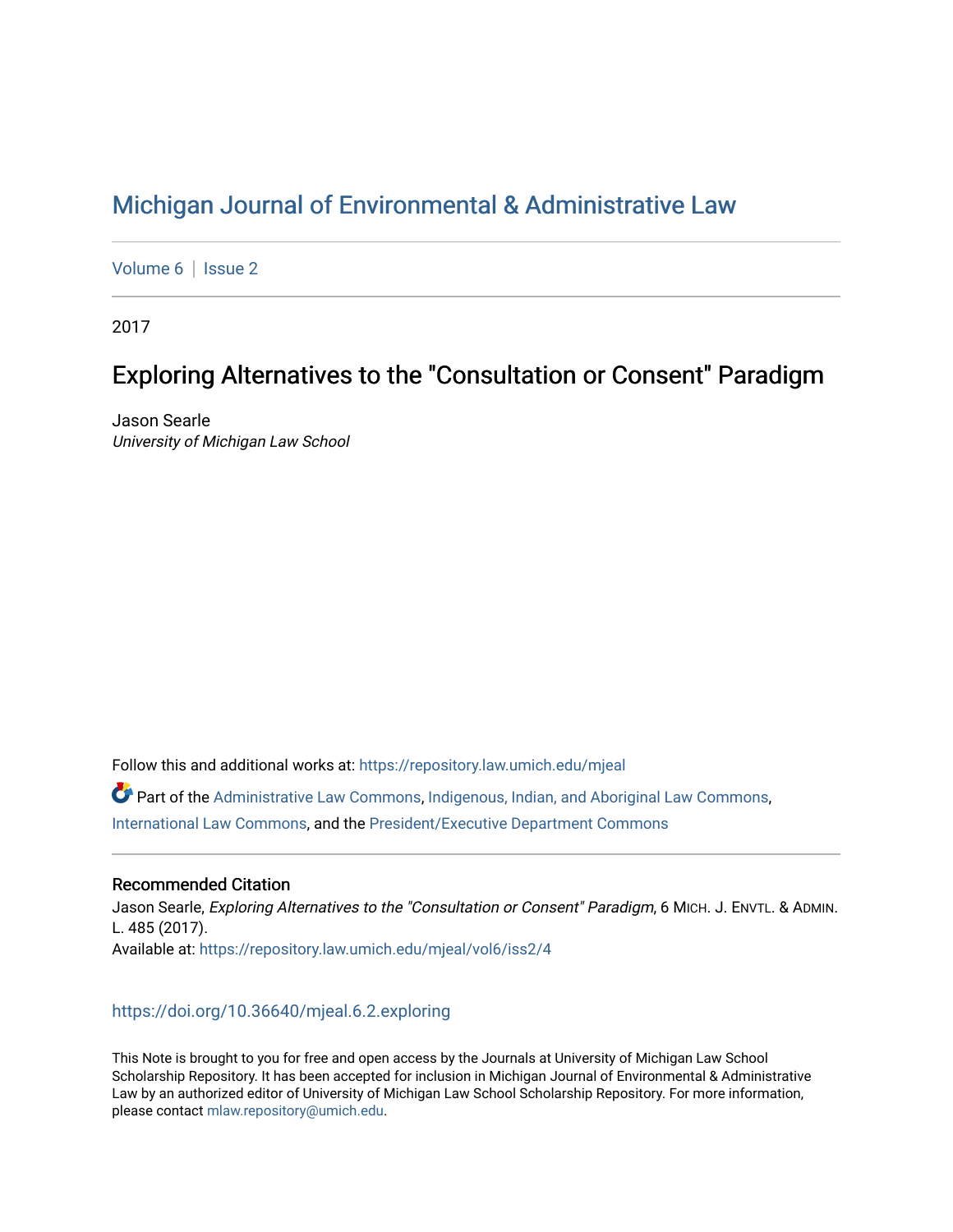# [Michigan Journal of Environmental & Administrative Law](https://repository.law.umich.edu/mjeal)

[Volume 6](https://repository.law.umich.edu/mjeal/vol6) | Issue 2

2017

# Exploring Alternatives to the "Consultation or Consent" Paradigm

Jason Searle University of Michigan Law School

Follow this and additional works at: [https://repository.law.umich.edu/mjeal](https://repository.law.umich.edu/mjeal?utm_source=repository.law.umich.edu%2Fmjeal%2Fvol6%2Fiss2%2F4&utm_medium=PDF&utm_campaign=PDFCoverPages)

 $\bullet$  Part of the [Administrative Law Commons,](http://network.bepress.com/hgg/discipline/579?utm_source=repository.law.umich.edu%2Fmjeal%2Fvol6%2Fiss2%2F4&utm_medium=PDF&utm_campaign=PDFCoverPages) [Indigenous, Indian, and Aboriginal Law Commons,](http://network.bepress.com/hgg/discipline/894?utm_source=repository.law.umich.edu%2Fmjeal%2Fvol6%2Fiss2%2F4&utm_medium=PDF&utm_campaign=PDFCoverPages) [International Law Commons](http://network.bepress.com/hgg/discipline/609?utm_source=repository.law.umich.edu%2Fmjeal%2Fvol6%2Fiss2%2F4&utm_medium=PDF&utm_campaign=PDFCoverPages), and the [President/Executive Department Commons](http://network.bepress.com/hgg/discipline/1118?utm_source=repository.law.umich.edu%2Fmjeal%2Fvol6%2Fiss2%2F4&utm_medium=PDF&utm_campaign=PDFCoverPages) 

# Recommended Citation

Jason Searle, Exploring Alternatives to the "Consultation or Consent" Paradigm, 6 MICH. J. ENVTL. & ADMIN. L. 485 (2017). Available at: [https://repository.law.umich.edu/mjeal/vol6/iss2/4](https://repository.law.umich.edu/mjeal/vol6/iss2/4?utm_source=repository.law.umich.edu%2Fmjeal%2Fvol6%2Fiss2%2F4&utm_medium=PDF&utm_campaign=PDFCoverPages)

# <https://doi.org/10.36640/mjeal.6.2.exploring>

This Note is brought to you for free and open access by the Journals at University of Michigan Law School Scholarship Repository. It has been accepted for inclusion in Michigan Journal of Environmental & Administrative Law by an authorized editor of University of Michigan Law School Scholarship Repository. For more information, please contact [mlaw.repository@umich.edu.](mailto:mlaw.repository@umich.edu)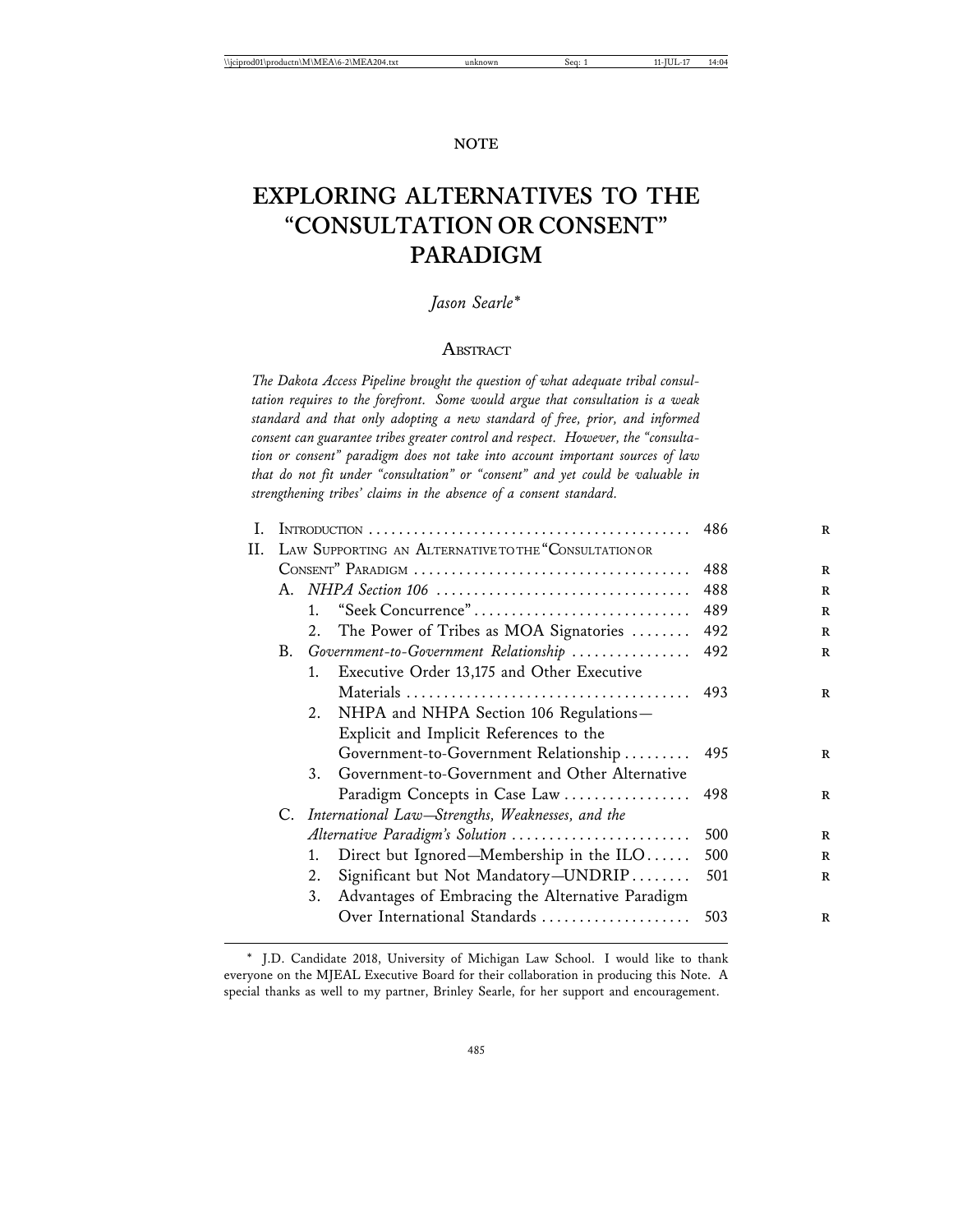#### **NOTE**

# **EXPLORING ALTERNATIVES TO THE "CONSULTATION OR CONSENT" PARADIGM**

# *Jason Searle\**

## **ABSTRACT**

*The Dakota Access Pipeline brought the question of what adequate tribal consultation requires to the forefront. Some would argue that consultation is a weak standard and that only adopting a new standard of free, prior, and informed consent can guarantee tribes greater control and respect. However, the "consultation or consent" paradigm does not take into account important sources of law that do not fit under "consultation" or "consent" and yet could be valuable in strengthening tribes' claims in the absence of a consent standard.*

| I. |                                                       | 486                                              |     |
|----|-------------------------------------------------------|--------------------------------------------------|-----|
| Н. | LAW SUPPORTING AN ALTERNATIVE TO THE "CONSULTATION OR |                                                  |     |
|    |                                                       | 488                                              |     |
|    |                                                       | 488                                              |     |
|    | 1.                                                    | "Seek Concurrence"                               | 489 |
|    |                                                       | 2. The Power of Tribes as MOA Signatories        | 492 |
|    |                                                       | B. Government-to-Government Relationship         | 492 |
|    | 1.                                                    | Executive Order 13,175 and Other Executive       |     |
|    |                                                       |                                                  |     |
|    | 2.                                                    | NHPA and NHPA Section 106 Regulations-           |     |
|    |                                                       | Explicit and Implicit References to the          |     |
|    |                                                       | Government-to-Government Relationship            | 495 |
|    | 3.                                                    | Government-to-Government and Other Alternative   |     |
|    |                                                       | Paradigm Concepts in Case Law                    | 498 |
|    | C. International Law–Strengths, Weaknesses, and the   |                                                  |     |
|    |                                                       | Alternative Paradigm's Solution                  | 500 |
|    | 1.                                                    | Direct but Ignored-Membership in the ILO         | 500 |
|    | 2.                                                    | Significant but Not Mandatory-UNDRIP             | 501 |
|    | 3.                                                    | Advantages of Embracing the Alternative Paradigm |     |
|    |                                                       | Over International Standards                     | 503 |

<sup>\*</sup> J.D. Candidate 2018, University of Michigan Law School. I would like to thank everyone on the MJEAL Executive Board for their collaboration in producing this Note. A special thanks as well to my partner, Brinley Searle, for her support and encouragement.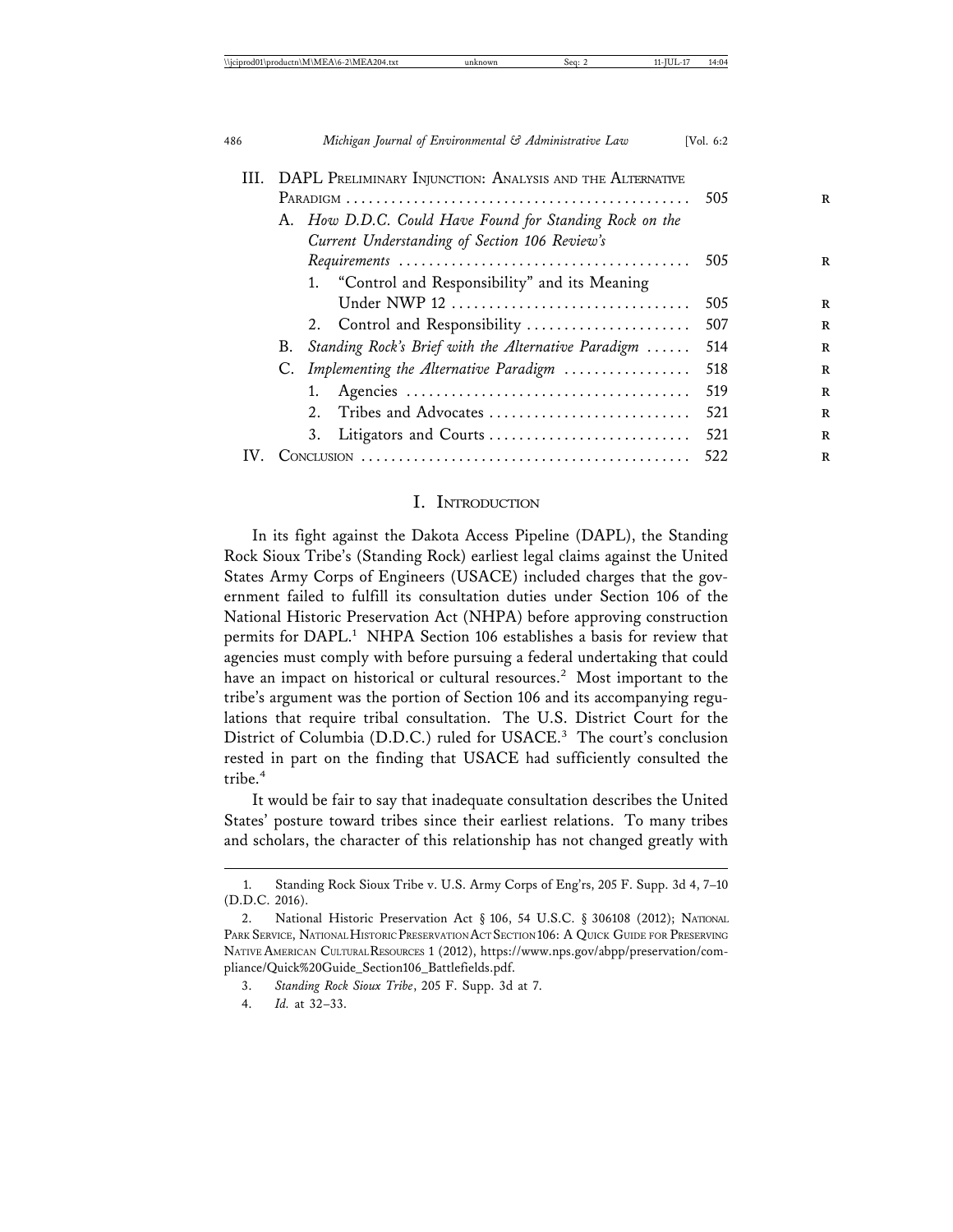| III. DAPL PRELIMINARY INJUNCTION: ANALYSIS AND THE ALTERNATIVE |                                             |                                                      |                                                 |     |
|----------------------------------------------------------------|---------------------------------------------|------------------------------------------------------|-------------------------------------------------|-----|
|                                                                |                                             |                                                      | 505                                             |     |
|                                                                | А.                                          | How D.D.C. Could Have Found for Standing Rock on the |                                                 |     |
|                                                                |                                             | Current Understanding of Section 106 Review's        |                                                 |     |
|                                                                |                                             |                                                      | 505                                             |     |
|                                                                |                                             |                                                      | 1. "Control and Responsibility" and its Meaning |     |
|                                                                |                                             |                                                      | Under NWP 12                                    | 505 |
|                                                                |                                             |                                                      | 2. Control and Responsibility                   | 507 |
|                                                                | B.                                          | Standing Rock's Brief with the Alternative Paradigm  |                                                 | 514 |
|                                                                | Implementing the Alternative Paradigm<br>C. |                                                      | 518                                             |     |
|                                                                |                                             | 1.                                                   |                                                 | 519 |
|                                                                |                                             | 2.                                                   | Tribes and Advocates                            | 521 |
|                                                                |                                             | 3.                                                   | Litigators and Courts                           | 521 |
|                                                                |                                             |                                                      |                                                 | 522 |
|                                                                |                                             |                                                      |                                                 |     |

## I. INTRODUCTION

In its fight against the Dakota Access Pipeline (DAPL), the Standing Rock Sioux Tribe's (Standing Rock) earliest legal claims against the United States Army Corps of Engineers (USACE) included charges that the government failed to fulfill its consultation duties under Section 106 of the National Historic Preservation Act (NHPA) before approving construction permits for DAPL.<sup>1</sup> NHPA Section 106 establishes a basis for review that agencies must comply with before pursuing a federal undertaking that could have an impact on historical or cultural resources.<sup>2</sup> Most important to the tribe's argument was the portion of Section 106 and its accompanying regulations that require tribal consultation. The U.S. District Court for the District of Columbia (D.D.C.) ruled for USACE.<sup>3</sup> The court's conclusion rested in part on the finding that USACE had sufficiently consulted the tribe.<sup>4</sup>

It would be fair to say that inadequate consultation describes the United States' posture toward tribes since their earliest relations. To many tribes and scholars, the character of this relationship has not changed greatly with

<sup>1.</sup> Standing Rock Sioux Tribe v. U.S. Army Corps of Eng'rs, 205 F. Supp. 3d 4, 7–10 (D.D.C. 2016).

<sup>2.</sup> National Historic Preservation Act § 106, 54 U.S.C. § 306108 (2012); NATIONAL PARK SERVICE, NATIONAL HISTORIC PRESERVATION ACT SECTION 106: A QUICK GUIDE FOR PRESERVING NATIVE AMERICAN CULTURAL RESOURCES 1 (2012), https://www.nps.gov/abpp/preservation/compliance/Quick%20Guide\_Section106\_Battlefields.pdf.

<sup>3.</sup> *Standing Rock Sioux Tribe*, 205 F. Supp. 3d at 7.

<sup>4.</sup> *Id.* at 32–33.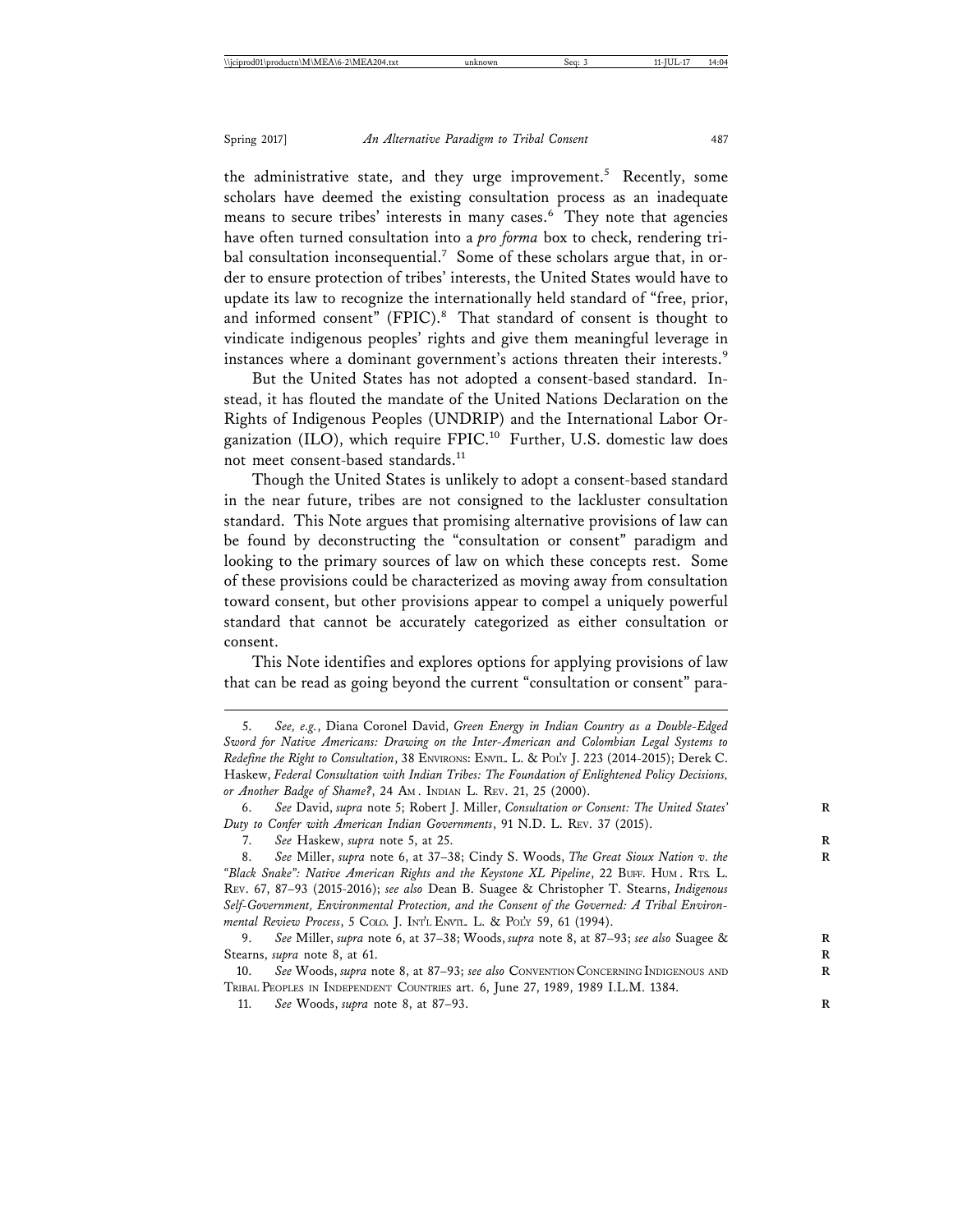the administrative state, and they urge improvement.<sup>5</sup> Recently, some scholars have deemed the existing consultation process as an inadequate means to secure tribes' interests in many cases.<sup>6</sup> They note that agencies have often turned consultation into a *pro forma* box to check, rendering tribal consultation inconsequential.<sup>7</sup> Some of these scholars argue that, in order to ensure protection of tribes' interests, the United States would have to update its law to recognize the internationally held standard of "free, prior, and informed consent" (FPIC).<sup>8</sup> That standard of consent is thought to vindicate indigenous peoples' rights and give them meaningful leverage in instances where a dominant government's actions threaten their interests.<sup>9</sup>

But the United States has not adopted a consent-based standard. Instead, it has flouted the mandate of the United Nations Declaration on the Rights of Indigenous Peoples (UNDRIP) and the International Labor Organization (ILO), which require FPIC.<sup>10</sup> Further, U.S. domestic law does not meet consent-based standards.<sup>11</sup>

Though the United States is unlikely to adopt a consent-based standard in the near future, tribes are not consigned to the lackluster consultation standard. This Note argues that promising alternative provisions of law can be found by deconstructing the "consultation or consent" paradigm and looking to the primary sources of law on which these concepts rest. Some of these provisions could be characterized as moving away from consultation toward consent, but other provisions appear to compel a uniquely powerful standard that cannot be accurately categorized as either consultation or consent.

This Note identifies and explores options for applying provisions of law that can be read as going beyond the current "consultation or consent" para-

8. See Miller, *supra* note 6, at 37-38; Cindy S. Woods, The Great Sioux Nation v. the *"Black Snake": Native American Rights and the Keystone XL Pipeline*, 22 BUFF. HUM . RTS. L. REV. 67, 87–93 (2015-2016); *see also* Dean B. Suagee & Christopher T. Stearns, *Indigenous Self-Government, Environmental Protection, and the Consent of the Governed: A Tribal Environmental Review Process*, 5 COLO. J. INT'L ENVIL. L. & POL'Y 59, 61 (1994).<br>9. See Miller, supra note 6, at 37–38; Woods, supra note 8, at 87–

9. *See* Miller, *supra* note 6, at 37–38; Woods, *supra* note 8, at 87–93; *see also* Suagee & **R** Stearns, *supra* note 8, at 61. **R**

10. *See* Woods, *supra* note 8, at 87–93; *see also* CONVENTION CONCERNING INDIGENOUS AND **R** TRIBAL PEOPLES IN INDEPENDENT COUNTRIES art. 6, June 27, 1989, 1989 I.L.M. 1384.

11. *See* Woods, *supra* note 8, at 87–93. **R**

<sup>5.</sup> *See, e.g.*, Diana Coronel David, *Green Energy in Indian Country as a Double-Edged Sword for Native Americans: Drawing on the Inter-American and Colombian Legal Systems to Redefine the Right to Consultation*, 38 ENVIRONS: ENVTL. L. & POL'Y J. 223 (2014-2015); Derek C. Haskew, *Federal Consultation with Indian Tribes: The Foundation of Enlightened Policy Decisions, or Another Badge of Shame?*, 24 AM . INDIAN L. REV. 21, 25 (2000).

<sup>6.</sup> *See* David, *supra* note 5; Robert J. Miller, *Consultation or Consent: The United States'* **R** *Duty to Confer with American Indian Governments*, 91 N.D. L. REV. 37 (2015).

<sup>7.</sup> *See* Haskew, *supra* note 5, at 25. **R**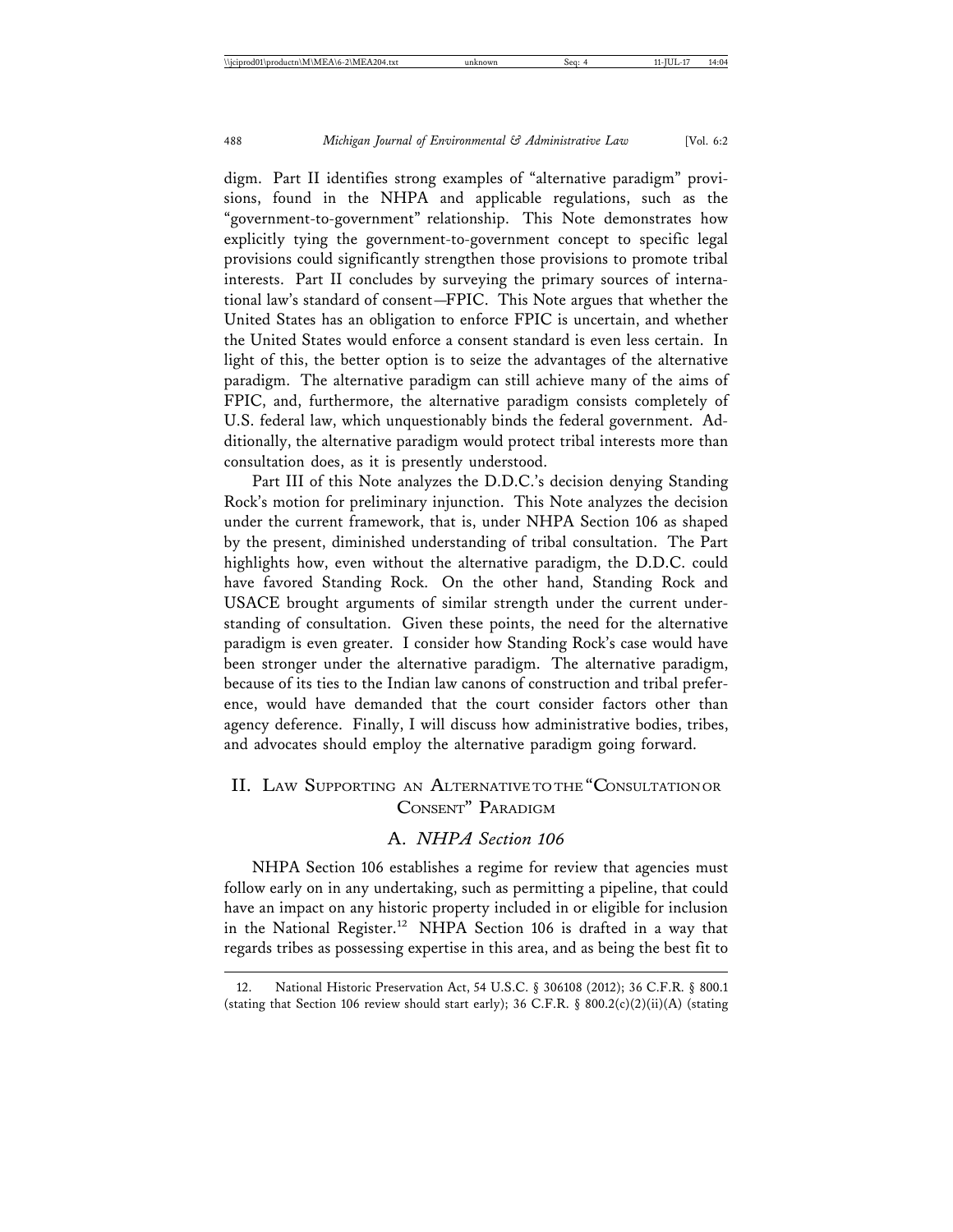digm. Part II identifies strong examples of "alternative paradigm" provisions, found in the NHPA and applicable regulations, such as the "government-to-government" relationship. This Note demonstrates how explicitly tying the government-to-government concept to specific legal provisions could significantly strengthen those provisions to promote tribal interests. Part II concludes by surveying the primary sources of international law's standard of consent—FPIC. This Note argues that whether the United States has an obligation to enforce FPIC is uncertain, and whether the United States would enforce a consent standard is even less certain. In light of this, the better option is to seize the advantages of the alternative paradigm. The alternative paradigm can still achieve many of the aims of FPIC, and, furthermore, the alternative paradigm consists completely of U.S. federal law, which unquestionably binds the federal government. Additionally, the alternative paradigm would protect tribal interests more than consultation does, as it is presently understood.

Part III of this Note analyzes the D.D.C.'s decision denying Standing Rock's motion for preliminary injunction. This Note analyzes the decision under the current framework, that is, under NHPA Section 106 as shaped by the present, diminished understanding of tribal consultation. The Part highlights how, even without the alternative paradigm, the D.D.C. could have favored Standing Rock. On the other hand, Standing Rock and USACE brought arguments of similar strength under the current understanding of consultation. Given these points, the need for the alternative paradigm is even greater. I consider how Standing Rock's case would have been stronger under the alternative paradigm. The alternative paradigm, because of its ties to the Indian law canons of construction and tribal preference, would have demanded that the court consider factors other than agency deference. Finally, I will discuss how administrative bodies, tribes, and advocates should employ the alternative paradigm going forward.

# II. LAW SUPPORTING AN ALTERNATIVE TO THE "CONSULTATION OR CONSENT" PARADIGM

## A. *NHPA Section 106*

NHPA Section 106 establishes a regime for review that agencies must follow early on in any undertaking, such as permitting a pipeline, that could have an impact on any historic property included in or eligible for inclusion in the National Register.<sup>12</sup> NHPA Section 106 is drafted in a way that regards tribes as possessing expertise in this area, and as being the best fit to

<sup>12.</sup> National Historic Preservation Act, 54 U.S.C. § 306108 (2012); 36 C.F.R. § 800.1 (stating that Section 106 review should start early); 36 C.F.R. § 800.2(c)(2)(ii)(A) (stating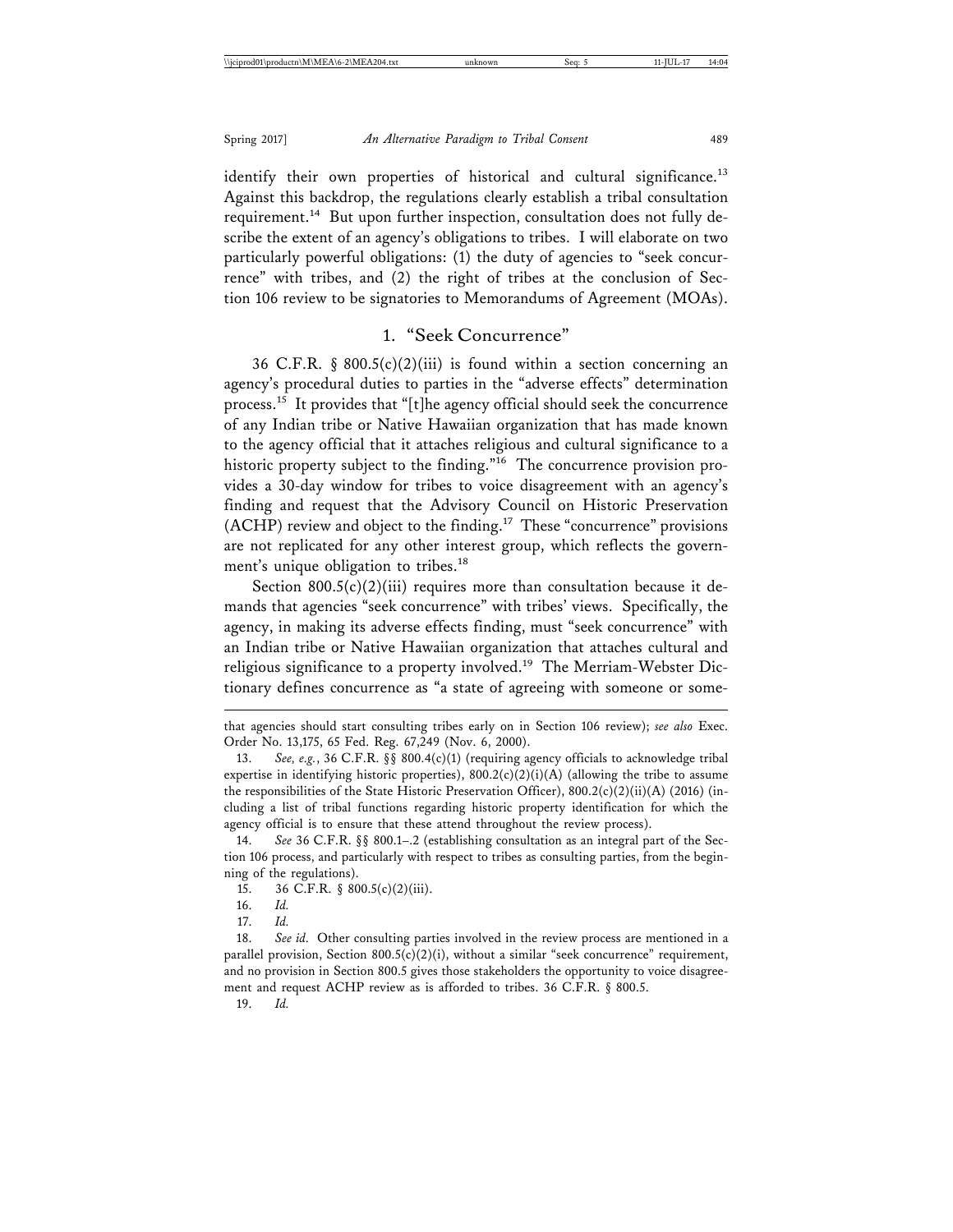identify their own properties of historical and cultural significance.<sup>13</sup> Against this backdrop, the regulations clearly establish a tribal consultation requirement.<sup>14</sup> But upon further inspection, consultation does not fully describe the extent of an agency's obligations to tribes. I will elaborate on two particularly powerful obligations: (1) the duty of agencies to "seek concurrence" with tribes, and (2) the right of tribes at the conclusion of Section 106 review to be signatories to Memorandums of Agreement (MOAs).

# 1. "Seek Concurrence"

36 C.F.R. § 800.5(c)(2)(iii) is found within a section concerning an agency's procedural duties to parties in the "adverse effects" determination process.15 It provides that "[t]he agency official should seek the concurrence of any Indian tribe or Native Hawaiian organization that has made known to the agency official that it attaches religious and cultural significance to a historic property subject to the finding."<sup>16</sup> The concurrence provision provides a 30-day window for tribes to voice disagreement with an agency's finding and request that the Advisory Council on Historic Preservation (ACHP) review and object to the finding.17 These "concurrence" provisions are not replicated for any other interest group, which reflects the government's unique obligation to tribes.<sup>18</sup>

Section  $800.5(c)(2)(iii)$  requires more than consultation because it demands that agencies "seek concurrence" with tribes' views. Specifically, the agency, in making its adverse effects finding, must "seek concurrence" with an Indian tribe or Native Hawaiian organization that attaches cultural and religious significance to a property involved.<sup>19</sup> The Merriam-Webster Dictionary defines concurrence as "a state of agreeing with someone or some-

that agencies should start consulting tribes early on in Section 106 review); *see also* Exec. Order No. 13,175, 65 Fed. Reg. 67,249 (Nov. 6, 2000).

See, e.g., 36 C.F.R. §§ 800.4(c)(1) (requiring agency officials to acknowledge tribal expertise in identifying historic properties), 800.2(c)(2)(i)(A) (allowing the tribe to assume the responsibilities of the State Historic Preservation Officer), 800.2(c)(2)(ii)(A) (2016) (including a list of tribal functions regarding historic property identification for which the agency official is to ensure that these attend throughout the review process).

<sup>14.</sup> *See* 36 C.F.R. §§ 800.1–.2 (establishing consultation as an integral part of the Section 106 process, and particularly with respect to tribes as consulting parties, from the beginning of the regulations).

<sup>15. 36</sup> C.F.R. § 800.5(c)(2)(iii).

<sup>16.</sup> *Id.*

<sup>17.</sup> *Id.*

<sup>18.</sup> *See id.* Other consulting parties involved in the review process are mentioned in a parallel provision, Section  $800.5(c)(2)(i)$ , without a similar "seek concurrence" requirement, and no provision in Section 800.5 gives those stakeholders the opportunity to voice disagreement and request ACHP review as is afforded to tribes. 36 C.F.R. § 800.5.

<sup>19.</sup> *Id.*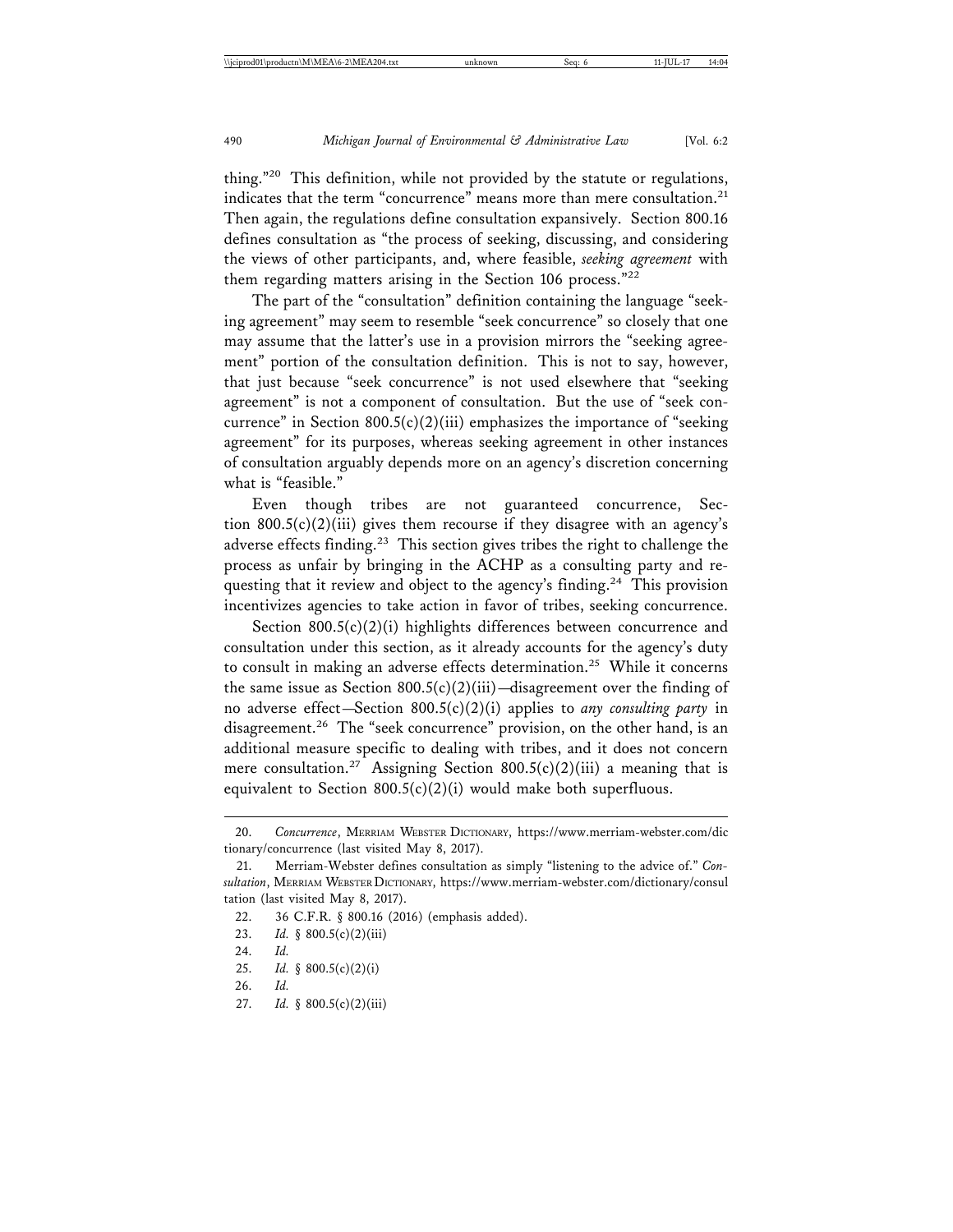thing."20 This definition, while not provided by the statute or regulations, indicates that the term "concurrence" means more than mere consultation.<sup>21</sup> Then again, the regulations define consultation expansively. Section 800.16 defines consultation as "the process of seeking, discussing, and considering the views of other participants, and, where feasible, *seeking agreement* with them regarding matters arising in the Section 106 process."<sup>22</sup>

The part of the "consultation" definition containing the language "seeking agreement" may seem to resemble "seek concurrence" so closely that one may assume that the latter's use in a provision mirrors the "seeking agreement" portion of the consultation definition. This is not to say, however, that just because "seek concurrence" is not used elsewhere that "seeking agreement" is not a component of consultation. But the use of "seek concurrence" in Section  $800.5(c)(2)(iii)$  emphasizes the importance of "seeking" agreement" for its purposes, whereas seeking agreement in other instances of consultation arguably depends more on an agency's discretion concerning what is "feasible."

Even though tribes are not guaranteed concurrence, Section  $800.5(c)(2)(iii)$  gives them recourse if they disagree with an agency's adverse effects finding.<sup>23</sup> This section gives tribes the right to challenge the process as unfair by bringing in the ACHP as a consulting party and requesting that it review and object to the agency's finding.<sup>24</sup> This provision incentivizes agencies to take action in favor of tribes, seeking concurrence.

Section  $800.5(c)(2)(i)$  highlights differences between concurrence and consultation under this section, as it already accounts for the agency's duty to consult in making an adverse effects determination.<sup>25</sup> While it concerns the same issue as Section  $800.5(c)(2)(iii)$ —disagreement over the finding of no adverse effect—Section 800.5(c)(2)(i) applies to *any consulting party* in disagreement.<sup>26</sup> The "seek concurrence" provision, on the other hand, is an additional measure specific to dealing with tribes, and it does not concern mere consultation.<sup>27</sup> Assigning Section 800.5(c)(2)(iii) a meaning that is equivalent to Section  $800.5(c)(2)(i)$  would make both superfluous.

- 23. *Id.* § 800.5(c)(2)(iii)
- 24. *Id.*
- 25. *Id.* § 800.5(c)(2)(i)

27. *Id.* § 800.5(c)(2)(iii)

<sup>20.</sup> *Concurrence*, MERRIAM WEBSTER DICTIONARY, https://www.merriam-webster.com/dic tionary/concurrence (last visited May 8, 2017).

<sup>21.</sup> Merriam-Webster defines consultation as simply "listening to the advice of." *Consultation*, MERRIAM WEBSTER DICTIONARY, https://www.merriam-webster.com/dictionary/consul tation (last visited May 8, 2017).

<sup>22. 36</sup> C.F.R. § 800.16 (2016) (emphasis added).

<sup>26.</sup> *Id.*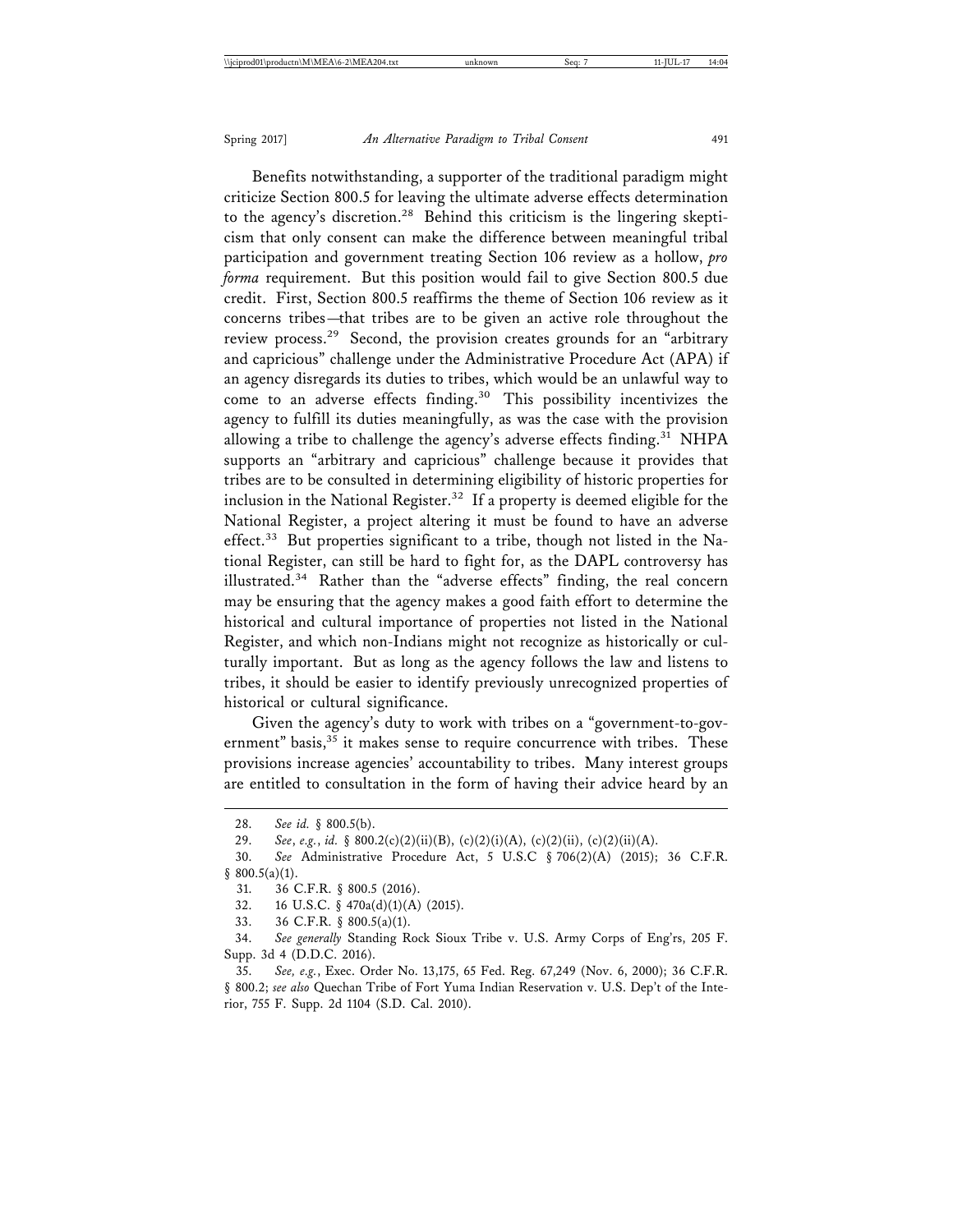Benefits notwithstanding, a supporter of the traditional paradigm might criticize Section 800.5 for leaving the ultimate adverse effects determination to the agency's discretion.<sup>28</sup> Behind this criticism is the lingering skepticism that only consent can make the difference between meaningful tribal participation and government treating Section 106 review as a hollow, *pro forma* requirement. But this position would fail to give Section 800.5 due credit. First, Section 800.5 reaffirms the theme of Section 106 review as it concerns tribes—that tribes are to be given an active role throughout the review process.29 Second, the provision creates grounds for an "arbitrary and capricious" challenge under the Administrative Procedure Act (APA) if an agency disregards its duties to tribes, which would be an unlawful way to come to an adverse effects finding.<sup>30</sup> This possibility incentivizes the agency to fulfill its duties meaningfully, as was the case with the provision allowing a tribe to challenge the agency's adverse effects finding.<sup>31</sup> NHPA supports an "arbitrary and capricious" challenge because it provides that tribes are to be consulted in determining eligibility of historic properties for inclusion in the National Register.<sup>32</sup> If a property is deemed eligible for the National Register, a project altering it must be found to have an adverse effect.<sup>33</sup> But properties significant to a tribe, though not listed in the National Register, can still be hard to fight for, as the DAPL controversy has illustrated.34 Rather than the "adverse effects" finding, the real concern may be ensuring that the agency makes a good faith effort to determine the historical and cultural importance of properties not listed in the National Register, and which non-Indians might not recognize as historically or culturally important. But as long as the agency follows the law and listens to tribes, it should be easier to identify previously unrecognized properties of historical or cultural significance.

Given the agency's duty to work with tribes on a "government-to-government" basis,<sup>35</sup> it makes sense to require concurrence with tribes. These provisions increase agencies' accountability to tribes. Many interest groups are entitled to consultation in the form of having their advice heard by an

30. *See* Administrative Procedure Act, 5 U.S.C § 706(2)(A) (2015); 36 C.F.R. § 800.5(a)(1).

<sup>28.</sup> *See id.* § 800.5(b).

<sup>29.</sup> *See*, *e.g.*, *id.* § 800.2(c)(2)(ii)(B), (c)(2)(i)(A), (c)(2)(ii), (c)(2)(ii)(A).

<sup>31. 36</sup> C.F.R. § 800.5 (2016).

<sup>32. 16</sup> U.S.C. § 470a(d)(1)(A) (2015).

<sup>33. 36</sup> C.F.R. § 800.5(a)(1).

<sup>34.</sup> *See generally* Standing Rock Sioux Tribe v. U.S. Army Corps of Eng'rs, 205 F. Supp. 3d 4 (D.D.C. 2016).

<sup>35.</sup> *See, e.g.*, Exec. Order No. 13,175, 65 Fed. Reg. 67,249 (Nov. 6, 2000); 36 C.F.R. § 800.2; *see also* Quechan Tribe of Fort Yuma Indian Reservation v. U.S. Dep't of the Interior, 755 F. Supp. 2d 1104 (S.D. Cal. 2010).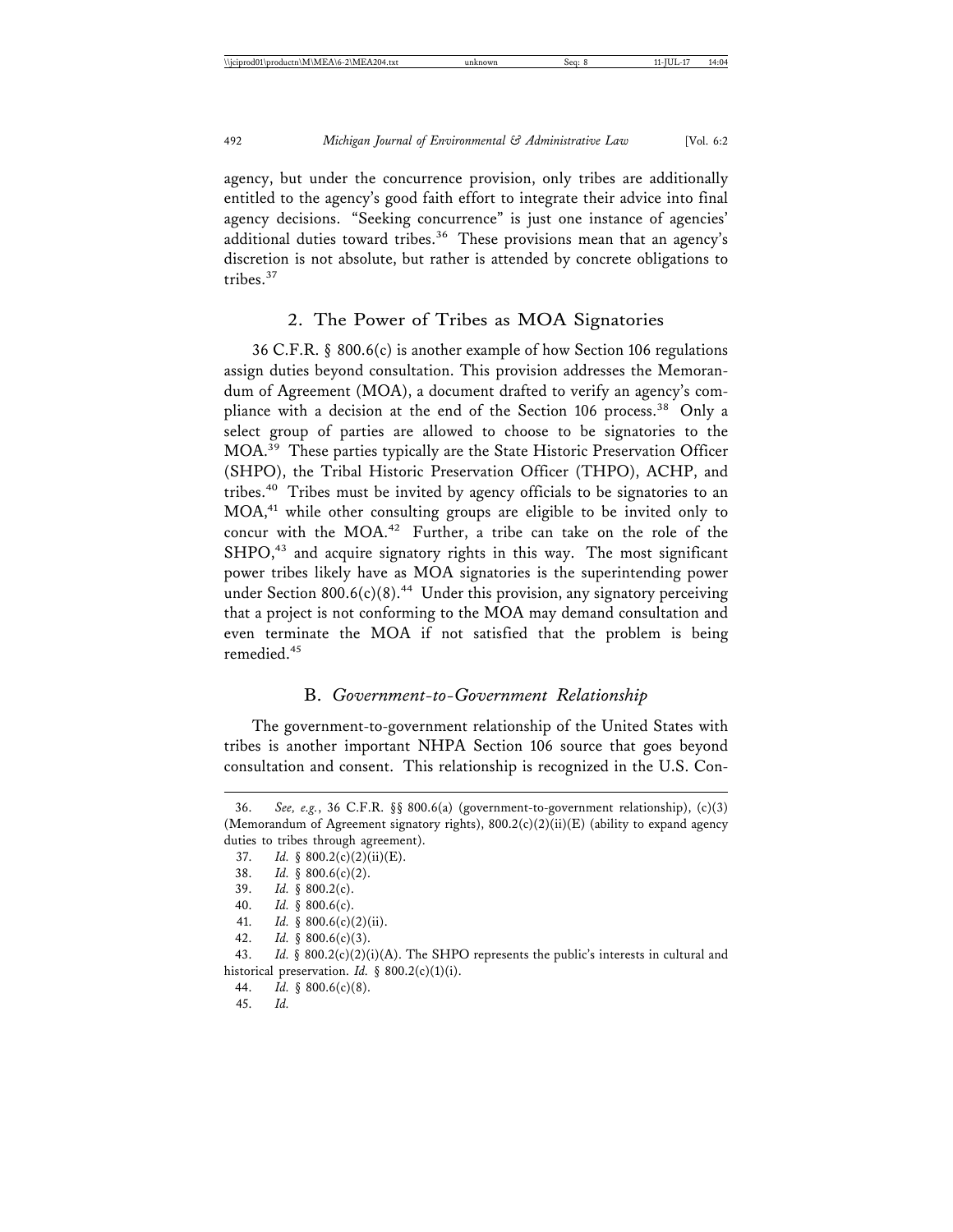agency, but under the concurrence provision, only tribes are additionally entitled to the agency's good faith effort to integrate their advice into final agency decisions. "Seeking concurrence" is just one instance of agencies' additional duties toward tribes.<sup>36</sup> These provisions mean that an agency's discretion is not absolute, but rather is attended by concrete obligations to tribes.<sup>37</sup>

## 2. The Power of Tribes as MOA Signatories

36 C.F.R. § 800.6(c) is another example of how Section 106 regulations assign duties beyond consultation. This provision addresses the Memorandum of Agreement (MOA), a document drafted to verify an agency's compliance with a decision at the end of the Section 106 process.<sup>38</sup> Only a select group of parties are allowed to choose to be signatories to the MOA.39 These parties typically are the State Historic Preservation Officer (SHPO), the Tribal Historic Preservation Officer (THPO), ACHP, and tribes.40 Tribes must be invited by agency officials to be signatories to an MOA,41 while other consulting groups are eligible to be invited only to concur with the MOA.42 Further, a tribe can take on the role of the SHPO,<sup>43</sup> and acquire signatory rights in this way. The most significant power tribes likely have as MOA signatories is the superintending power under Section 800.6(c)(8).<sup>44</sup> Under this provision, any signatory perceiving that a project is not conforming to the MOA may demand consultation and even terminate the MOA if not satisfied that the problem is being remedied.45

## B. *Government-to-Government Relationship*

The government-to-government relationship of the United States with tribes is another important NHPA Section 106 source that goes beyond consultation and consent. This relationship is recognized in the U.S. Con-

<sup>36.</sup> *See, e.g.*, 36 C.F.R. §§ 800.6(a) (government-to-government relationship), (c)(3) (Memorandum of Agreement signatory rights),  $800.2(c)(2)(ii)(E)$  (ability to expand agency duties to tribes through agreement).

<sup>37.</sup> *Id.* § 800.2(c)(2)(ii)(E).

<sup>38.</sup> *Id.* § 800.6(c)(2).

<sup>39.</sup> *Id.* § 800.2(c).

<sup>40.</sup> *Id.* § 800.6(c).

<sup>41.</sup> *Id.* § 800.6(c)(2)(ii).

<sup>42.</sup> *Id.* § 800.6(c)(3).

<sup>43.</sup> *Id.* § 800.2(c)(2)(i)(A). The SHPO represents the public's interests in cultural and historical preservation. *Id.* § 800.2(c)(1)(i).

<sup>44.</sup> *Id.* § 800.6(c)(8).

<sup>45.</sup> *Id.*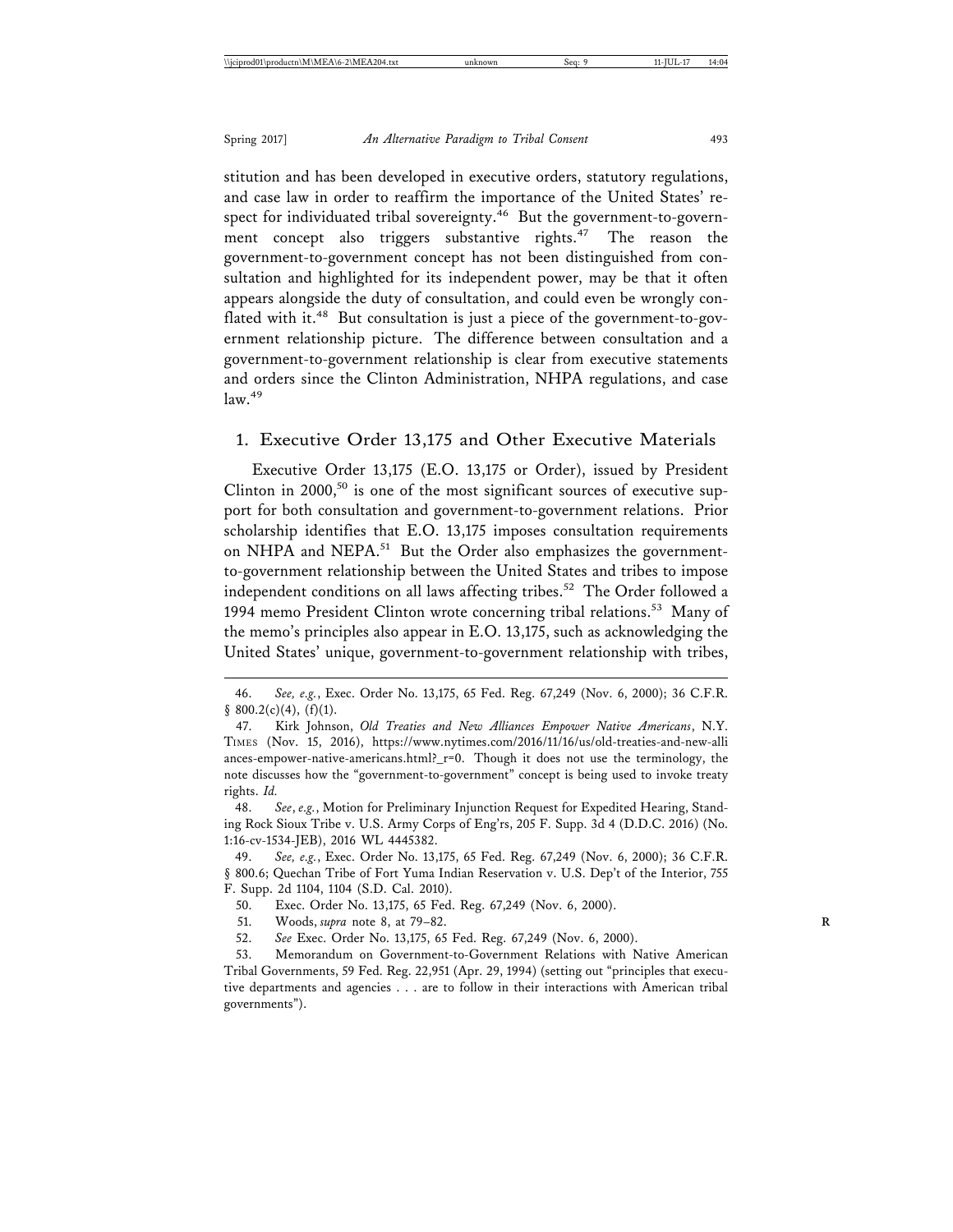stitution and has been developed in executive orders, statutory regulations, and case law in order to reaffirm the importance of the United States' respect for individuated tribal sovereignty. $46$  But the government-to-government concept also triggers substantive rights.<sup>47</sup> The reason the government-to-government concept has not been distinguished from consultation and highlighted for its independent power, may be that it often appears alongside the duty of consultation, and could even be wrongly conflated with it.<sup>48</sup> But consultation is just a piece of the government-to-government relationship picture. The difference between consultation and a government-to-government relationship is clear from executive statements and orders since the Clinton Administration, NHPA regulations, and case law.49

#### 1. Executive Order 13,175 and Other Executive Materials

Executive Order 13,175 (E.O. 13,175 or Order), issued by President Clinton in  $2000$ ,<sup>50</sup> is one of the most significant sources of executive support for both consultation and government-to-government relations. Prior scholarship identifies that E.O. 13,175 imposes consultation requirements on NHPA and NEPA.<sup>51</sup> But the Order also emphasizes the governmentto-government relationship between the United States and tribes to impose independent conditions on all laws affecting tribes.<sup>52</sup> The Order followed a 1994 memo President Clinton wrote concerning tribal relations.<sup>53</sup> Many of the memo's principles also appear in E.O. 13,175, such as acknowledging the United States' unique, government-to-government relationship with tribes,

49. *See, e.g.*, Exec. Order No. 13,175, 65 Fed. Reg. 67,249 (Nov. 6, 2000); 36 C.F.R. § 800.6; Quechan Tribe of Fort Yuma Indian Reservation v. U.S. Dep't of the Interior, 755 F. Supp. 2d 1104, 1104 (S.D. Cal. 2010).

50. Exec. Order No. 13,175, 65 Fed. Reg. 67,249 (Nov. 6, 2000).

51. Woods, *supra* note 8, at 79–82. **R**

52. *See* Exec. Order No. 13,175, 65 Fed. Reg. 67,249 (Nov. 6, 2000).

53. Memorandum on Government-to-Government Relations with Native American Tribal Governments, 59 Fed. Reg. 22,951 (Apr. 29, 1994) (setting out "principles that executive departments and agencies . . . are to follow in their interactions with American tribal governments").

<sup>46.</sup> *See, e.g.*, Exec. Order No. 13,175, 65 Fed. Reg. 67,249 (Nov. 6, 2000); 36 C.F.R.  $§$  800.2(c)(4), (f)(1).

<sup>47.</sup> Kirk Johnson, *Old Treaties and New Alliances Empower Native Americans*, N.Y. TIMES (Nov. 15, 2016), https://www.nytimes.com/2016/11/16/us/old-treaties-and-new-alli ances-empower-native-americans.html?\_r=0. Though it does not use the terminology, the note discusses how the "government-to-government" concept is being used to invoke treaty rights. *Id.*

<sup>48.</sup> *See*, *e.g.*, Motion for Preliminary Injunction Request for Expedited Hearing, Standing Rock Sioux Tribe v. U.S. Army Corps of Eng'rs, 205 F. Supp. 3d 4 (D.D.C. 2016) (No. 1:16-cv-1534-JEB), 2016 WL 4445382.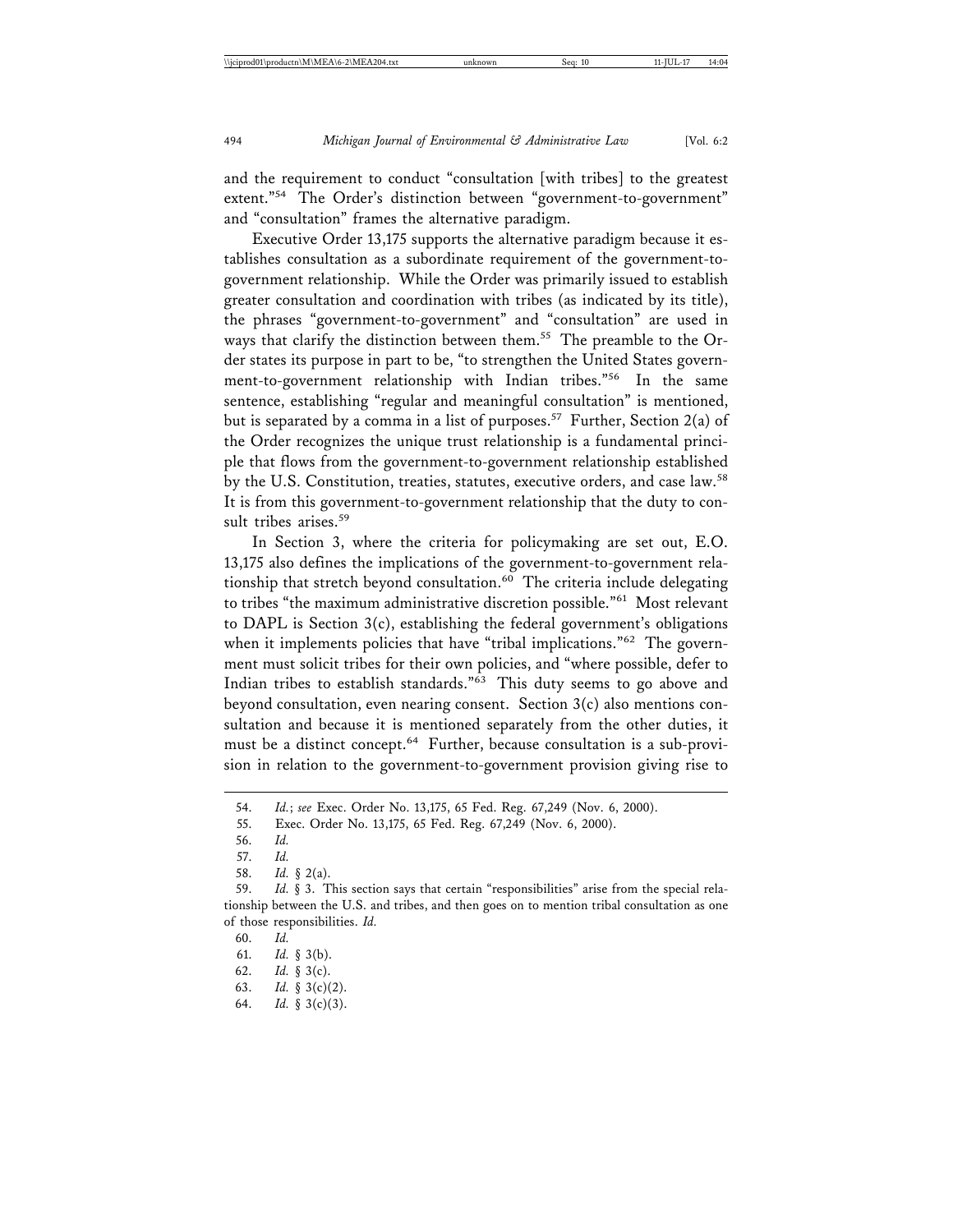and the requirement to conduct "consultation [with tribes] to the greatest extent."<sup>54</sup> The Order's distinction between "government-to-government" and "consultation" frames the alternative paradigm.

Executive Order 13,175 supports the alternative paradigm because it establishes consultation as a subordinate requirement of the government-togovernment relationship. While the Order was primarily issued to establish greater consultation and coordination with tribes (as indicated by its title), the phrases "government-to-government" and "consultation" are used in ways that clarify the distinction between them.<sup>55</sup> The preamble to the Order states its purpose in part to be, "to strengthen the United States government-to-government relationship with Indian tribes."56 In the same sentence, establishing "regular and meaningful consultation" is mentioned, but is separated by a comma in a list of purposes.<sup>57</sup> Further, Section 2(a) of the Order recognizes the unique trust relationship is a fundamental principle that flows from the government-to-government relationship established by the U.S. Constitution, treaties, statutes, executive orders, and case law.<sup>58</sup> It is from this government-to-government relationship that the duty to consult tribes arises.<sup>59</sup>

In Section 3, where the criteria for policymaking are set out, E.O. 13,175 also defines the implications of the government-to-government relationship that stretch beyond consultation.<sup>60</sup> The criteria include delegating to tribes "the maximum administrative discretion possible."61 Most relevant to DAPL is Section 3(c), establishing the federal government's obligations when it implements policies that have "tribal implications."<sup>62</sup> The government must solicit tribes for their own policies, and "where possible, defer to Indian tribes to establish standards."63 This duty seems to go above and beyond consultation, even nearing consent. Section 3(c) also mentions consultation and because it is mentioned separately from the other duties, it must be a distinct concept.<sup>64</sup> Further, because consultation is a sub-provision in relation to the government-to-government provision giving rise to

<sup>54.</sup> *Id.*; *see* Exec. Order No. 13,175, 65 Fed. Reg. 67,249 (Nov. 6, 2000).

<sup>55.</sup> Exec. Order No. 13,175, 65 Fed. Reg. 67,249 (Nov. 6, 2000).

<sup>56.</sup> *Id.*

<sup>57.</sup> *Id.*

<sup>58.</sup> *Id.* § 2(a).

<sup>59.</sup> *Id.* § 3. This section says that certain "responsibilities" arise from the special relationship between the U.S. and tribes, and then goes on to mention tribal consultation as one of those responsibilities. *Id.*

<sup>60.</sup> *Id.*

<sup>61.</sup> *Id.* § 3(b).

<sup>62.</sup> *Id.* § 3(c).

<sup>63.</sup> *Id.* § 3(c)(2).

<sup>64.</sup> *Id.* § 3(c)(3).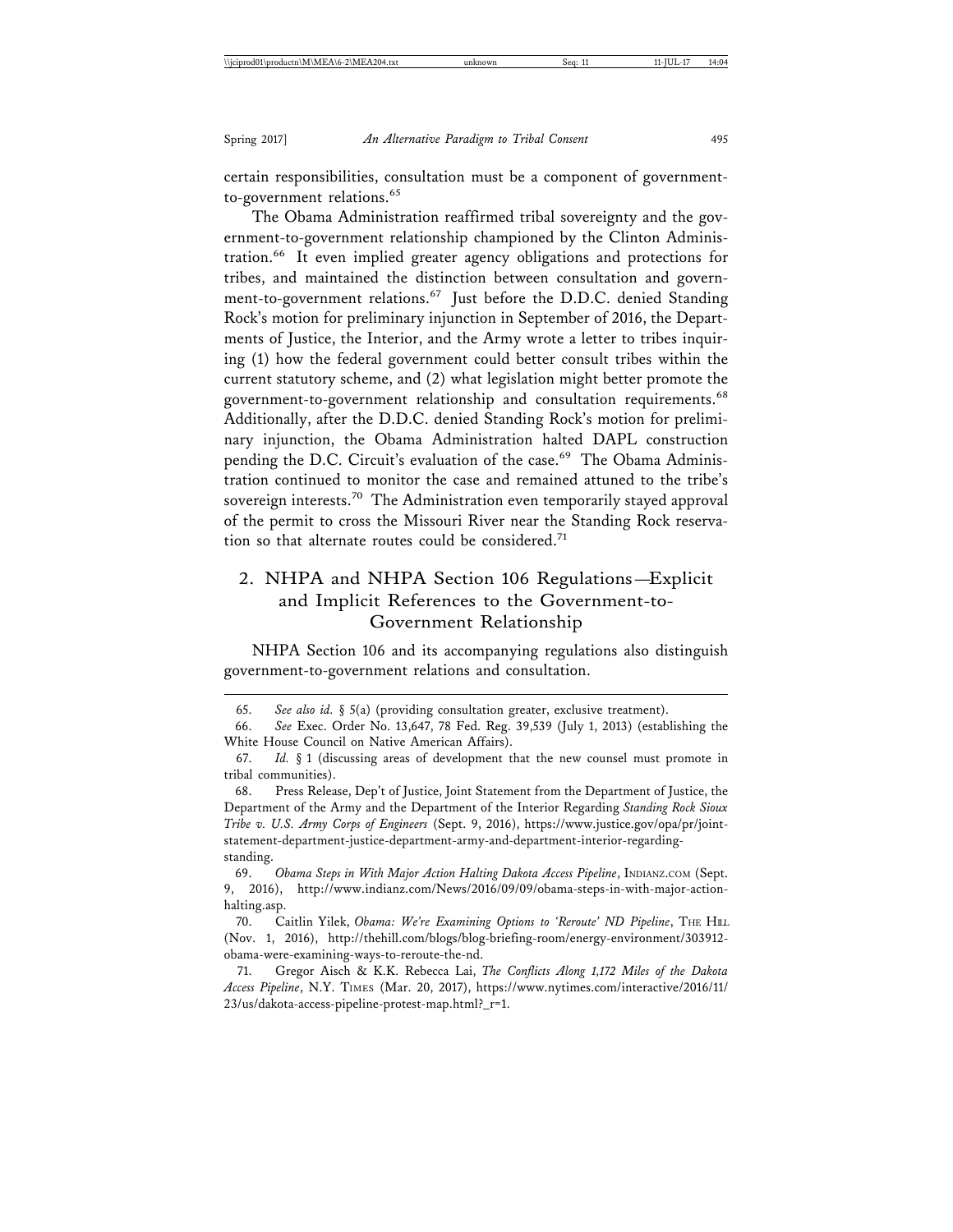certain responsibilities, consultation must be a component of governmentto-government relations.<sup>65</sup>

The Obama Administration reaffirmed tribal sovereignty and the government-to-government relationship championed by the Clinton Administration.<sup>66</sup> It even implied greater agency obligations and protections for tribes, and maintained the distinction between consultation and government-to-government relations.<sup>67</sup> Just before the D.D.C. denied Standing Rock's motion for preliminary injunction in September of 2016, the Departments of Justice, the Interior, and the Army wrote a letter to tribes inquiring (1) how the federal government could better consult tribes within the current statutory scheme, and (2) what legislation might better promote the government-to-government relationship and consultation requirements.<sup>68</sup> Additionally, after the D.D.C. denied Standing Rock's motion for preliminary injunction, the Obama Administration halted DAPL construction pending the D.C. Circuit's evaluation of the case.<sup>69</sup> The Obama Administration continued to monitor the case and remained attuned to the tribe's sovereign interests.<sup>70</sup> The Administration even temporarily stayed approval of the permit to cross the Missouri River near the Standing Rock reservation so that alternate routes could be considered.<sup>71</sup>

# 2. NHPA and NHPA Section 106 Regulations—Explicit and Implicit References to the Government-to-Government Relationship

NHPA Section 106 and its accompanying regulations also distinguish government-to-government relations and consultation.

<sup>65.</sup> *See also id.* § 5(a) (providing consultation greater, exclusive treatment).

<sup>66.</sup> *See* Exec. Order No. 13,647, 78 Fed. Reg. 39,539 (July 1, 2013) (establishing the White House Council on Native American Affairs).

<sup>67.</sup> *Id.* § 1 (discussing areas of development that the new counsel must promote in tribal communities).

<sup>68.</sup> Press Release, Dep't of Justice, Joint Statement from the Department of Justice, the Department of the Army and the Department of the Interior Regarding *Standing Rock Sioux Tribe v. U.S. Army Corps of Engineers* (Sept. 9, 2016), https://www.justice.gov/opa/pr/jointstatement-department-justice-department-army-and-department-interior-regardingstanding.

<sup>69.</sup> Obama Steps in With Major Action Halting Dakota Access Pipeline, INDIANZ.COM (Sept. 9, 2016), http://www.indianz.com/News/2016/09/09/obama-steps-in-with-major-actionhalting.asp.

<sup>70.</sup> Caitlin Yilek, *Obama: We're Examining Options to 'Reroute' ND Pipeline*, THE HIL (Nov. 1, 2016), http://thehill.com/blogs/blog-briefing-room/energy-environment/303912 obama-were-examining-ways-to-reroute-the-nd.

<sup>71.</sup> Gregor Aisch & K.K. Rebecca Lai, *The Conflicts Along 1,172 Miles of the Dakota Access Pipeline*, N.Y. TIMES (Mar. 20, 2017), https://www.nytimes.com/interactive/2016/11/ 23/us/dakota-access-pipeline-protest-map.html?\_r=1.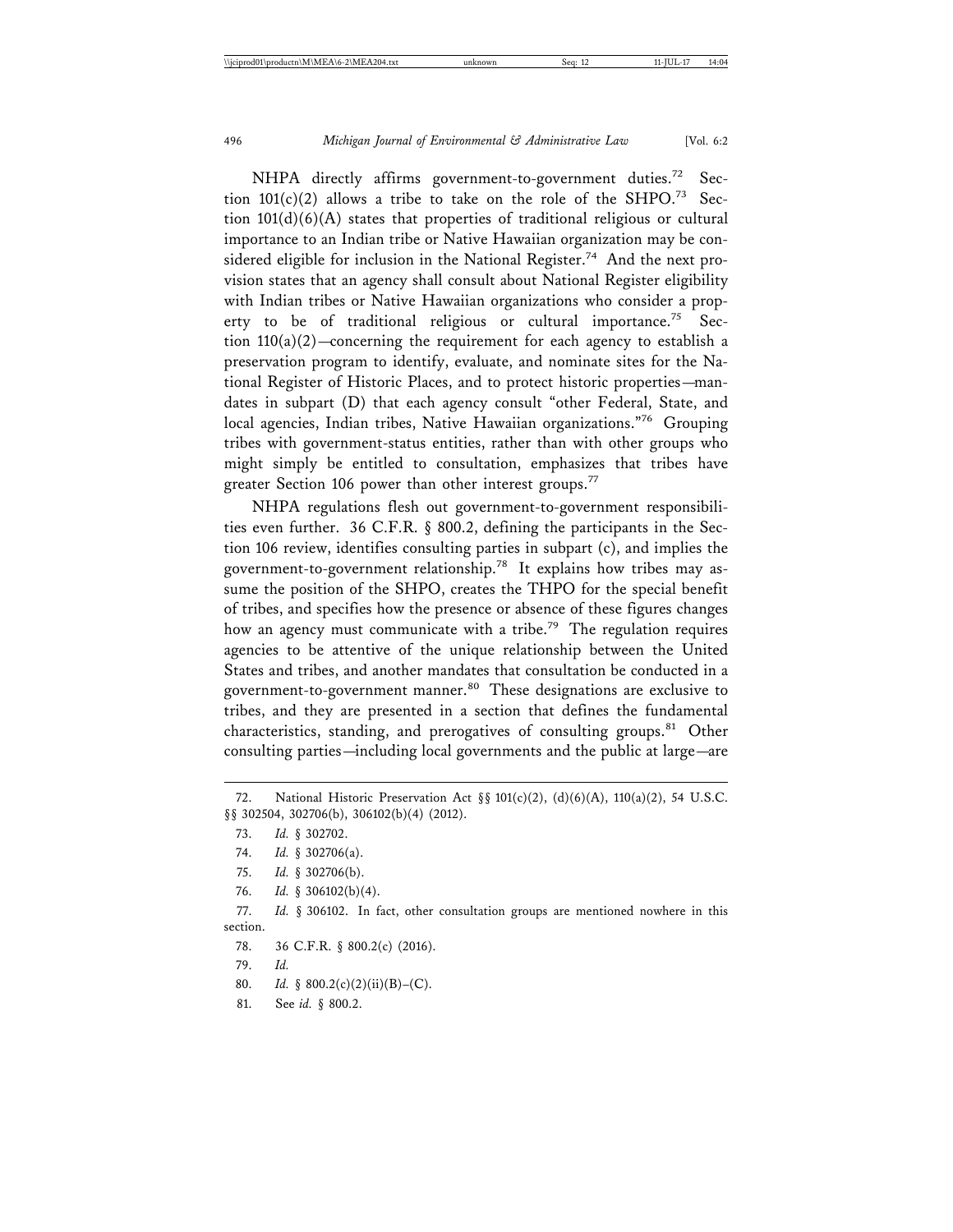NHPA directly affirms government-to-government duties.<sup>72</sup> Section  $101(c)(2)$  allows a tribe to take on the role of the SHPO.<sup>73</sup> Section 101(d)(6)(A) states that properties of traditional religious or cultural importance to an Indian tribe or Native Hawaiian organization may be considered eligible for inclusion in the National Register.<sup>74</sup> And the next provision states that an agency shall consult about National Register eligibility with Indian tribes or Native Hawaiian organizations who consider a property to be of traditional religious or cultural importance.<sup>75</sup> Section  $110(a)(2)$ -concerning the requirement for each agency to establish a preservation program to identify, evaluate, and nominate sites for the National Register of Historic Places, and to protect historic properties—mandates in subpart (D) that each agency consult "other Federal, State, and local agencies, Indian tribes, Native Hawaiian organizations."76 Grouping tribes with government-status entities, rather than with other groups who might simply be entitled to consultation, emphasizes that tribes have greater Section 106 power than other interest groups.<sup>77</sup>

NHPA regulations flesh out government-to-government responsibilities even further. 36 C.F.R. § 800.2, defining the participants in the Section 106 review, identifies consulting parties in subpart (c), and implies the government-to-government relationship.78 It explains how tribes may assume the position of the SHPO, creates the THPO for the special benefit of tribes, and specifies how the presence or absence of these figures changes how an agency must communicate with a tribe.<sup>79</sup> The regulation requires agencies to be attentive of the unique relationship between the United States and tribes, and another mandates that consultation be conducted in a government-to-government manner.<sup>80</sup> These designations are exclusive to tribes, and they are presented in a section that defines the fundamental characteristics, standing, and prerogatives of consulting groups.<sup>81</sup> Other consulting parties—including local governments and the public at large—are

76. *Id.* § 306102(b)(4).

- 78. 36 C.F.R. § 800.2(c) (2016).
- 79. *Id.*
- 80. *Id.* § 800.2(c)(2)(ii)(B)–(C).
- 81. See *id.* § 800.2.

<sup>72.</sup> National Historic Preservation Act §§ 101(c)(2), (d)(6)(A), 110(a)(2), 54 U.S.C. §§ 302504, 302706(b), 306102(b)(4) (2012).

<sup>73.</sup> *Id.* § 302702.

<sup>74.</sup> *Id.* § 302706(a).

<sup>75.</sup> *Id.* § 302706(b).

<sup>77.</sup> *Id.* § 306102. In fact, other consultation groups are mentioned nowhere in this section.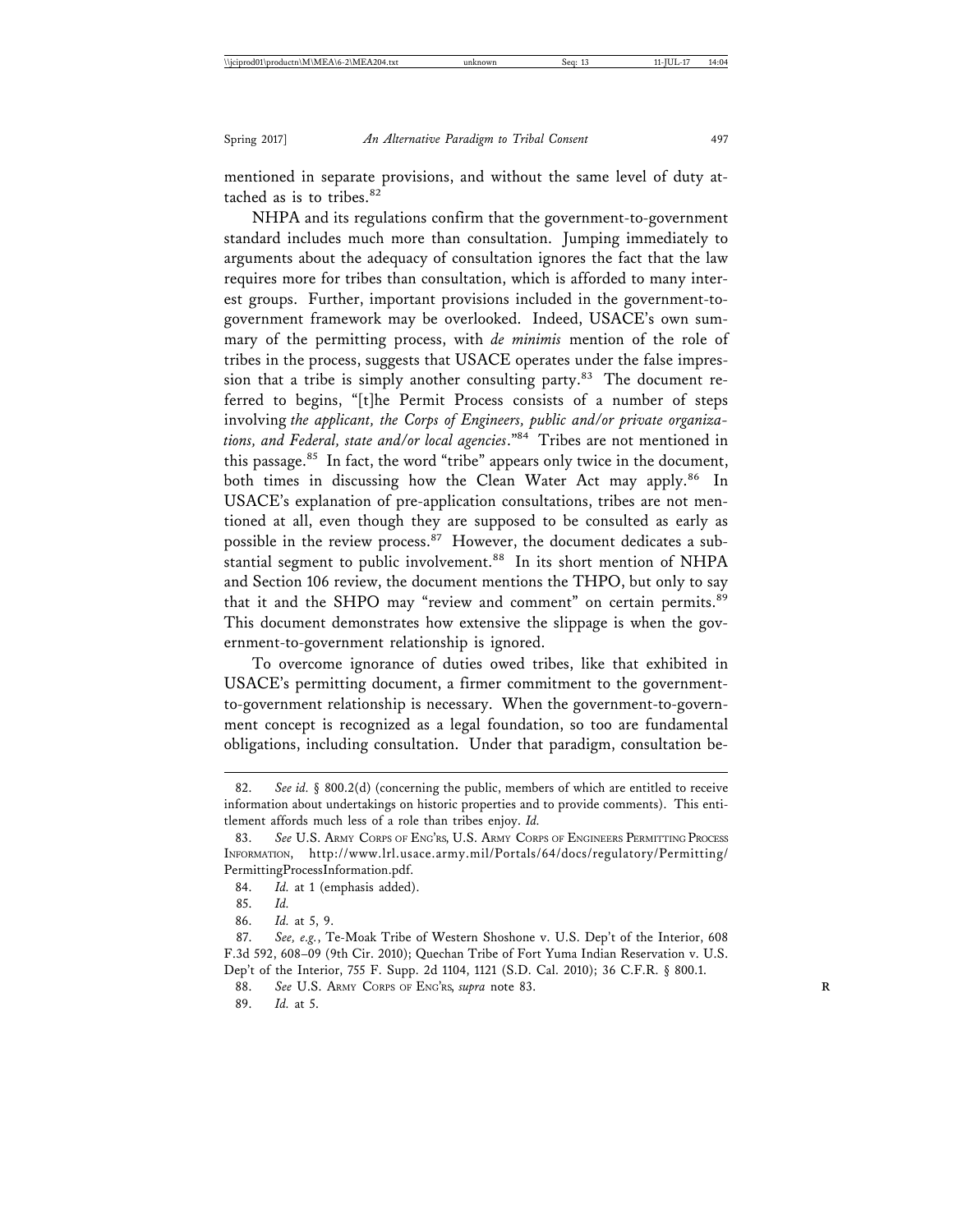mentioned in separate provisions, and without the same level of duty attached as is to tribes.<sup>82</sup>

NHPA and its regulations confirm that the government-to-government standard includes much more than consultation. Jumping immediately to arguments about the adequacy of consultation ignores the fact that the law requires more for tribes than consultation, which is afforded to many interest groups. Further, important provisions included in the government-togovernment framework may be overlooked. Indeed, USACE's own summary of the permitting process, with *de minimis* mention of the role of tribes in the process, suggests that USACE operates under the false impression that a tribe is simply another consulting party. $83$  The document referred to begins, "[t]he Permit Process consists of a number of steps involving *the applicant, the Corps of Engineers, public and/or private organizations, and Federal, state and/or local agencies*."84 Tribes are not mentioned in this passage.<sup>85</sup> In fact, the word "tribe" appears only twice in the document, both times in discussing how the Clean Water Act may apply.<sup>86</sup> In USACE's explanation of pre-application consultations, tribes are not mentioned at all, even though they are supposed to be consulted as early as possible in the review process.<sup>87</sup> However, the document dedicates a substantial segment to public involvement.<sup>88</sup> In its short mention of NHPA and Section 106 review, the document mentions the THPO, but only to say that it and the SHPO may "review and comment" on certain permits.<sup>89</sup> This document demonstrates how extensive the slippage is when the government-to-government relationship is ignored.

To overcome ignorance of duties owed tribes, like that exhibited in USACE's permitting document, a firmer commitment to the governmentto-government relationship is necessary. When the government-to-government concept is recognized as a legal foundation, so too are fundamental obligations, including consultation. Under that paradigm, consultation be-

<sup>82.</sup> *See id.* § 800.2(d) (concerning the public, members of which are entitled to receive information about undertakings on historic properties and to provide comments). This entitlement affords much less of a role than tribes enjoy. *Id.*

<sup>83.</sup> *See* U.S. ARMY CORPS OF ENG'RS, U.S. ARMY CORPS OF ENGINEERS PERMITTING PROCESS INFORMATION, http://www.lrl.usace.army.mil/Portals/64/docs/regulatory/Permitting/ PermittingProcessInformation.pdf.

<sup>84.</sup> *Id.* at 1 (emphasis added).

<sup>85.</sup> *Id.*

<sup>86.</sup> *Id.* at 5, 9.

<sup>87.</sup> *See, e.g.*, Te-Moak Tribe of Western Shoshone v. U.S. Dep't of the Interior, 608 F.3d 592, 608–09 (9th Cir. 2010); Quechan Tribe of Fort Yuma Indian Reservation v. U.S. Dep't of the Interior, 755 F. Supp. 2d 1104, 1121 (S.D. Cal. 2010); 36 C.F.R. § 800.1.

<sup>88.</sup> See U.S. ARMY CORPS OF ENG'RS, *supra* note 83.

<sup>89.</sup> *Id.* at 5.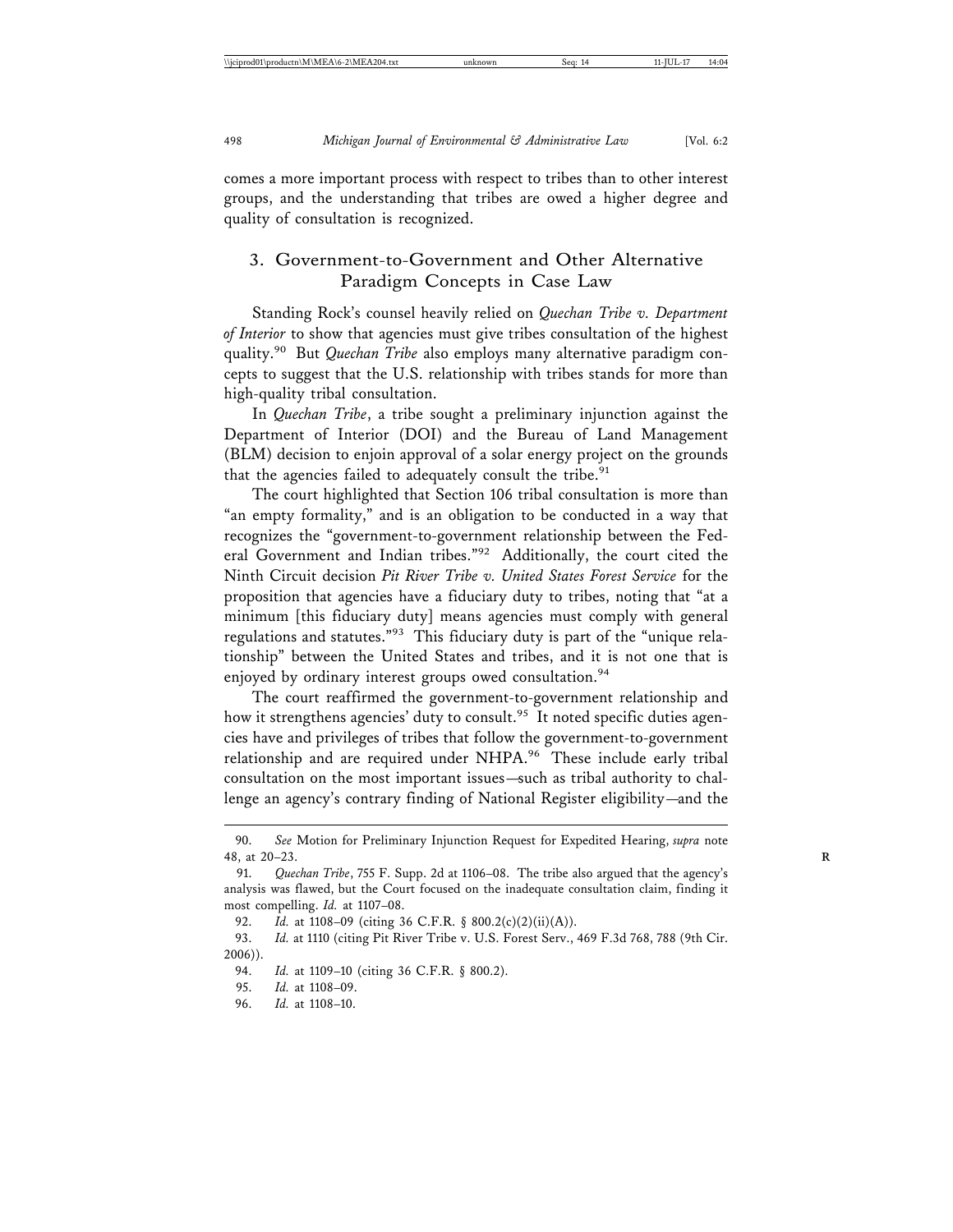comes a more important process with respect to tribes than to other interest groups, and the understanding that tribes are owed a higher degree and quality of consultation is recognized.

# 3. Government-to-Government and Other Alternative Paradigm Concepts in Case Law

Standing Rock's counsel heavily relied on *Quechan Tribe v. Department of Interior* to show that agencies must give tribes consultation of the highest quality.90 But *Quechan Tribe* also employs many alternative paradigm concepts to suggest that the U.S. relationship with tribes stands for more than high-quality tribal consultation.

In *Quechan Tribe*, a tribe sought a preliminary injunction against the Department of Interior (DOI) and the Bureau of Land Management (BLM) decision to enjoin approval of a solar energy project on the grounds that the agencies failed to adequately consult the tribe. $91$ 

The court highlighted that Section 106 tribal consultation is more than "an empty formality," and is an obligation to be conducted in a way that recognizes the "government-to-government relationship between the Federal Government and Indian tribes."92 Additionally, the court cited the Ninth Circuit decision *Pit River Tribe v. United States Forest Service* for the proposition that agencies have a fiduciary duty to tribes, noting that "at a minimum [this fiduciary duty] means agencies must comply with general regulations and statutes."93 This fiduciary duty is part of the "unique relationship" between the United States and tribes, and it is not one that is enjoyed by ordinary interest groups owed consultation.<sup>94</sup>

The court reaffirmed the government-to-government relationship and how it strengthens agencies' duty to consult.<sup>95</sup> It noted specific duties agencies have and privileges of tribes that follow the government-to-government relationship and are required under NHPA.<sup>96</sup> These include early tribal consultation on the most important issues—such as tribal authority to challenge an agency's contrary finding of National Register eligibility—and the

<sup>90.</sup> *See* Motion for Preliminary Injunction Request for Expedited Hearing, *supra* note 48, at 20–23. **R**

<sup>91.</sup> *Quechan Tribe*, 755 F. Supp. 2d at 1106–08. The tribe also argued that the agency's analysis was flawed, but the Court focused on the inadequate consultation claim, finding it most compelling. *Id.* at 1107–08.

<sup>92.</sup> *Id.* at 1108-09 (citing 36 C.F.R. § 800.2(c)(2)(ii)(A)).

<sup>93.</sup> *Id.* at 1110 (citing Pit River Tribe v. U.S. Forest Serv., 469 F.3d 768, 788 (9th Cir.  $2006)$ ).<br>94.

Id. at 1109-10 (citing 36 C.F.R. § 800.2).

<sup>95.</sup> *Id.* at 1108–09.

<sup>96.</sup> *Id.* at 1108–10.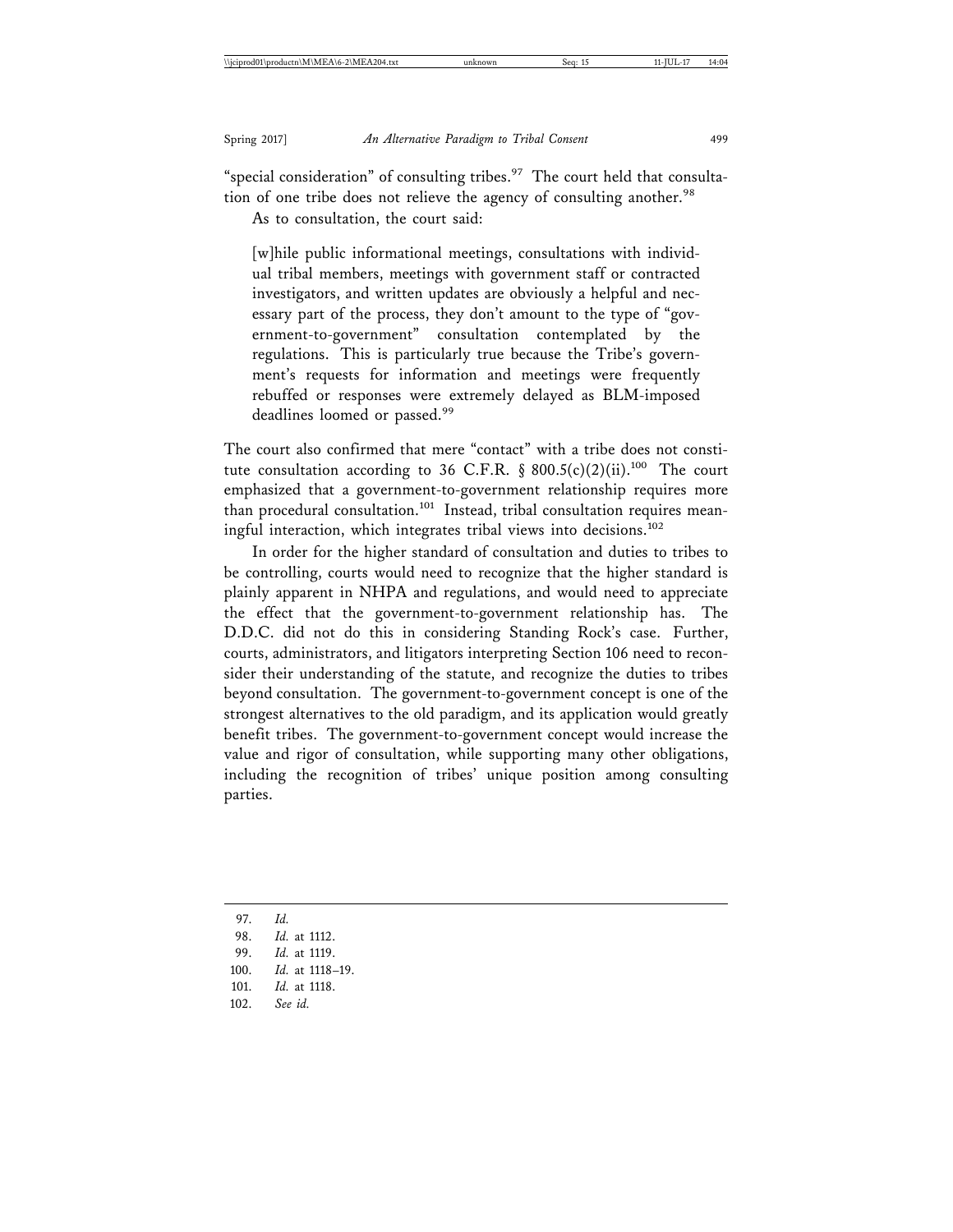"special consideration" of consulting tribes. $97$  The court held that consultation of one tribe does not relieve the agency of consulting another.<sup>98</sup>

As to consultation, the court said:

[w]hile public informational meetings, consultations with individual tribal members, meetings with government staff or contracted investigators, and written updates are obviously a helpful and necessary part of the process, they don't amount to the type of "government-to-government" consultation contemplated by the regulations. This is particularly true because the Tribe's government's requests for information and meetings were frequently rebuffed or responses were extremely delayed as BLM-imposed deadlines loomed or passed.<sup>99</sup>

The court also confirmed that mere "contact" with a tribe does not constitute consultation according to 36 C.F.R. § 800.5(c)(2)(ii).<sup>100</sup> The court emphasized that a government-to-government relationship requires more than procedural consultation.101 Instead, tribal consultation requires meaningful interaction, which integrates tribal views into decisions.<sup>102</sup>

In order for the higher standard of consultation and duties to tribes to be controlling, courts would need to recognize that the higher standard is plainly apparent in NHPA and regulations, and would need to appreciate the effect that the government-to-government relationship has. The D.D.C. did not do this in considering Standing Rock's case. Further, courts, administrators, and litigators interpreting Section 106 need to reconsider their understanding of the statute, and recognize the duties to tribes beyond consultation. The government-to-government concept is one of the strongest alternatives to the old paradigm, and its application would greatly benefit tribes. The government-to-government concept would increase the value and rigor of consultation, while supporting many other obligations, including the recognition of tribes' unique position among consulting parties.

102. *See id.*

<sup>97.</sup> *Id.*

<sup>98.</sup> *Id.* at 1112.

<sup>99.</sup> *Id.* at 1119.

<sup>100.</sup> *Id.* at 1118–19.

<sup>101.</sup> *Id.* at 1118.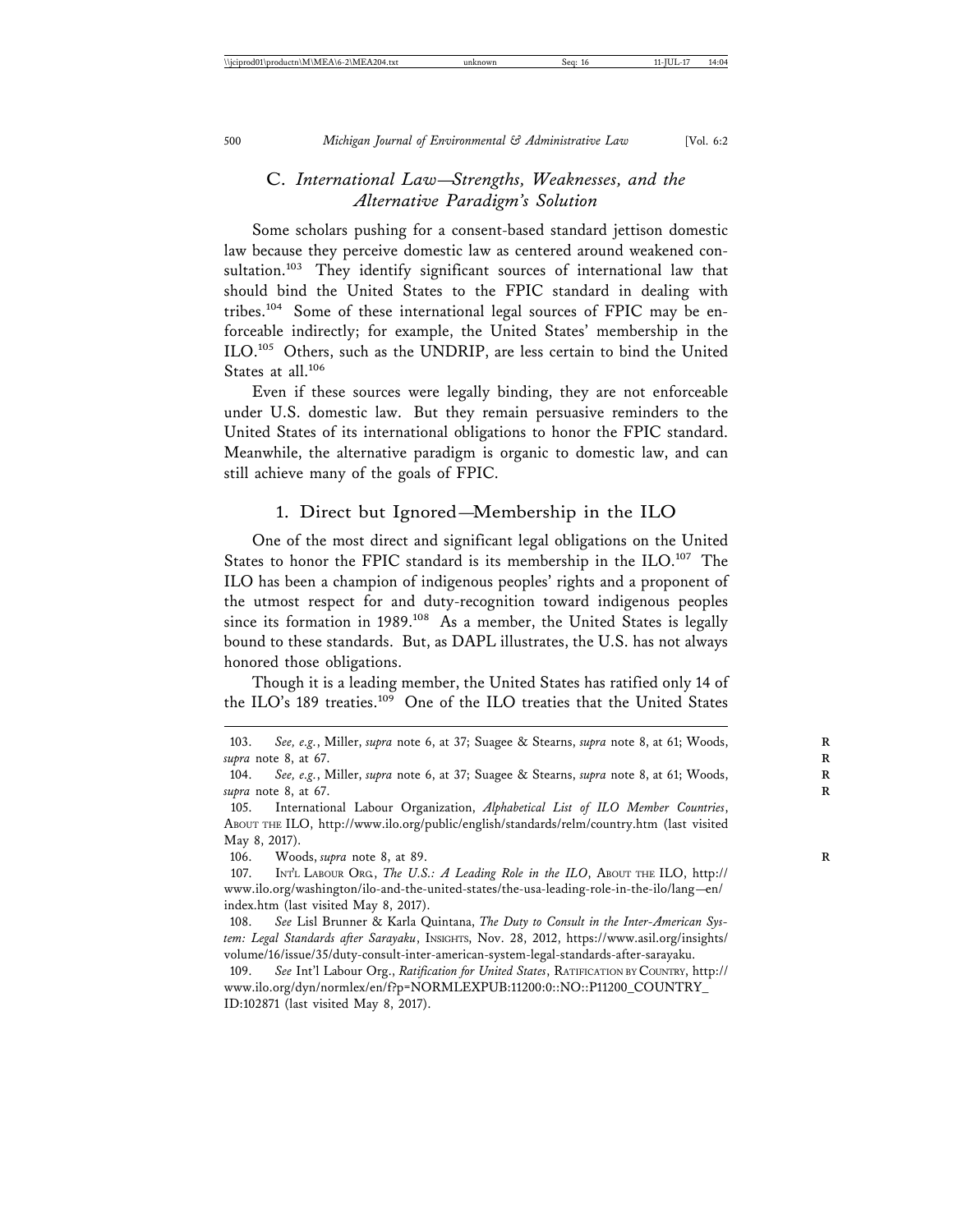# C. *International Law—Strengths, Weaknesses, and the Alternative Paradigm's Solution*

Some scholars pushing for a consent-based standard jettison domestic law because they perceive domestic law as centered around weakened consultation.<sup>103</sup> They identify significant sources of international law that should bind the United States to the FPIC standard in dealing with tribes.104 Some of these international legal sources of FPIC may be enforceable indirectly; for example, the United States' membership in the ILO.105 Others, such as the UNDRIP, are less certain to bind the United States at all.<sup>106</sup>

Even if these sources were legally binding, they are not enforceable under U.S. domestic law. But they remain persuasive reminders to the United States of its international obligations to honor the FPIC standard. Meanwhile, the alternative paradigm is organic to domestic law, and can still achieve many of the goals of FPIC.

## 1. Direct but Ignored—Membership in the ILO

One of the most direct and significant legal obligations on the United States to honor the FPIC standard is its membership in the ILO.<sup>107</sup> The ILO has been a champion of indigenous peoples' rights and a proponent of the utmost respect for and duty-recognition toward indigenous peoples since its formation in 1989.<sup>108</sup> As a member, the United States is legally bound to these standards. But, as DAPL illustrates, the U.S. has not always honored those obligations.

Though it is a leading member, the United States has ratified only 14 of the ILO's 189 treaties.<sup>109</sup> One of the ILO treaties that the United States

105. International Labour Organization, *Alphabetical List of ILO Member Countries*, ABOUT THE ILO, http://www.ilo.org/public/english/standards/relm/country.htm (last visited May 8, 2017).

106. Woods, *supra* note 8, at 89. **R**

107. INT'L LABOUR ORG., *The U.S.: A Leading Role in the ILO*, ABOUT THE ILO, http:// www.ilo.org/washington/ilo-and-the-united-states/the-usa-leading-role-in-the-ilo/lang—en/ index.htm (last visited May 8, 2017).

108. *See* Lisl Brunner & Karla Quintana, *The Duty to Consult in the Inter-American System: Legal Standards after Sarayaku*, INSIGHTS, Nov. 28, 2012, https://www.asil.org/insights/ volume/16/issue/35/duty-consult-inter-american-system-legal-standards-after-sarayaku.

109. *See* Int'l Labour Org., *Ratification for United States*, RATIFICATION BY COUNTRY, http:// www.ilo.org/dyn/normlex/en/f?p=NORMLEXPUB:11200:0::NO::P11200\_COUNTRY\_ ID:102871 (last visited May 8, 2017).

<sup>103.</sup> *See, e.g.*, Miller, *supra* note 6, at 37; Suagee & Stearns, *supra* note 8, at 61; Woods, **R** *supra* note 8, at 67. **R**

<sup>104.</sup> *See, e.g.*, Miller, *supra* note 6, at 37; Suagee & Stearns, *supra* note 8, at 61; Woods, **R** *supra* note 8, at 67. **R**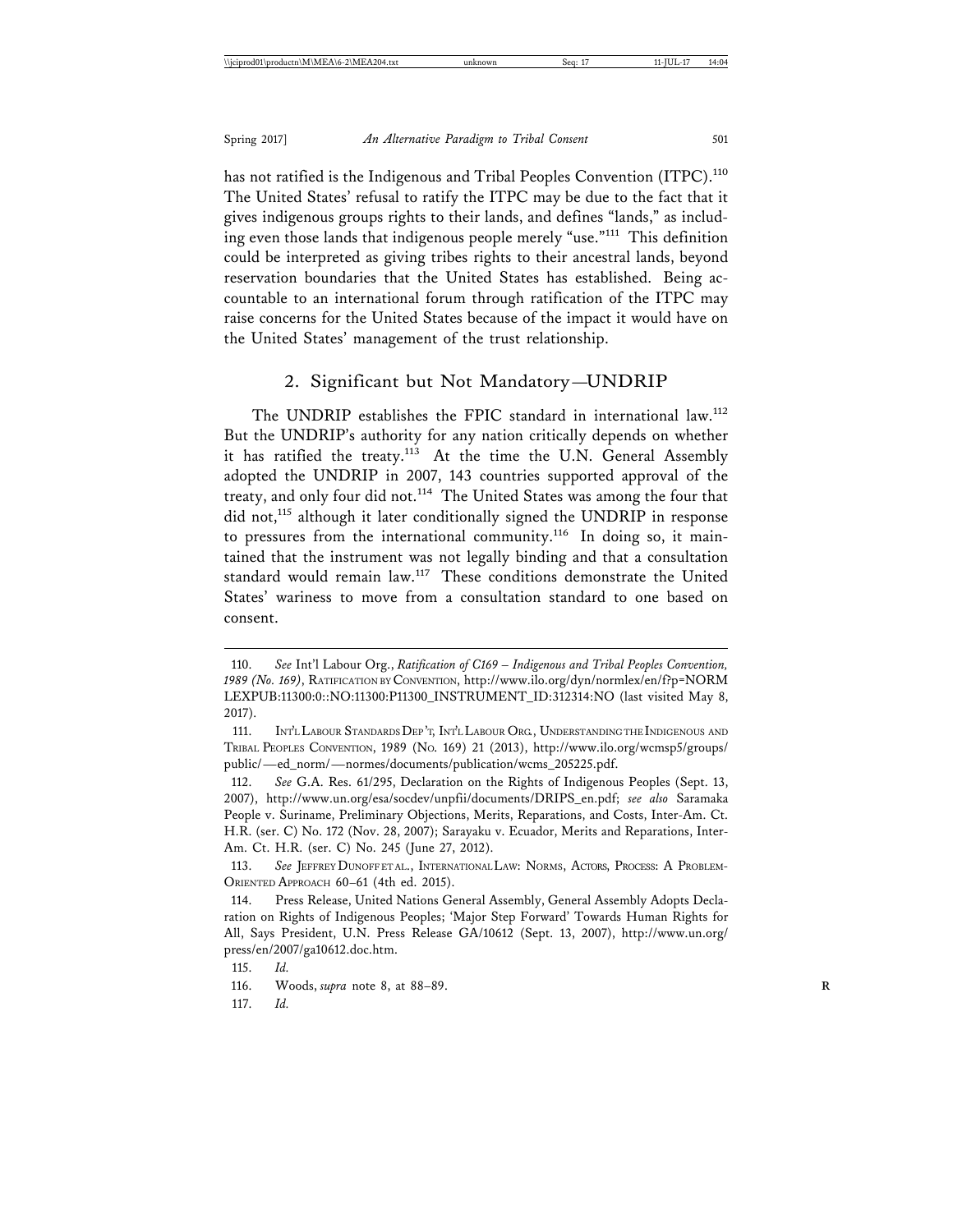has not ratified is the Indigenous and Tribal Peoples Convention (ITPC).<sup>110</sup> The United States' refusal to ratify the ITPC may be due to the fact that it gives indigenous groups rights to their lands, and defines "lands," as including even those lands that indigenous people merely "use."111 This definition could be interpreted as giving tribes rights to their ancestral lands, beyond reservation boundaries that the United States has established. Being accountable to an international forum through ratification of the ITPC may raise concerns for the United States because of the impact it would have on the United States' management of the trust relationship.

## 2. Significant but Not Mandatory—UNDRIP

The UNDRIP establishes the FPIC standard in international law.<sup>112</sup> But the UNDRIP's authority for any nation critically depends on whether it has ratified the treaty.<sup>113</sup> At the time the U.N. General Assembly adopted the UNDRIP in 2007, 143 countries supported approval of the treaty, and only four did not.<sup>114</sup> The United States was among the four that did not,<sup>115</sup> although it later conditionally signed the UNDRIP in response to pressures from the international community.116 In doing so, it maintained that the instrument was not legally binding and that a consultation standard would remain law.117 These conditions demonstrate the United States' wariness to move from a consultation standard to one based on consent.

<sup>110.</sup> *See* Int'l Labour Org., *Ratification of C169 – Indigenous and Tribal Peoples Convention, 1989 (No. 169)*, RATIFICATION BY CONVENTION, http://www.ilo.org/dyn/normlex/en/f?p=NORM LEXPUB:11300:0::NO:11300:P11300\_INSTRUMENT\_ID:312314:NO (last visited May 8, 2017).

<sup>111.</sup> INT'L LABOUR STANDARDS DEP 'T, INT'L LABOUR ORG., UNDERSTANDING THE INDIGENOUS AND TRIBAL PEOPLES CONVENTION, 1989 (NO. 169) 21 (2013), http://www.ilo.org/wcmsp5/groups/ public/—ed\_norm/—normes/documents/publication/wcms\_205225.pdf.

<sup>112.</sup> *See* G.A. Res. 61/295, Declaration on the Rights of Indigenous Peoples (Sept. 13, 2007), http://www.un.org/esa/socdev/unpfii/documents/DRIPS\_en.pdf; *see also* Saramaka People v. Suriname, Preliminary Objections, Merits, Reparations, and Costs, Inter-Am. Ct. H.R. (ser. C) No. 172 (Nov. 28, 2007); Sarayaku v. Ecuador, Merits and Reparations, Inter-Am. Ct. H.R. (ser. C) No. 245 (June 27, 2012).

<sup>113.</sup> See JEFFREY DUNOFF ET AL., INTERNATIONAL LAW: NORMS, ACTORS, PROCESS: A PROBLEM-ORIENTED APPROACH 60–61 (4th ed. 2015).

<sup>114.</sup> Press Release, United Nations General Assembly, General Assembly Adopts Declaration on Rights of Indigenous Peoples; 'Major Step Forward' Towards Human Rights for All, Says President, U.N. Press Release GA/10612 (Sept. 13, 2007), http://www.un.org/ press/en/2007/ga10612.doc.htm.

<sup>115.</sup> *Id.*

<sup>116.</sup> Woods, *supra* note 8, at 88–89. **R**

<sup>117.</sup> *Id.*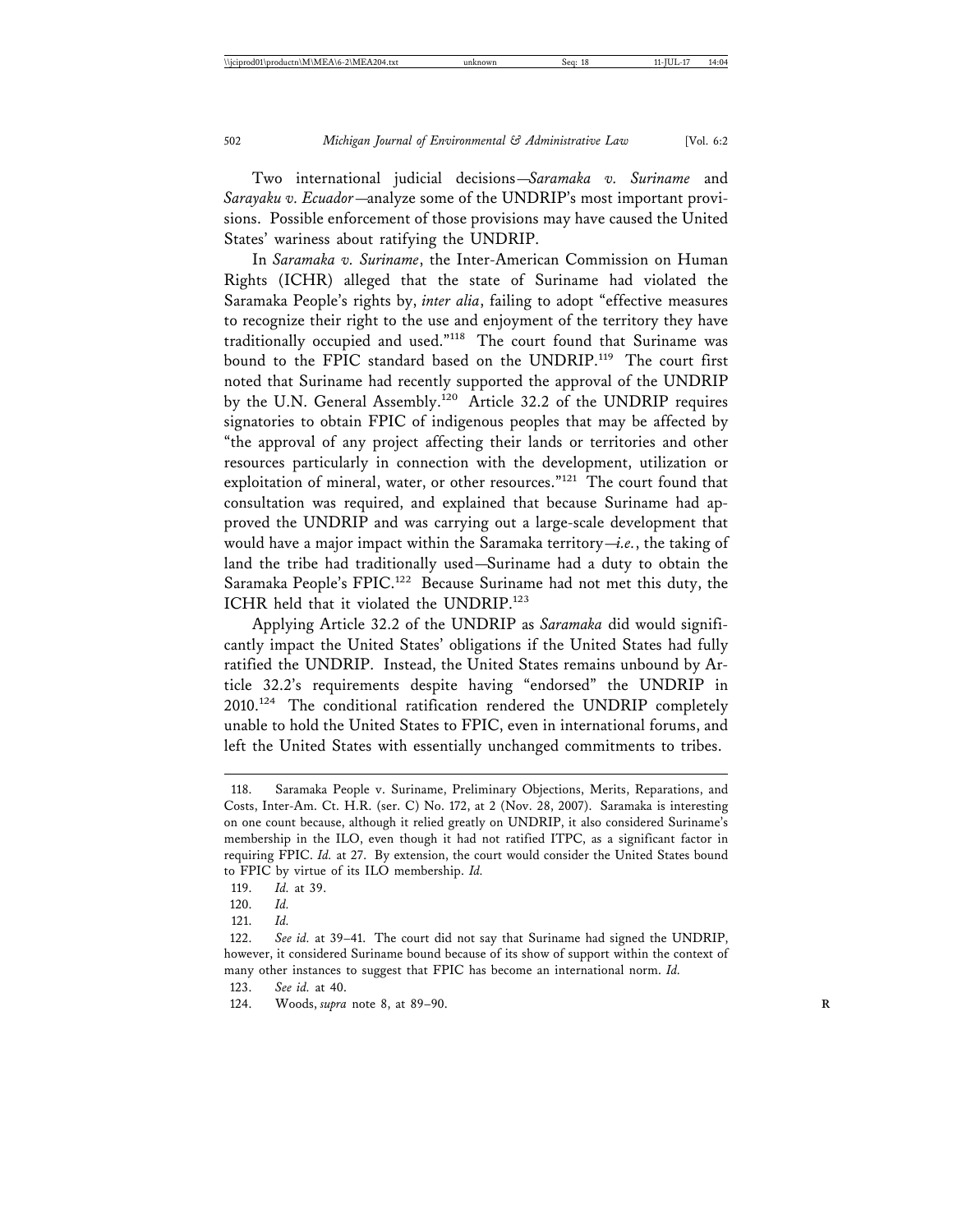Two international judicial decisions—*Saramaka v. Suriname* and *Sarayaku v. Ecuador*—analyze some of the UNDRIP's most important provisions. Possible enforcement of those provisions may have caused the United States' wariness about ratifying the UNDRIP.

In *Saramaka v. Suriname*, the Inter-American Commission on Human Rights (ICHR) alleged that the state of Suriname had violated the Saramaka People's rights by, *inter alia*, failing to adopt "effective measures to recognize their right to the use and enjoyment of the territory they have traditionally occupied and used."118 The court found that Suriname was bound to the FPIC standard based on the UNDRIP.<sup>119</sup> The court first noted that Suriname had recently supported the approval of the UNDRIP by the U.N. General Assembly.<sup>120</sup> Article 32.2 of the UNDRIP requires signatories to obtain FPIC of indigenous peoples that may be affected by "the approval of any project affecting their lands or territories and other resources particularly in connection with the development, utilization or exploitation of mineral, water, or other resources."<sup>121</sup> The court found that consultation was required, and explained that because Suriname had approved the UNDRIP and was carrying out a large-scale development that would have a major impact within the Saramaka territory—*i.e.*, the taking of land the tribe had traditionally used—Suriname had a duty to obtain the Saramaka People's FPIC.122 Because Suriname had not met this duty, the ICHR held that it violated the UNDRIP.<sup>123</sup>

Applying Article 32.2 of the UNDRIP as *Saramaka* did would significantly impact the United States' obligations if the United States had fully ratified the UNDRIP. Instead, the United States remains unbound by Article 32.2's requirements despite having "endorsed" the UNDRIP in 2010.124 The conditional ratification rendered the UNDRIP completely unable to hold the United States to FPIC, even in international forums, and left the United States with essentially unchanged commitments to tribes.

<sup>118.</sup> Saramaka People v. Suriname, Preliminary Objections, Merits, Reparations, and Costs, Inter-Am. Ct. H.R. (ser. C) No. 172, at 2 (Nov. 28, 2007). Saramaka is interesting on one count because, although it relied greatly on UNDRIP, it also considered Suriname's membership in the ILO, even though it had not ratified ITPC, as a significant factor in requiring FPIC. *Id.* at 27. By extension, the court would consider the United States bound to FPIC by virtue of its ILO membership. *Id.*

<sup>119.</sup> *Id.* at 39.

<sup>120.</sup> *Id.*

<sup>121.</sup> *Id.*

<sup>122.</sup> *See id.* at 39–41. The court did not say that Suriname had signed the UNDRIP, however, it considered Suriname bound because of its show of support within the context of many other instances to suggest that FPIC has become an international norm. *Id.*

<sup>123.</sup> *See id.* at 40.

<sup>124.</sup> Woods, *supra* note 8, at 89–90. **R**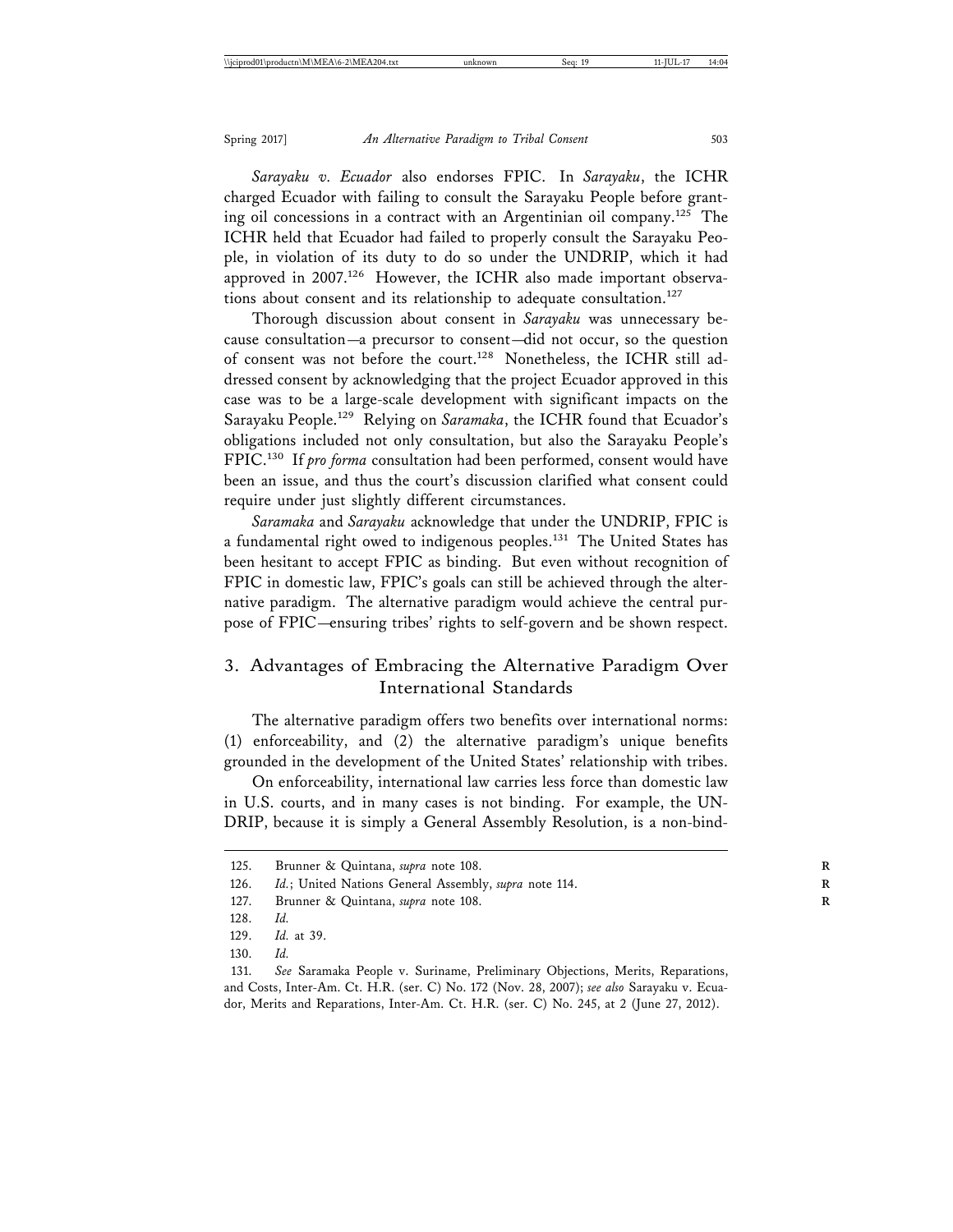*Sarayaku v. Ecuador* also endorses FPIC. In *Sarayaku*, the ICHR charged Ecuador with failing to consult the Sarayaku People before granting oil concessions in a contract with an Argentinian oil company.125 The ICHR held that Ecuador had failed to properly consult the Sarayaku People, in violation of its duty to do so under the UNDRIP, which it had approved in 2007.<sup>126</sup> However, the ICHR also made important observations about consent and its relationship to adequate consultation.<sup>127</sup>

Thorough discussion about consent in *Sarayaku* was unnecessary because consultation—a precursor to consent—did not occur, so the question of consent was not before the court.<sup>128</sup> Nonetheless, the ICHR still addressed consent by acknowledging that the project Ecuador approved in this case was to be a large-scale development with significant impacts on the Sarayaku People.129 Relying on *Saramaka*, the ICHR found that Ecuador's obligations included not only consultation, but also the Sarayaku People's FPIC.<sup>130</sup> If *pro forma* consultation had been performed, consent would have been an issue, and thus the court's discussion clarified what consent could require under just slightly different circumstances.

*Saramaka* and *Sarayaku* acknowledge that under the UNDRIP, FPIC is a fundamental right owed to indigenous peoples.<sup>131</sup> The United States has been hesitant to accept FPIC as binding. But even without recognition of FPIC in domestic law, FPIC's goals can still be achieved through the alternative paradigm. The alternative paradigm would achieve the central purpose of FPIC—ensuring tribes' rights to self-govern and be shown respect.

# 3. Advantages of Embracing the Alternative Paradigm Over International Standards

The alternative paradigm offers two benefits over international norms: (1) enforceability, and (2) the alternative paradigm's unique benefits grounded in the development of the United States' relationship with tribes.

On enforceability, international law carries less force than domestic law in U.S. courts, and in many cases is not binding. For example, the UN-DRIP, because it is simply a General Assembly Resolution, is a non-bind-

<sup>125.</sup> Brunner & Quintana, *supra* note 108. **R**

<sup>126.</sup> *Id.*; United Nations General Assembly, *supra* note 114.

<sup>127.</sup> Brunner & Quintana, *supra* note 108. **R**

<sup>128.</sup> *Id.*

<sup>129.</sup> *Id.* at 39.

<sup>130.</sup> *Id.*

<sup>131.</sup> *See* Saramaka People v. Suriname, Preliminary Objections, Merits, Reparations, and Costs, Inter-Am. Ct. H.R. (ser. C) No. 172 (Nov. 28, 2007); *see also* Sarayaku v. Ecuador, Merits and Reparations, Inter-Am. Ct. H.R. (ser. C) No. 245, at 2 (June 27, 2012).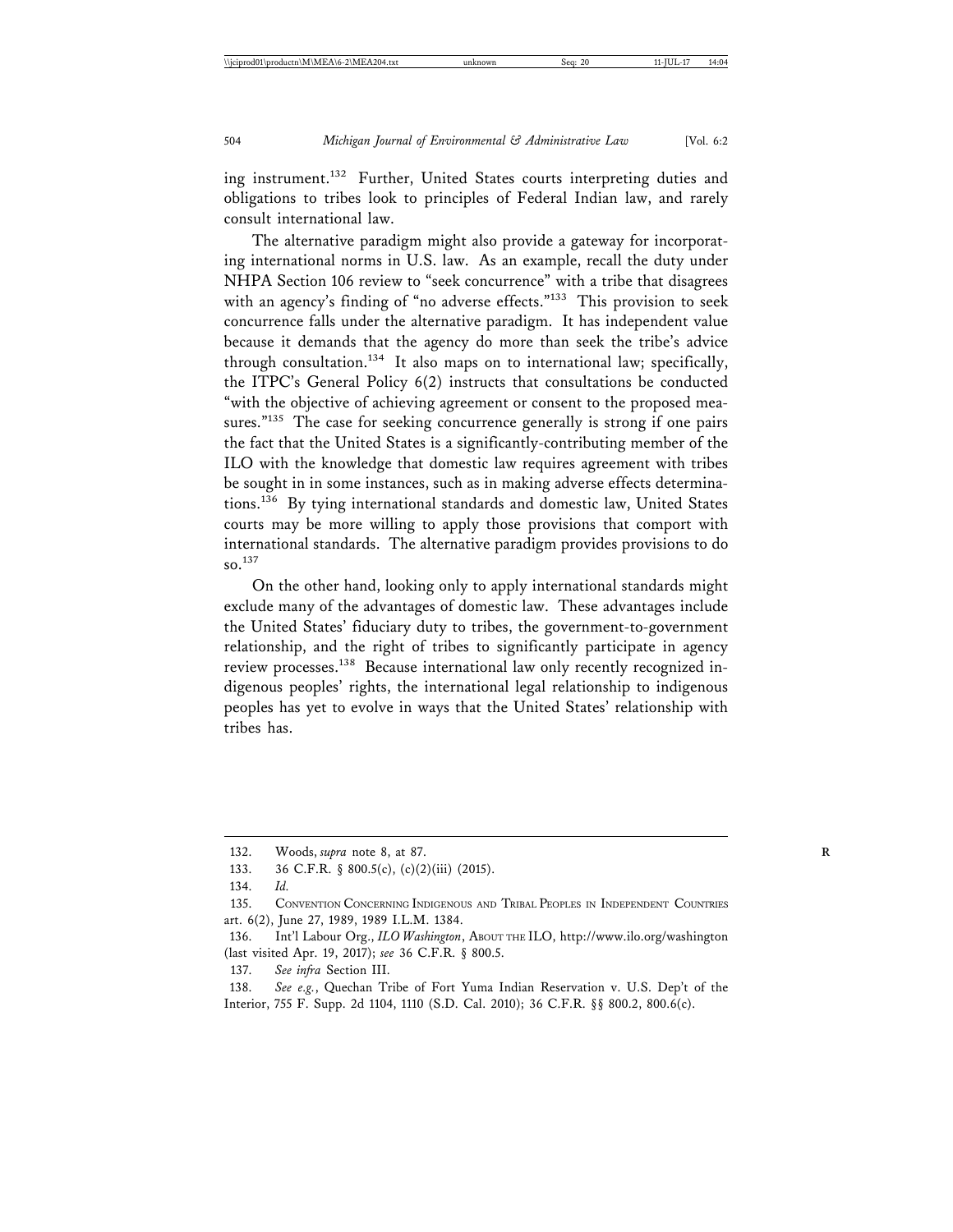ing instrument.<sup>132</sup> Further, United States courts interpreting duties and obligations to tribes look to principles of Federal Indian law, and rarely consult international law.

The alternative paradigm might also provide a gateway for incorporating international norms in U.S. law. As an example, recall the duty under NHPA Section 106 review to "seek concurrence" with a tribe that disagrees with an agency's finding of "no adverse effects."<sup>133</sup> This provision to seek concurrence falls under the alternative paradigm. It has independent value because it demands that the agency do more than seek the tribe's advice through consultation.<sup>134</sup> It also maps on to international law; specifically, the ITPC's General Policy 6(2) instructs that consultations be conducted "with the objective of achieving agreement or consent to the proposed measures."<sup>135</sup> The case for seeking concurrence generally is strong if one pairs the fact that the United States is a significantly-contributing member of the ILO with the knowledge that domestic law requires agreement with tribes be sought in in some instances, such as in making adverse effects determinations.136 By tying international standards and domestic law, United States courts may be more willing to apply those provisions that comport with international standards. The alternative paradigm provides provisions to do so.137

On the other hand, looking only to apply international standards might exclude many of the advantages of domestic law. These advantages include the United States' fiduciary duty to tribes, the government-to-government relationship, and the right of tribes to significantly participate in agency review processes.<sup>138</sup> Because international law only recently recognized indigenous peoples' rights, the international legal relationship to indigenous peoples has yet to evolve in ways that the United States' relationship with tribes has.

<sup>132.</sup> Woods, *supra* note 8, at 87. **R**

<sup>133. 36</sup> C.F.R. § 800.5(c), (c)(2)(iii) (2015).

<sup>134.</sup> *Id.*

<sup>135.</sup> CONVENTION CONCERNING INDIGENOUS AND TRIBAL PEOPLES IN INDEPENDENT COUNTRIES art. 6(2), June 27, 1989, 1989 I.L.M. 1384.

<sup>136.</sup> Int'l Labour Org., *ILO Washington*, ABOUT THE ILO, http://www.ilo.org/washington (last visited Apr. 19, 2017); *see* 36 C.F.R. § 800.5.

<sup>137.</sup> *See infra* Section III.

<sup>138.</sup> *See e.g.*, Quechan Tribe of Fort Yuma Indian Reservation v. U.S. Dep't of the Interior, 755 F. Supp. 2d 1104, 1110 (S.D. Cal. 2010); 36 C.F.R. §§ 800.2, 800.6(c).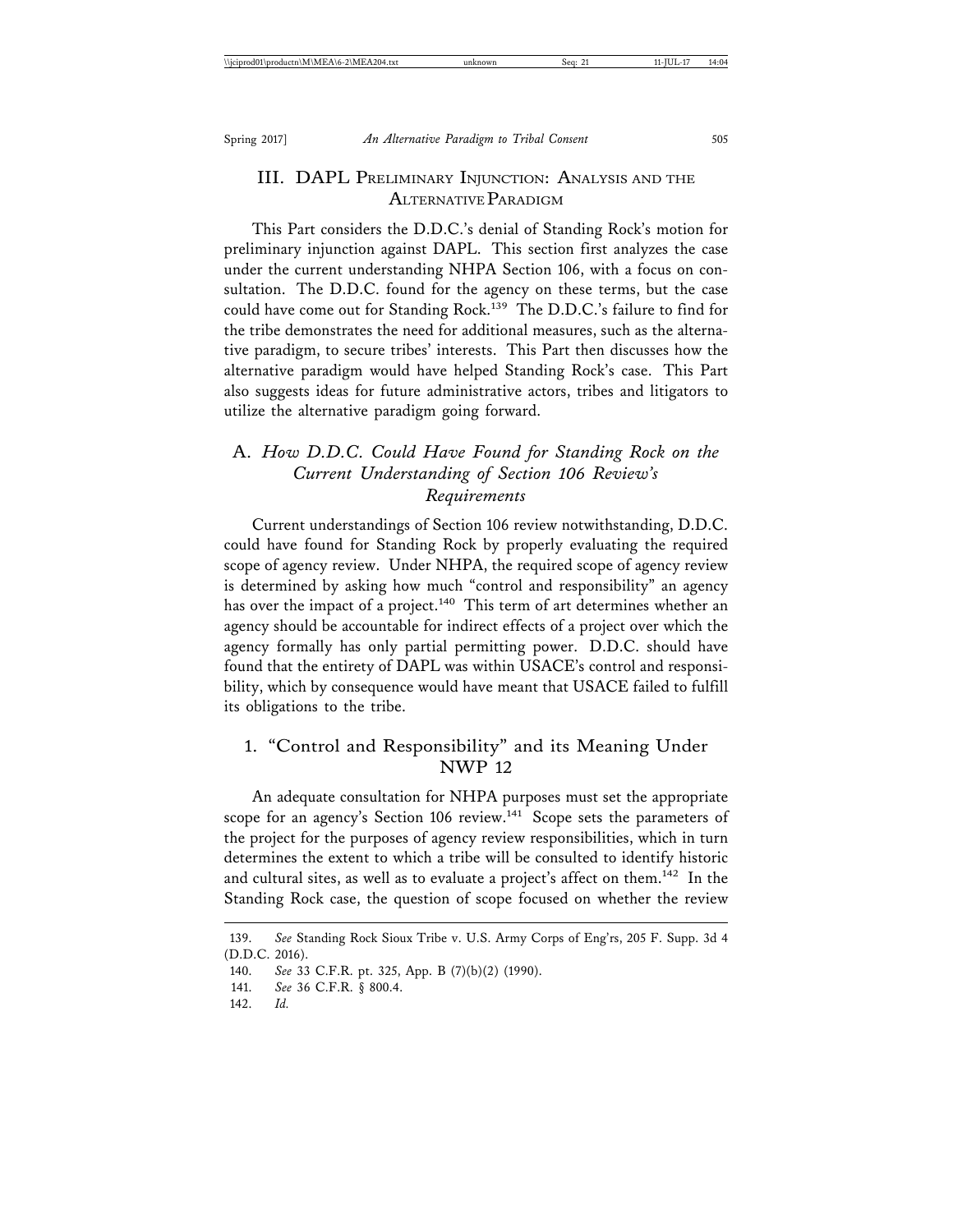# III. DAPL PRELIMINARY INJUNCTION: ANALYSIS AND THE ALTERNATIVE PARADIGM

This Part considers the D.D.C.'s denial of Standing Rock's motion for preliminary injunction against DAPL. This section first analyzes the case under the current understanding NHPA Section 106, with a focus on consultation. The D.D.C. found for the agency on these terms, but the case could have come out for Standing Rock.<sup>139</sup> The D.D.C.'s failure to find for the tribe demonstrates the need for additional measures, such as the alternative paradigm, to secure tribes' interests. This Part then discusses how the alternative paradigm would have helped Standing Rock's case. This Part also suggests ideas for future administrative actors, tribes and litigators to utilize the alternative paradigm going forward.

# A. *How D.D.C. Could Have Found for Standing Rock on the Current Understanding of Section 106 Review's Requirements*

Current understandings of Section 106 review notwithstanding, D.D.C. could have found for Standing Rock by properly evaluating the required scope of agency review. Under NHPA, the required scope of agency review is determined by asking how much "control and responsibility" an agency has over the impact of a project.<sup>140</sup> This term of art determines whether an agency should be accountable for indirect effects of a project over which the agency formally has only partial permitting power. D.D.C. should have found that the entirety of DAPL was within USACE's control and responsibility, which by consequence would have meant that USACE failed to fulfill its obligations to the tribe.

# 1. "Control and Responsibility" and its Meaning Under NWP 12

An adequate consultation for NHPA purposes must set the appropriate scope for an agency's Section 106 review.<sup>141</sup> Scope sets the parameters of the project for the purposes of agency review responsibilities, which in turn determines the extent to which a tribe will be consulted to identify historic and cultural sites, as well as to evaluate a project's affect on them.<sup>142</sup> In the Standing Rock case, the question of scope focused on whether the review

<sup>139.</sup> *See* Standing Rock Sioux Tribe v. U.S. Army Corps of Eng'rs, 205 F. Supp. 3d 4 (D.D.C. 2016).

<sup>140.</sup> *See* 33 C.F.R. pt. 325, App. B (7)(b)(2) (1990).

<sup>141.</sup> *See* 36 C.F.R. § 800.4.

<sup>142.</sup> *Id.*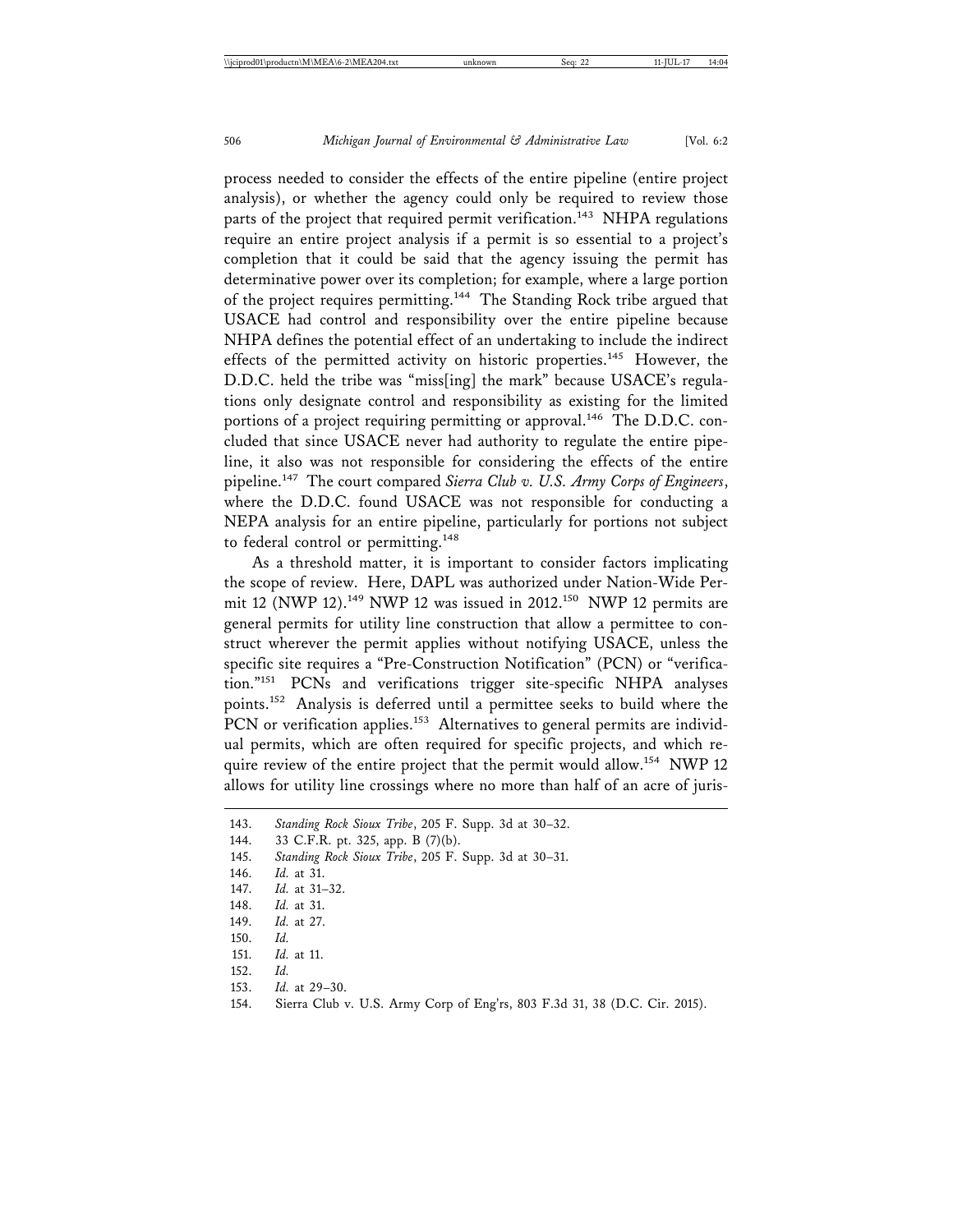process needed to consider the effects of the entire pipeline (entire project analysis), or whether the agency could only be required to review those parts of the project that required permit verification.<sup>143</sup> NHPA regulations require an entire project analysis if a permit is so essential to a project's completion that it could be said that the agency issuing the permit has determinative power over its completion; for example, where a large portion of the project requires permitting.144 The Standing Rock tribe argued that USACE had control and responsibility over the entire pipeline because NHPA defines the potential effect of an undertaking to include the indirect effects of the permitted activity on historic properties.<sup>145</sup> However, the D.D.C. held the tribe was "miss[ing] the mark" because USACE's regulations only designate control and responsibility as existing for the limited portions of a project requiring permitting or approval.<sup>146</sup> The D.D.C. concluded that since USACE never had authority to regulate the entire pipeline, it also was not responsible for considering the effects of the entire pipeline.147 The court compared *Sierra Club v. U.S. Army Corps of Engineers*, where the D.D.C. found USACE was not responsible for conducting a NEPA analysis for an entire pipeline, particularly for portions not subject to federal control or permitting.<sup>148</sup>

As a threshold matter, it is important to consider factors implicating the scope of review. Here, DAPL was authorized under Nation-Wide Permit 12 (NWP 12).<sup>149</sup> NWP 12 was issued in 2012.<sup>150</sup> NWP 12 permits are general permits for utility line construction that allow a permittee to construct wherever the permit applies without notifying USACE, unless the specific site requires a "Pre-Construction Notification" (PCN) or "verification."151 PCNs and verifications trigger site-specific NHPA analyses points.152 Analysis is deferred until a permittee seeks to build where the PCN or verification applies.<sup>153</sup> Alternatives to general permits are individual permits, which are often required for specific projects, and which require review of the entire project that the permit would allow.<sup>154</sup> NWP 12 allows for utility line crossings where no more than half of an acre of juris-

<sup>143.</sup> *Standing Rock Sioux Tribe*, 205 F. Supp. 3d at 30–32. 144. 33 C.F.R. pt. 325, app. B (7)(b). 145. *Standing Rock Sioux Tribe*, 205 F. Supp. 3d at 30–31. 146. *Id.* at 31. 147. *Id.* at 31–32. 148. *Id.* at 31. 149. *Id.* at 27. 150. *Id.* 151. *Id.* at 11. 152. *Id.* 153. *Id.* at 29–30. 154. Sierra Club v. U.S. Army Corp of Eng'rs, 803 F.3d 31, 38 (D.C. Cir. 2015).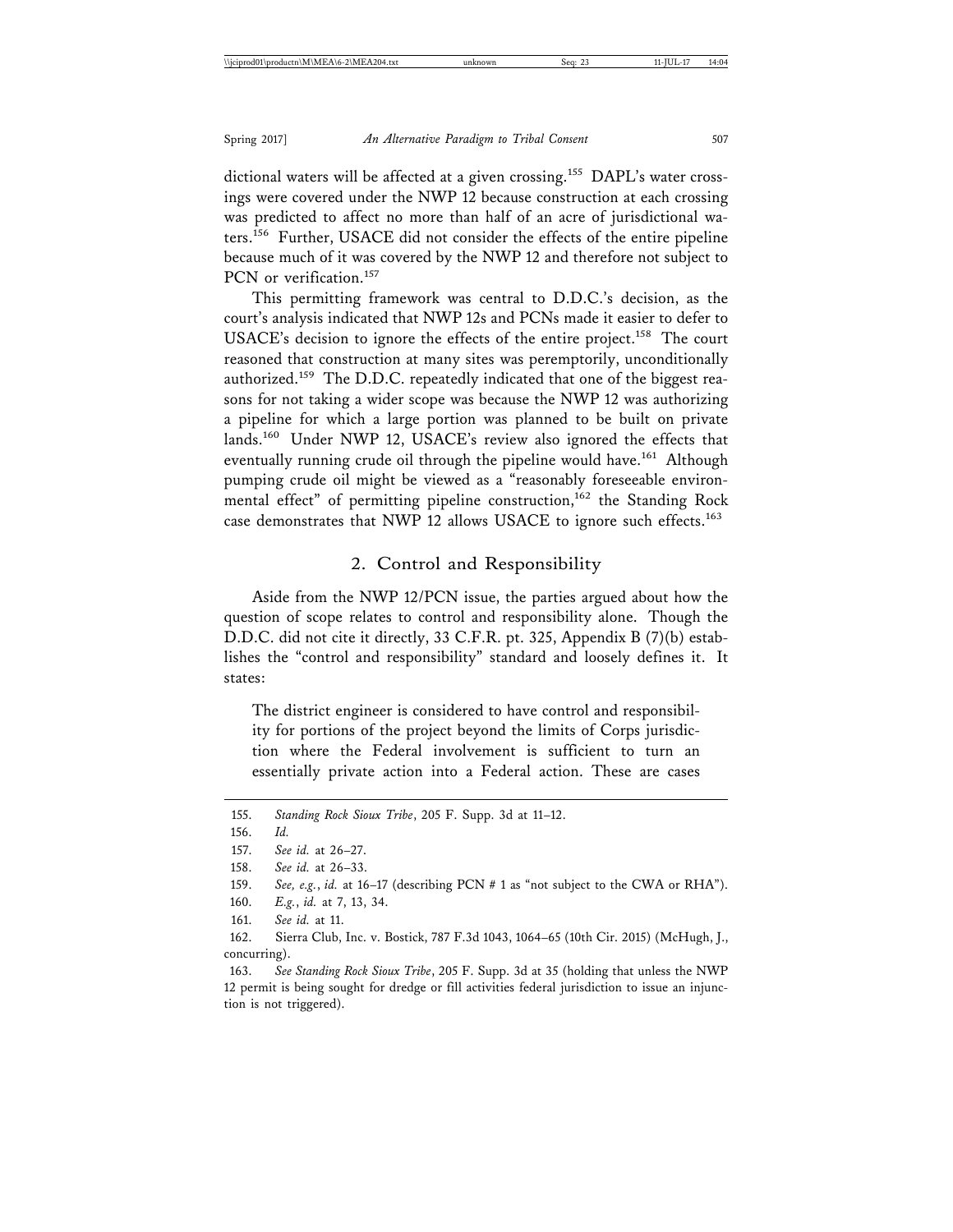dictional waters will be affected at a given crossing.<sup>155</sup> DAPL's water crossings were covered under the NWP 12 because construction at each crossing was predicted to affect no more than half of an acre of jurisdictional waters.156 Further, USACE did not consider the effects of the entire pipeline because much of it was covered by the NWP 12 and therefore not subject to PCN or verification.<sup>157</sup>

This permitting framework was central to D.D.C.'s decision, as the court's analysis indicated that NWP 12s and PCNs made it easier to defer to USACE's decision to ignore the effects of the entire project.<sup>158</sup> The court reasoned that construction at many sites was peremptorily, unconditionally authorized.159 The D.D.C. repeatedly indicated that one of the biggest reasons for not taking a wider scope was because the NWP 12 was authorizing a pipeline for which a large portion was planned to be built on private lands.<sup>160</sup> Under NWP 12, USACE's review also ignored the effects that eventually running crude oil through the pipeline would have.<sup>161</sup> Although pumping crude oil might be viewed as a "reasonably foreseeable environmental effect" of permitting pipeline construction,<sup>162</sup> the Standing Rock case demonstrates that NWP 12 allows USACE to ignore such effects.<sup>163</sup>

## 2. Control and Responsibility

Aside from the NWP 12/PCN issue, the parties argued about how the question of scope relates to control and responsibility alone. Though the D.D.C. did not cite it directly, 33 C.F.R. pt. 325, Appendix B (7)(b) establishes the "control and responsibility" standard and loosely defines it. It states:

The district engineer is considered to have control and responsibility for portions of the project beyond the limits of Corps jurisdiction where the Federal involvement is sufficient to turn an essentially private action into a Federal action. These are cases

<sup>155.</sup> *Standing Rock Sioux Tribe*, 205 F. Supp. 3d at 11–12.

<sup>156.</sup> *Id.*

<sup>157.</sup> *See id.* at 26–27.

<sup>158.</sup> *See id.* at 26–33.

<sup>159.</sup> *See, e.g.*, *id.* at 16–17 (describing PCN # 1 as "not subject to the CWA or RHA").

<sup>160.</sup> *E.g.*, *id.* at 7, 13, 34.

<sup>161.</sup> *See id.* at 11.

<sup>162.</sup> Sierra Club, Inc. v. Bostick, 787 F.3d 1043, 1064–65 (10th Cir. 2015) (McHugh, J., concurring).

<sup>163.</sup> *See Standing Rock Sioux Tribe*, 205 F. Supp. 3d at 35 (holding that unless the NWP 12 permit is being sought for dredge or fill activities federal jurisdiction to issue an injunction is not triggered).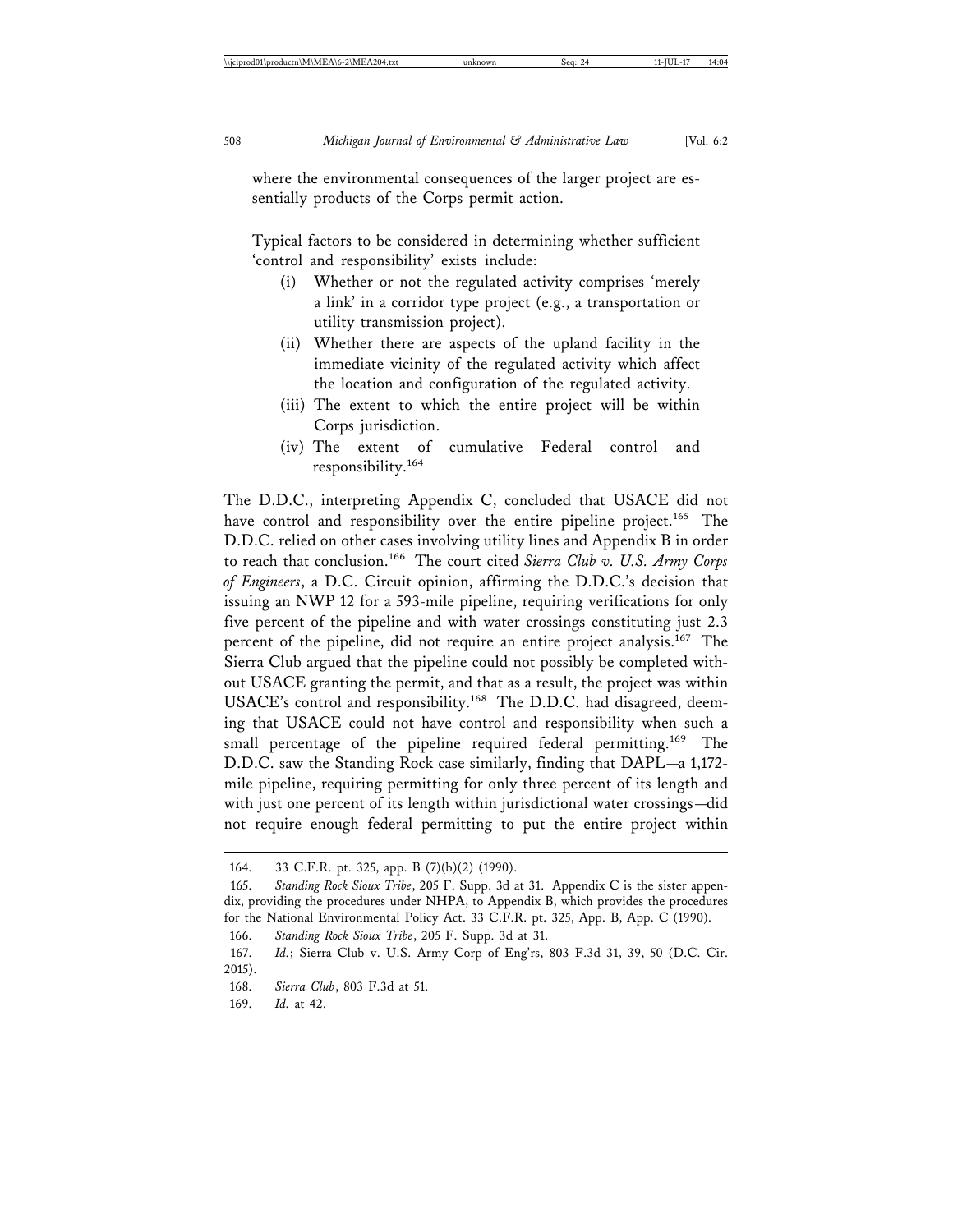where the environmental consequences of the larger project are essentially products of the Corps permit action.

Typical factors to be considered in determining whether sufficient 'control and responsibility' exists include:

- (i) Whether or not the regulated activity comprises 'merely a link' in a corridor type project (e.g., a transportation or utility transmission project).
- (ii) Whether there are aspects of the upland facility in the immediate vicinity of the regulated activity which affect the location and configuration of the regulated activity.
- (iii) The extent to which the entire project will be within Corps jurisdiction.
- (iv) The extent of cumulative Federal control and responsibility.<sup>164</sup>

The D.D.C., interpreting Appendix C, concluded that USACE did not have control and responsibility over the entire pipeline project.<sup>165</sup> The D.D.C. relied on other cases involving utility lines and Appendix B in order to reach that conclusion.166 The court cited *Sierra Club v. U.S. Army Corps of Engineers*, a D.C. Circuit opinion, affirming the D.D.C.'s decision that issuing an NWP 12 for a 593-mile pipeline, requiring verifications for only five percent of the pipeline and with water crossings constituting just 2.3 percent of the pipeline, did not require an entire project analysis.167 The Sierra Club argued that the pipeline could not possibly be completed without USACE granting the permit, and that as a result, the project was within USACE's control and responsibility.168 The D.D.C. had disagreed, deeming that USACE could not have control and responsibility when such a small percentage of the pipeline required federal permitting.<sup>169</sup> The D.D.C. saw the Standing Rock case similarly, finding that DAPL—a 1,172 mile pipeline, requiring permitting for only three percent of its length and with just one percent of its length within jurisdictional water crossings—did not require enough federal permitting to put the entire project within

166. *Standing Rock Sioux Tribe*, 205 F. Supp. 3d at 31.

<sup>164. 33</sup> C.F.R. pt. 325, app. B (7)(b)(2) (1990).

<sup>165.</sup> *Standing Rock Sioux Tribe*, 205 F. Supp. 3d at 31. Appendix C is the sister appendix, providing the procedures under NHPA, to Appendix B, which provides the procedures for the National Environmental Policy Act. 33 C.F.R. pt. 325, App. B, App. C (1990).

<sup>167.</sup> *Id.*; Sierra Club v. U.S. Army Corp of Eng'rs, 803 F.3d 31, 39, 50 (D.C. Cir. 2015).

<sup>168.</sup> *Sierra Club*, 803 F.3d at 51.

<sup>169.</sup> *Id.* at 42.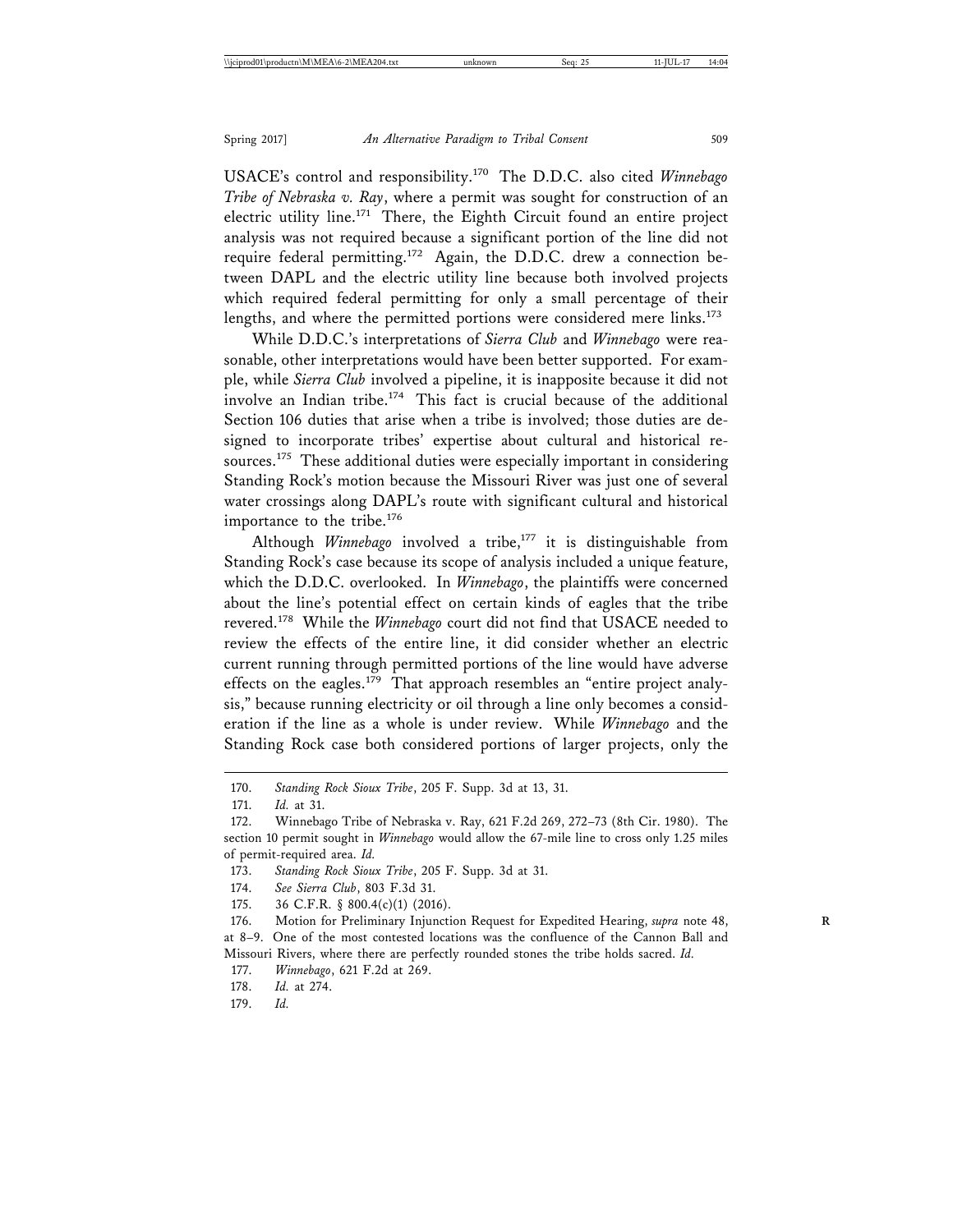USACE's control and responsibility.170 The D.D.C. also cited *Winnebago Tribe of Nebraska v. Ray*, where a permit was sought for construction of an electric utility line.<sup>171</sup> There, the Eighth Circuit found an entire project analysis was not required because a significant portion of the line did not require federal permitting.<sup>172</sup> Again, the D.D.C. drew a connection between DAPL and the electric utility line because both involved projects which required federal permitting for only a small percentage of their lengths, and where the permitted portions were considered mere links.<sup>173</sup>

While D.D.C.'s interpretations of *Sierra Club* and *Winnebago* were reasonable, other interpretations would have been better supported. For example, while *Sierra Club* involved a pipeline, it is inapposite because it did not involve an Indian tribe.<sup>174</sup> This fact is crucial because of the additional Section 106 duties that arise when a tribe is involved; those duties are designed to incorporate tribes' expertise about cultural and historical resources.<sup>175</sup> These additional duties were especially important in considering Standing Rock's motion because the Missouri River was just one of several water crossings along DAPL's route with significant cultural and historical importance to the tribe.<sup>176</sup>

Although *Winnebago* involved a tribe,<sup>177</sup> it is distinguishable from Standing Rock's case because its scope of analysis included a unique feature, which the D.D.C. overlooked. In *Winnebago*, the plaintiffs were concerned about the line's potential effect on certain kinds of eagles that the tribe revered.178 While the *Winnebago* court did not find that USACE needed to review the effects of the entire line, it did consider whether an electric current running through permitted portions of the line would have adverse effects on the eagles.<sup>179</sup> That approach resembles an "entire project analysis," because running electricity or oil through a line only becomes a consideration if the line as a whole is under review. While *Winnebago* and the Standing Rock case both considered portions of larger projects, only the

175. 36 C.F.R. § 800.4(c)(1) (2016).

179. *Id.*

<sup>170.</sup> *Standing Rock Sioux Tribe*, 205 F. Supp. 3d at 13, 31.

<sup>171.</sup> *Id.* at 31.

<sup>172.</sup> Winnebago Tribe of Nebraska v. Ray, 621 F.2d 269, 272–73 (8th Cir. 1980). The section 10 permit sought in *Winnebago* would allow the 67-mile line to cross only 1.25 miles of permit-required area. *Id.*

<sup>173.</sup> *Standing Rock Sioux Tribe*, 205 F. Supp. 3d at 31.

<sup>174.</sup> *See Sierra Club*, 803 F.3d 31.

<sup>176.</sup> Motion for Preliminary Injunction Request for Expedited Hearing, *supra* note 48, at 8–9. One of the most contested locations was the confluence of the Cannon Ball and Missouri Rivers, where there are perfectly rounded stones the tribe holds sacred. *Id.*

<sup>177.</sup> *Winnebago*, 621 F.2d at 269.

<sup>178.</sup> *Id.* at 274.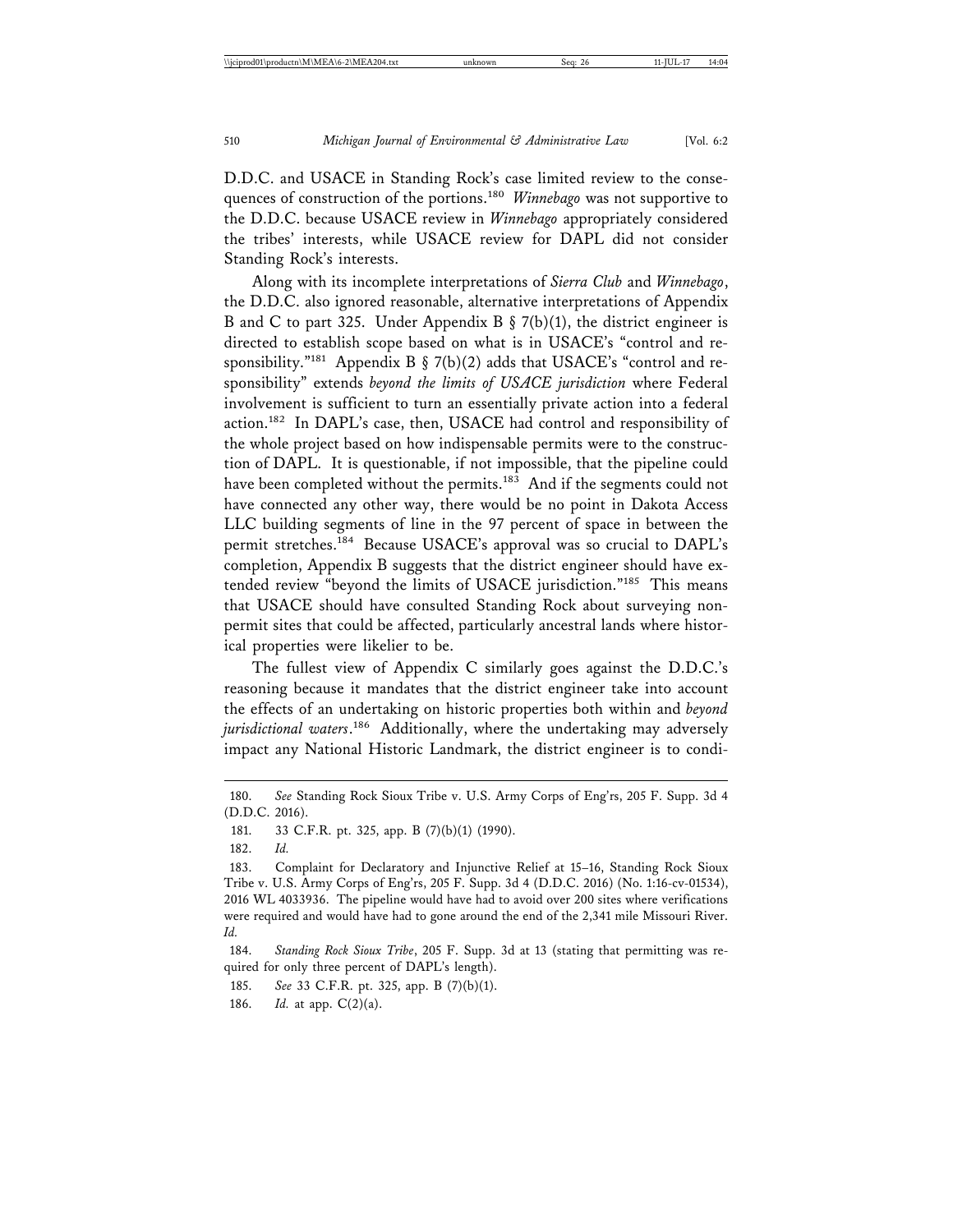D.D.C. and USACE in Standing Rock's case limited review to the consequences of construction of the portions.<sup>180</sup> *Winnebago* was not supportive to the D.D.C. because USACE review in *Winnebago* appropriately considered the tribes' interests, while USACE review for DAPL did not consider Standing Rock's interests.

Along with its incomplete interpretations of *Sierra Club* and *Winnebago*, the D.D.C. also ignored reasonable, alternative interpretations of Appendix B and C to part 325. Under Appendix B  $\S$  7(b)(1), the district engineer is directed to establish scope based on what is in USACE's "control and responsibility."<sup>181</sup> Appendix B § 7(b)(2) adds that USACE's "control and responsibility" extends *beyond the limits of USACE jurisdiction* where Federal involvement is sufficient to turn an essentially private action into a federal action.<sup>182</sup> In DAPL's case, then, USACE had control and responsibility of the whole project based on how indispensable permits were to the construction of DAPL. It is questionable, if not impossible, that the pipeline could have been completed without the permits.<sup>183</sup> And if the segments could not have connected any other way, there would be no point in Dakota Access LLC building segments of line in the 97 percent of space in between the permit stretches.184 Because USACE's approval was so crucial to DAPL's completion, Appendix B suggests that the district engineer should have extended review "beyond the limits of USACE jurisdiction."185 This means that USACE should have consulted Standing Rock about surveying nonpermit sites that could be affected, particularly ancestral lands where historical properties were likelier to be.

The fullest view of Appendix C similarly goes against the D.D.C.'s reasoning because it mandates that the district engineer take into account the effects of an undertaking on historic properties both within and *beyond jurisdictional waters*. 186 Additionally, where the undertaking may adversely impact any National Historic Landmark, the district engineer is to condi-

184. *Standing Rock Sioux Tribe*, 205 F. Supp. 3d at 13 (stating that permitting was required for only three percent of DAPL's length).

185. *See* 33 C.F.R. pt. 325, app. B (7)(b)(1).

186. *Id.* at app. C(2)(a).

<sup>180.</sup> *See* Standing Rock Sioux Tribe v. U.S. Army Corps of Eng'rs, 205 F. Supp. 3d 4 (D.D.C. 2016).

<sup>181. 33</sup> C.F.R. pt. 325, app. B (7)(b)(1) (1990).

<sup>182.</sup> *Id.*

<sup>183.</sup> Complaint for Declaratory and Injunctive Relief at 15–16, Standing Rock Sioux Tribe v. U.S. Army Corps of Eng'rs, 205 F. Supp. 3d 4 (D.D.C. 2016) (No. 1:16-cv-01534), 2016 WL 4033936. The pipeline would have had to avoid over 200 sites where verifications were required and would have had to gone around the end of the 2,341 mile Missouri River. *Id.*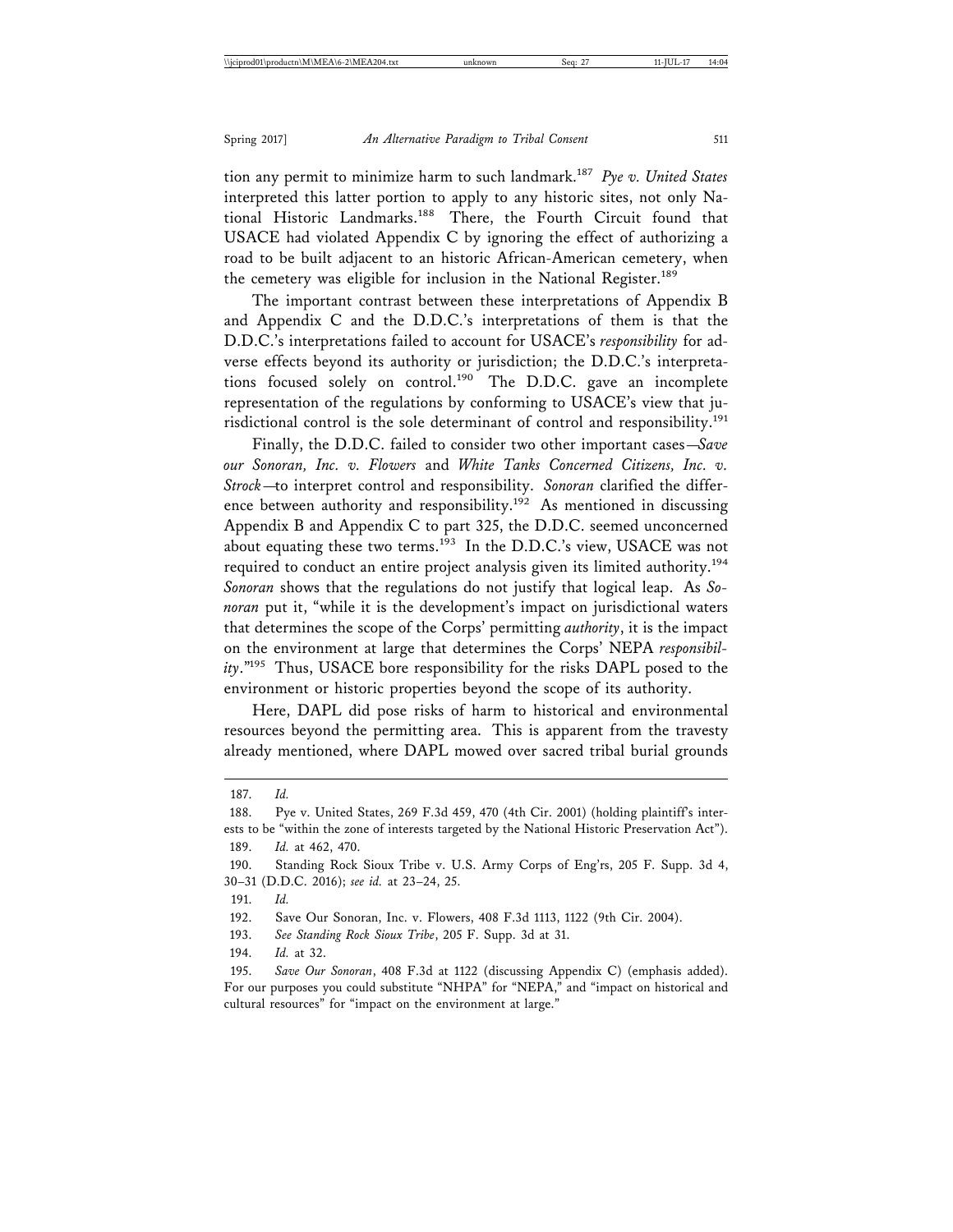tion any permit to minimize harm to such landmark.<sup>187</sup> *Pye v. United States* interpreted this latter portion to apply to any historic sites, not only National Historic Landmarks.188 There, the Fourth Circuit found that USACE had violated Appendix C by ignoring the effect of authorizing a road to be built adjacent to an historic African-American cemetery, when the cemetery was eligible for inclusion in the National Register.<sup>189</sup>

The important contrast between these interpretations of Appendix B and Appendix C and the D.D.C.'s interpretations of them is that the D.D.C.'s interpretations failed to account for USACE's *responsibility* for adverse effects beyond its authority or jurisdiction; the D.D.C.'s interpretations focused solely on control.<sup>190</sup> The D.D.C. gave an incomplete representation of the regulations by conforming to USACE's view that jurisdictional control is the sole determinant of control and responsibility.<sup>191</sup>

Finally, the D.D.C. failed to consider two other important cases—*Save our Sonoran, Inc. v. Flowers* and *White Tanks Concerned Citizens, Inc. v. Strock*—to interpret control and responsibility. *Sonoran* clarified the difference between authority and responsibility.<sup>192</sup> As mentioned in discussing Appendix B and Appendix C to part 325, the D.D.C. seemed unconcerned about equating these two terms.<sup>193</sup> In the D.D.C.'s view, USACE was not required to conduct an entire project analysis given its limited authority.<sup>194</sup> *Sonoran* shows that the regulations do not justify that logical leap. As *Sonoran* put it, "while it is the development's impact on jurisdictional waters that determines the scope of the Corps' permitting *authority*, it is the impact on the environment at large that determines the Corps' NEPA *responsibility*."195 Thus, USACE bore responsibility for the risks DAPL posed to the environment or historic properties beyond the scope of its authority.

Here, DAPL did pose risks of harm to historical and environmental resources beyond the permitting area. This is apparent from the travesty already mentioned, where DAPL mowed over sacred tribal burial grounds

- 193. *See Standing Rock Sioux Tribe*, 205 F. Supp. 3d at 31.
- 194. *Id.* at 32.

<sup>187.</sup> *Id.*

<sup>188.</sup> Pye v. United States, 269 F.3d 459, 470 (4th Cir. 2001) (holding plaintiff's interests to be "within the zone of interests targeted by the National Historic Preservation Act").

<sup>189.</sup> *Id.* at 462, 470.

<sup>190.</sup> Standing Rock Sioux Tribe v. U.S. Army Corps of Eng'rs, 205 F. Supp. 3d 4, 30–31 (D.D.C. 2016); *see id.* at 23–24, 25.

<sup>191.</sup> *Id.*

<sup>192.</sup> Save Our Sonoran, Inc. v. Flowers, 408 F.3d 1113, 1122 (9th Cir. 2004).

<sup>195.</sup> *Save Our Sonoran*, 408 F.3d at 1122 (discussing Appendix C) (emphasis added). For our purposes you could substitute "NHPA" for "NEPA," and "impact on historical and cultural resources" for "impact on the environment at large."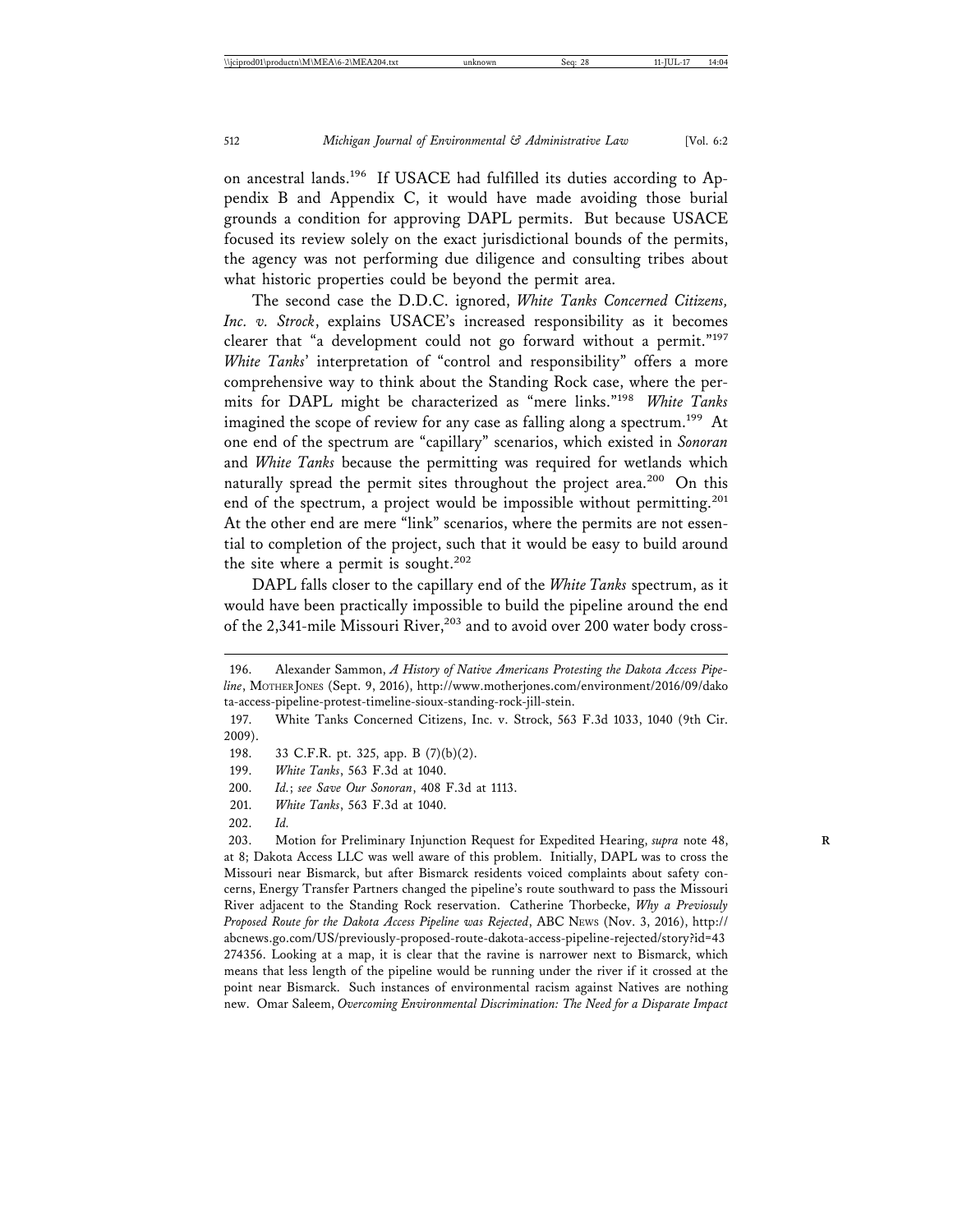on ancestral lands.196 If USACE had fulfilled its duties according to Appendix B and Appendix C, it would have made avoiding those burial grounds a condition for approving DAPL permits. But because USACE focused its review solely on the exact jurisdictional bounds of the permits, the agency was not performing due diligence and consulting tribes about what historic properties could be beyond the permit area.

The second case the D.D.C. ignored, *White Tanks Concerned Citizens, Inc. v. Strock*, explains USACE's increased responsibility as it becomes clearer that "a development could not go forward without a permit."197 *White Tanks*' interpretation of "control and responsibility" offers a more comprehensive way to think about the Standing Rock case, where the permits for DAPL might be characterized as "mere links."<sup>198</sup> *White Tanks* imagined the scope of review for any case as falling along a spectrum.<sup>199</sup> At one end of the spectrum are "capillary" scenarios, which existed in *Sonoran* and *White Tanks* because the permitting was required for wetlands which naturally spread the permit sites throughout the project area.<sup>200</sup> On this end of the spectrum, a project would be impossible without permitting.<sup>201</sup> At the other end are mere "link" scenarios, where the permits are not essential to completion of the project, such that it would be easy to build around the site where a permit is sought.<sup>202</sup>

DAPL falls closer to the capillary end of the *White Tanks* spectrum, as it would have been practically impossible to build the pipeline around the end of the 2,341-mile Missouri River,<sup>203</sup> and to avoid over 200 water body cross-

<sup>196.</sup> Alexander Sammon, *A History of Native Americans Protesting the Dakota Access Pipeline*, MOTHER JONES (Sept. 9, 2016), http://www.motherjones.com/environment/2016/09/dako ta-access-pipeline-protest-timeline-sioux-standing-rock-jill-stein.

<sup>197.</sup> White Tanks Concerned Citizens, Inc. v. Strock, 563 F.3d 1033, 1040 (9th Cir. 2009).

<sup>198. 33</sup> C.F.R. pt. 325, app. B (7)(b)(2).

<sup>199.</sup> *White Tanks*, 563 F.3d at 1040.

<sup>200.</sup> *Id.*; *see Save Our Sonoran*, 408 F.3d at 1113.

<sup>201.</sup> *White Tanks*, 563 F.3d at 1040.

<sup>202.</sup> *Id.*

<sup>203.</sup> Motion for Preliminary Injunction Request for Expedited Hearing, *supra* note 48, at 8; Dakota Access LLC was well aware of this problem. Initially, DAPL was to cross the Missouri near Bismarck, but after Bismarck residents voiced complaints about safety concerns, Energy Transfer Partners changed the pipeline's route southward to pass the Missouri River adjacent to the Standing Rock reservation. Catherine Thorbecke, *Why a Previosuly Proposed Route for the Dakota Access Pipeline was Rejected*, ABC NEWS (Nov. 3, 2016), http:// abcnews.go.com/US/previously-proposed-route-dakota-access-pipeline-rejected/story?id=43 274356. Looking at a map, it is clear that the ravine is narrower next to Bismarck, which means that less length of the pipeline would be running under the river if it crossed at the point near Bismarck. Such instances of environmental racism against Natives are nothing new. Omar Saleem, *Overcoming Environmental Discrimination: The Need for a Disparate Impact*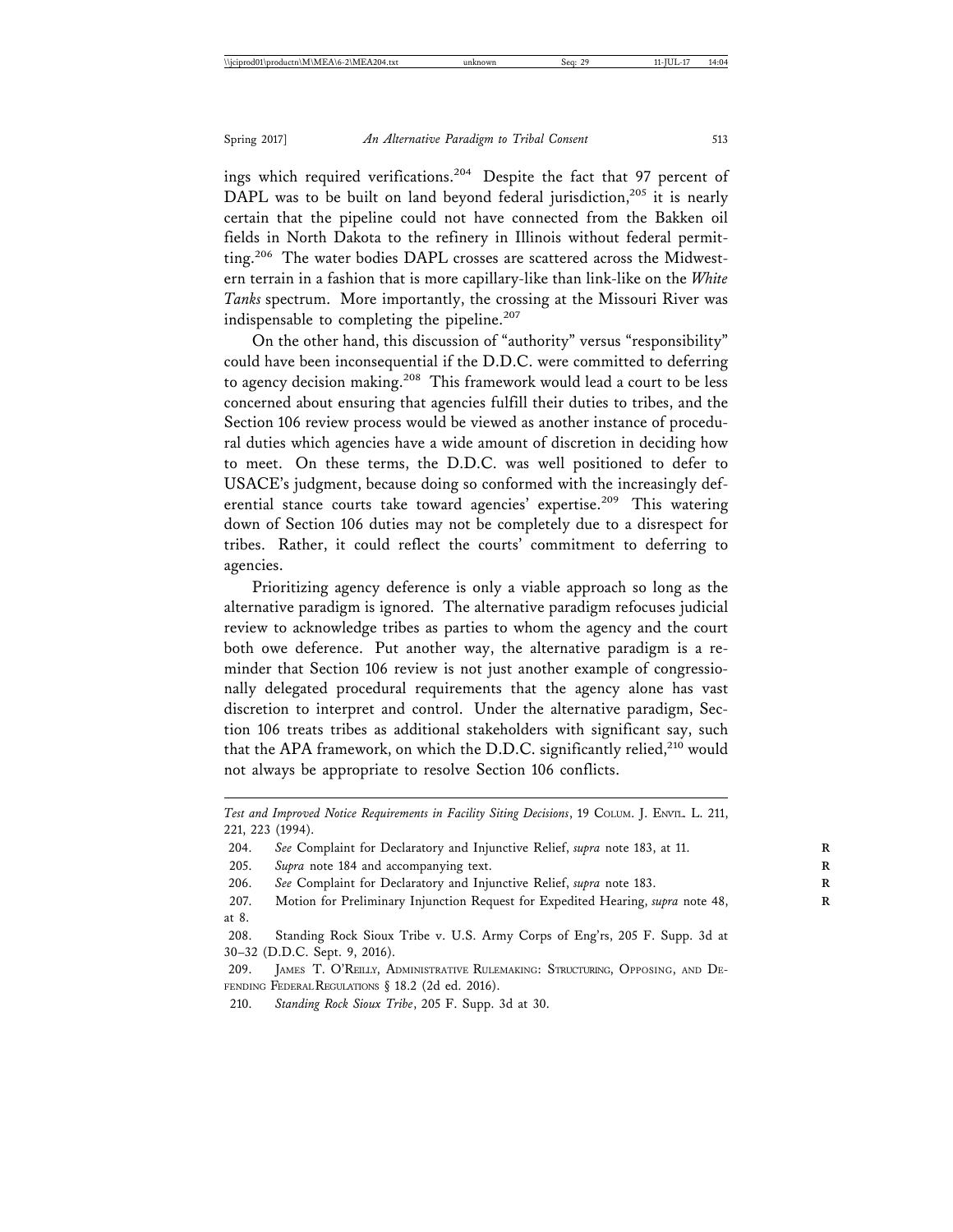ings which required verifications.<sup>204</sup> Despite the fact that 97 percent of DAPL was to be built on land beyond federal jurisdiction,<sup>205</sup> it is nearly certain that the pipeline could not have connected from the Bakken oil fields in North Dakota to the refinery in Illinois without federal permitting.<sup>206</sup> The water bodies DAPL crosses are scattered across the Midwestern terrain in a fashion that is more capillary-like than link-like on the *White Tanks* spectrum. More importantly, the crossing at the Missouri River was indispensable to completing the pipeline.<sup>207</sup>

On the other hand, this discussion of "authority" versus "responsibility" could have been inconsequential if the D.D.C. were committed to deferring to agency decision making.<sup>208</sup> This framework would lead a court to be less concerned about ensuring that agencies fulfill their duties to tribes, and the Section 106 review process would be viewed as another instance of procedural duties which agencies have a wide amount of discretion in deciding how to meet. On these terms, the D.D.C. was well positioned to defer to USACE's judgment, because doing so conformed with the increasingly deferential stance courts take toward agencies' expertise.<sup>209</sup> This watering down of Section 106 duties may not be completely due to a disrespect for tribes. Rather, it could reflect the courts' commitment to deferring to agencies.

Prioritizing agency deference is only a viable approach so long as the alternative paradigm is ignored. The alternative paradigm refocuses judicial review to acknowledge tribes as parties to whom the agency and the court both owe deference. Put another way, the alternative paradigm is a reminder that Section 106 review is not just another example of congressionally delegated procedural requirements that the agency alone has vast discretion to interpret and control. Under the alternative paradigm, Section 106 treats tribes as additional stakeholders with significant say, such that the APA framework, on which the D.D.C. significantly relied,<sup>210</sup> would not always be appropriate to resolve Section 106 conflicts.

205. Supra note 184 and accompanying text.

207. Motion for Preliminary Injunction Request for Expedited Hearing, *supra* note 48, at 8.

210. *Standing Rock Sioux Tribe*, 205 F. Supp. 3d at 30.

*Test and Improved Notice Requirements in Facility Siting Decisions*, 19 COLUM. J. ENVTL. L. 211, 221, 223 (1994).

<sup>204.</sup> See Complaint for Declaratory and Injunctive Relief, *supra* note 183, at 11.

<sup>206.</sup> See Complaint for Declaratory and Injunctive Relief, *supra* note 183.

<sup>208.</sup> Standing Rock Sioux Tribe v. U.S. Army Corps of Eng'rs, 205 F. Supp. 3d at 30–32 (D.D.C. Sept. 9, 2016).

<sup>209.</sup> JAMES T. O'REILLY, ADMINISTRATIVE RULEMAKING: STRUCTURING, OPPOSING, AND DE-FENDING FEDERAL REGULATIONS § 18.2 (2d ed. 2016).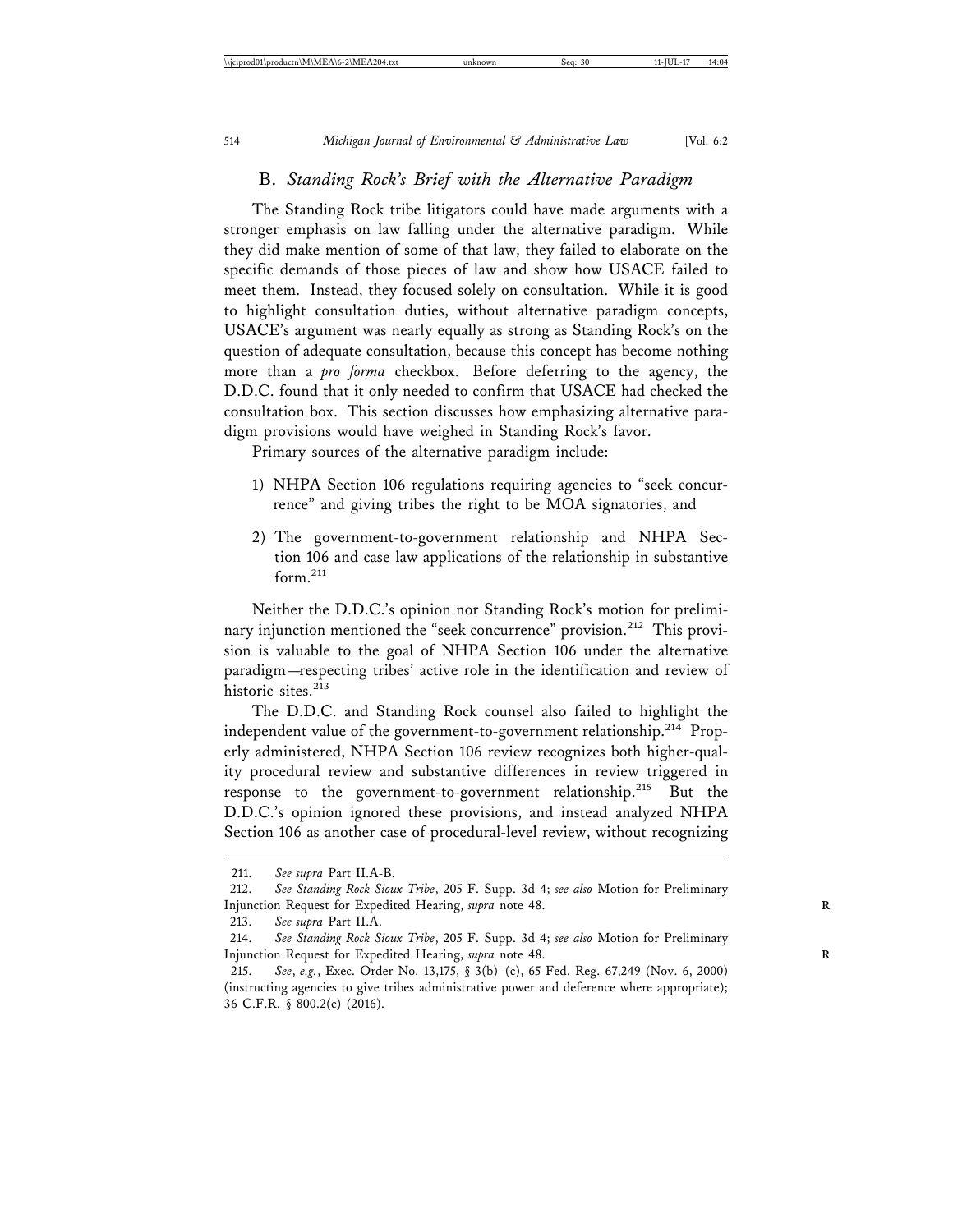### B. *Standing Rock's Brief with the Alternative Paradigm*

The Standing Rock tribe litigators could have made arguments with a stronger emphasis on law falling under the alternative paradigm. While they did make mention of some of that law, they failed to elaborate on the specific demands of those pieces of law and show how USACE failed to meet them. Instead, they focused solely on consultation. While it is good to highlight consultation duties, without alternative paradigm concepts, USACE's argument was nearly equally as strong as Standing Rock's on the question of adequate consultation, because this concept has become nothing more than a *pro forma* checkbox. Before deferring to the agency, the D.D.C. found that it only needed to confirm that USACE had checked the consultation box. This section discusses how emphasizing alternative paradigm provisions would have weighed in Standing Rock's favor.

Primary sources of the alternative paradigm include:

- 1) NHPA Section 106 regulations requiring agencies to "seek concurrence" and giving tribes the right to be MOA signatories, and
- 2) The government-to-government relationship and NHPA Section 106 and case law applications of the relationship in substantive form.<sup>211</sup>

Neither the D.D.C.'s opinion nor Standing Rock's motion for preliminary injunction mentioned the "seek concurrence" provision.<sup>212</sup> This provision is valuable to the goal of NHPA Section 106 under the alternative paradigm—respecting tribes' active role in the identification and review of historic sites.<sup>213</sup>

The D.D.C. and Standing Rock counsel also failed to highlight the independent value of the government-to-government relationship.<sup>214</sup> Properly administered, NHPA Section 106 review recognizes both higher-quality procedural review and substantive differences in review triggered in response to the government-to-government relationship.215 But the D.D.C.'s opinion ignored these provisions, and instead analyzed NHPA Section 106 as another case of procedural-level review, without recognizing

<sup>211.</sup> *See supra* Part II.A-B.

<sup>212.</sup> *See Standing Rock Sioux Tribe*, 205 F. Supp. 3d 4; *see also* Motion for Preliminary Injunction Request for Expedited Hearing, *supra* note 48. **R**

<sup>213.</sup> *See supra* Part II.A.

<sup>214.</sup> *See Standing Rock Sioux Tribe*, 205 F. Supp. 3d 4; *see also* Motion for Preliminary Injunction Request for Expedited Hearing, *supra* note 48. **R**

<sup>215.</sup> *See*, *e.g.*, Exec. Order No. 13,175, § 3(b)–(c), 65 Fed. Reg. 67,249 (Nov. 6, 2000) (instructing agencies to give tribes administrative power and deference where appropriate); 36 C.F.R. § 800.2(c) (2016).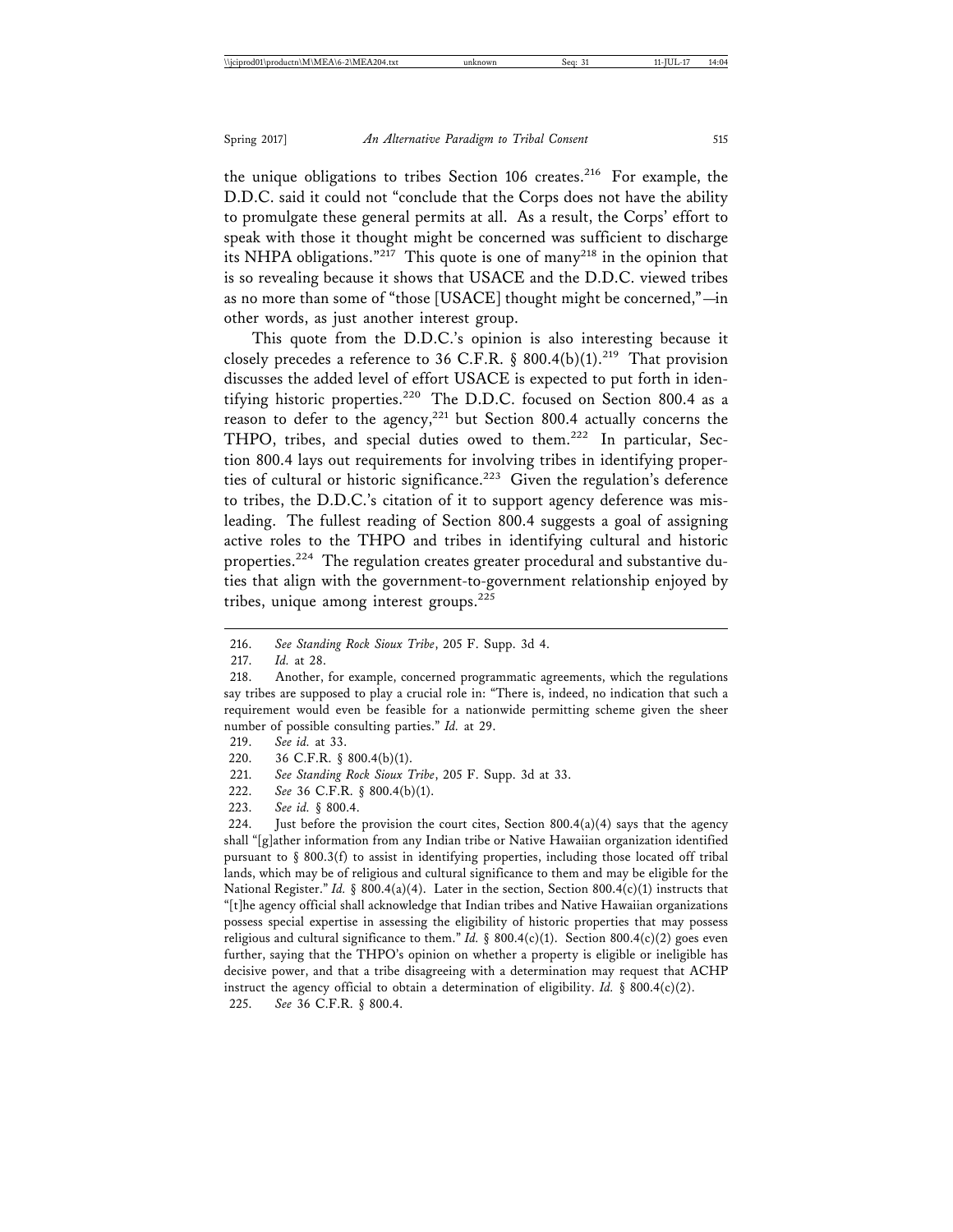the unique obligations to tribes Section 106 creates.<sup>216</sup> For example, the D.D.C. said it could not "conclude that the Corps does not have the ability to promulgate these general permits at all. As a result, the Corps' effort to speak with those it thought might be concerned was sufficient to discharge its NHPA obligations."<sup>217</sup> This quote is one of many<sup>218</sup> in the opinion that is so revealing because it shows that USACE and the D.D.C. viewed tribes as no more than some of "those [USACE] thought might be concerned,"—in other words, as just another interest group.

This quote from the D.D.C.'s opinion is also interesting because it closely precedes a reference to 36 C.F.R. § 800.4(b)(1).<sup>219</sup> That provision discusses the added level of effort USACE is expected to put forth in identifying historic properties.<sup>220</sup> The D.D.C. focused on Section 800.4 as a reason to defer to the agency,<sup>221</sup> but Section 800.4 actually concerns the THPO, tribes, and special duties owed to them.<sup>222</sup> In particular, Section 800.4 lays out requirements for involving tribes in identifying properties of cultural or historic significance.<sup>223</sup> Given the regulation's deference to tribes, the D.D.C.'s citation of it to support agency deference was misleading. The fullest reading of Section 800.4 suggests a goal of assigning active roles to the THPO and tribes in identifying cultural and historic properties.224 The regulation creates greater procedural and substantive duties that align with the government-to-government relationship enjoyed by tribes, unique among interest groups. $225$ 

219. *See id.* at 33.

- 221. *See Standing Rock Sioux Tribe*, 205 F. Supp. 3d at 33.
- 222. *See* 36 C.F.R. § 800.4(b)(1).
- 223. *See id.* § 800.4.

224. Just before the provision the court cites, Section  $800.4(a)(4)$  says that the agency shall "[g]ather information from any Indian tribe or Native Hawaiian organization identified pursuant to  $\S$  800.3(f) to assist in identifying properties, including those located off tribal lands, which may be of religious and cultural significance to them and may be eligible for the National Register." *Id.* § 800.4(a)(4). Later in the section, Section 800.4(c)(1) instructs that "[t]he agency official shall acknowledge that Indian tribes and Native Hawaiian organizations possess special expertise in assessing the eligibility of historic properties that may possess religious and cultural significance to them." *Id.* § 800.4(c)(1). Section 800.4(c)(2) goes even further, saying that the THPO's opinion on whether a property is eligible or ineligible has decisive power, and that a tribe disagreeing with a determination may request that ACHP instruct the agency official to obtain a determination of eligibility. *Id.* § 800.4(c)(2). 225. *See* 36 C.F.R. § 800.4.

<sup>216.</sup> *See Standing Rock Sioux Tribe*, 205 F. Supp. 3d 4.

<sup>217.</sup> *Id.* at 28.

<sup>218.</sup> Another, for example, concerned programmatic agreements, which the regulations say tribes are supposed to play a crucial role in: "There is, indeed, no indication that such a requirement would even be feasible for a nationwide permitting scheme given the sheer number of possible consulting parties." *Id.* at 29.

<sup>220. 36</sup> C.F.R. § 800.4(b)(1).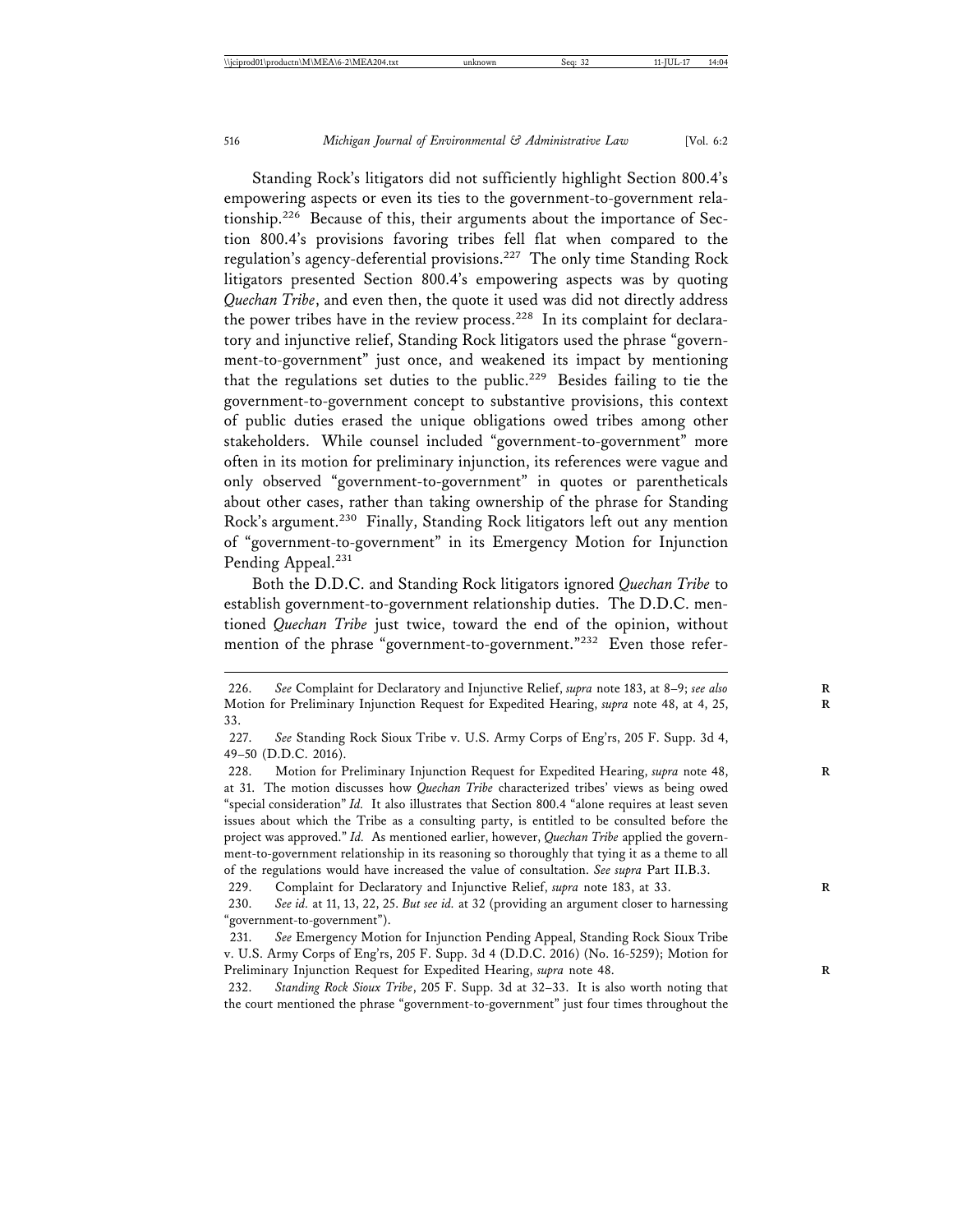Standing Rock's litigators did not sufficiently highlight Section 800.4's empowering aspects or even its ties to the government-to-government relationship.226 Because of this, their arguments about the importance of Section 800.4's provisions favoring tribes fell flat when compared to the regulation's agency-deferential provisions.227 The only time Standing Rock litigators presented Section 800.4's empowering aspects was by quoting *Quechan Tribe*, and even then, the quote it used was did not directly address the power tribes have in the review process.<sup>228</sup> In its complaint for declaratory and injunctive relief, Standing Rock litigators used the phrase "government-to-government" just once, and weakened its impact by mentioning that the regulations set duties to the public.<sup>229</sup> Besides failing to tie the government-to-government concept to substantive provisions, this context of public duties erased the unique obligations owed tribes among other stakeholders. While counsel included "government-to-government" more often in its motion for preliminary injunction, its references were vague and only observed "government-to-government" in quotes or parentheticals about other cases, rather than taking ownership of the phrase for Standing Rock's argument.<sup>230</sup> Finally, Standing Rock litigators left out any mention of "government-to-government" in its Emergency Motion for Injunction Pending Appeal.<sup>231</sup>

Both the D.D.C. and Standing Rock litigators ignored *Quechan Tribe* to establish government-to-government relationship duties. The D.D.C. mentioned *Quechan Tribe* just twice, toward the end of the opinion, without mention of the phrase "government-to-government."<sup>232</sup> Even those refer-

229. Complaint for Declaratory and Injunctive Relief, *supra* note 183, at 33.

232. *Standing Rock Sioux Tribe*, 205 F. Supp. 3d at 32–33. It is also worth noting that the court mentioned the phrase "government-to-government" just four times throughout the

<sup>226.</sup> See Complaint for Declaratory and Injunctive Relief, *supra* note 183, at 8-9; *see also* Motion for Preliminary Injunction Request for Expedited Hearing, *supra* note 48, at 4, 25, **R** 33.

<sup>227.</sup> *See* Standing Rock Sioux Tribe v. U.S. Army Corps of Eng'rs, 205 F. Supp. 3d 4, 49–50 (D.D.C. 2016).

<sup>228.</sup> Motion for Preliminary Injunction Request for Expedited Hearing, *supra* note 48, at 31. The motion discusses how *Quechan Tribe* characterized tribes' views as being owed "special consideration" *Id.* It also illustrates that Section 800.4 "alone requires at least seven issues about which the Tribe as a consulting party, is entitled to be consulted before the project was approved." *Id.* As mentioned earlier, however, *Quechan Tribe* applied the government-to-government relationship in its reasoning so thoroughly that tying it as a theme to all of the regulations would have increased the value of consultation. *See supra* Part II.B.3.

<sup>230.</sup> *See id.* at 11, 13, 22, 25. *But see id.* at 32 (providing an argument closer to harnessing "government-to-government").

<sup>231.</sup> *See* Emergency Motion for Injunction Pending Appeal, Standing Rock Sioux Tribe v. U.S. Army Corps of Eng'rs, 205 F. Supp. 3d 4 (D.D.C. 2016) (No. 16-5259); Motion for Preliminary Injunction Request for Expedited Hearing, *supra* note 48.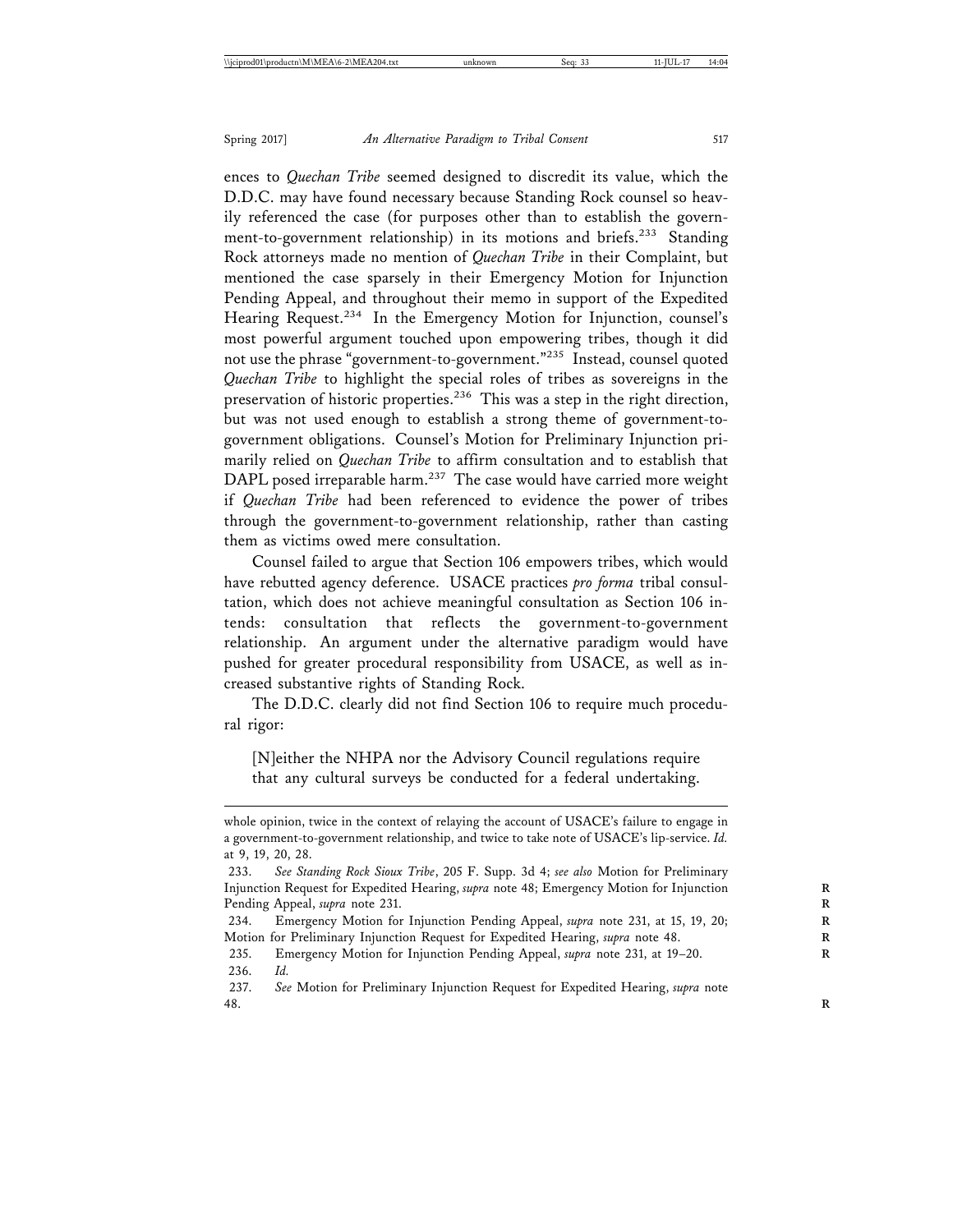ences to *Quechan Tribe* seemed designed to discredit its value, which the D.D.C. may have found necessary because Standing Rock counsel so heavily referenced the case (for purposes other than to establish the government-to-government relationship) in its motions and briefs.<sup>233</sup> Standing Rock attorneys made no mention of *Quechan Tribe* in their Complaint, but mentioned the case sparsely in their Emergency Motion for Injunction Pending Appeal, and throughout their memo in support of the Expedited Hearing Request.<sup>234</sup> In the Emergency Motion for Injunction, counsel's most powerful argument touched upon empowering tribes, though it did not use the phrase "government-to-government."235 Instead, counsel quoted *Quechan Tribe* to highlight the special roles of tribes as sovereigns in the preservation of historic properties.<sup>236</sup> This was a step in the right direction, but was not used enough to establish a strong theme of government-togovernment obligations. Counsel's Motion for Preliminary Injunction primarily relied on *Quechan Tribe* to affirm consultation and to establish that DAPL posed irreparable harm.<sup>237</sup> The case would have carried more weight if *Quechan Tribe* had been referenced to evidence the power of tribes through the government-to-government relationship, rather than casting them as victims owed mere consultation.

Counsel failed to argue that Section 106 empowers tribes, which would have rebutted agency deference. USACE practices *pro forma* tribal consultation, which does not achieve meaningful consultation as Section 106 intends: consultation that reflects the government-to-government relationship. An argument under the alternative paradigm would have pushed for greater procedural responsibility from USACE, as well as increased substantive rights of Standing Rock.

The D.D.C. clearly did not find Section 106 to require much procedural rigor:

[N]either the NHPA nor the Advisory Council regulations require that any cultural surveys be conducted for a federal undertaking.

whole opinion, twice in the context of relaying the account of USACE's failure to engage in a government-to-government relationship, and twice to take note of USACE's lip-service. *Id.* at 9, 19, 20, 28.

<sup>233.</sup> *See Standing Rock Sioux Tribe*, 205 F. Supp. 3d 4; *see also* Motion for Preliminary Injunction Request for Expedited Hearing, *supra* note 48; Emergency Motion for Injunction **R** Pending Appeal, *supra* note 231. **R**

<sup>234.</sup> Emergency Motion for Injunction Pending Appeal, *supra* note 231, at 15, 19, 20; Motion for Preliminary Injunction Request for Expedited Hearing, *supra* note 48.

<sup>235.</sup> Emergency Motion for Injunction Pending Appeal, *supra* note 231, at 19–20. **R** 236. *Id.*

<sup>237.</sup> *See* Motion for Preliminary Injunction Request for Expedited Hearing, *supra* note 48. **R**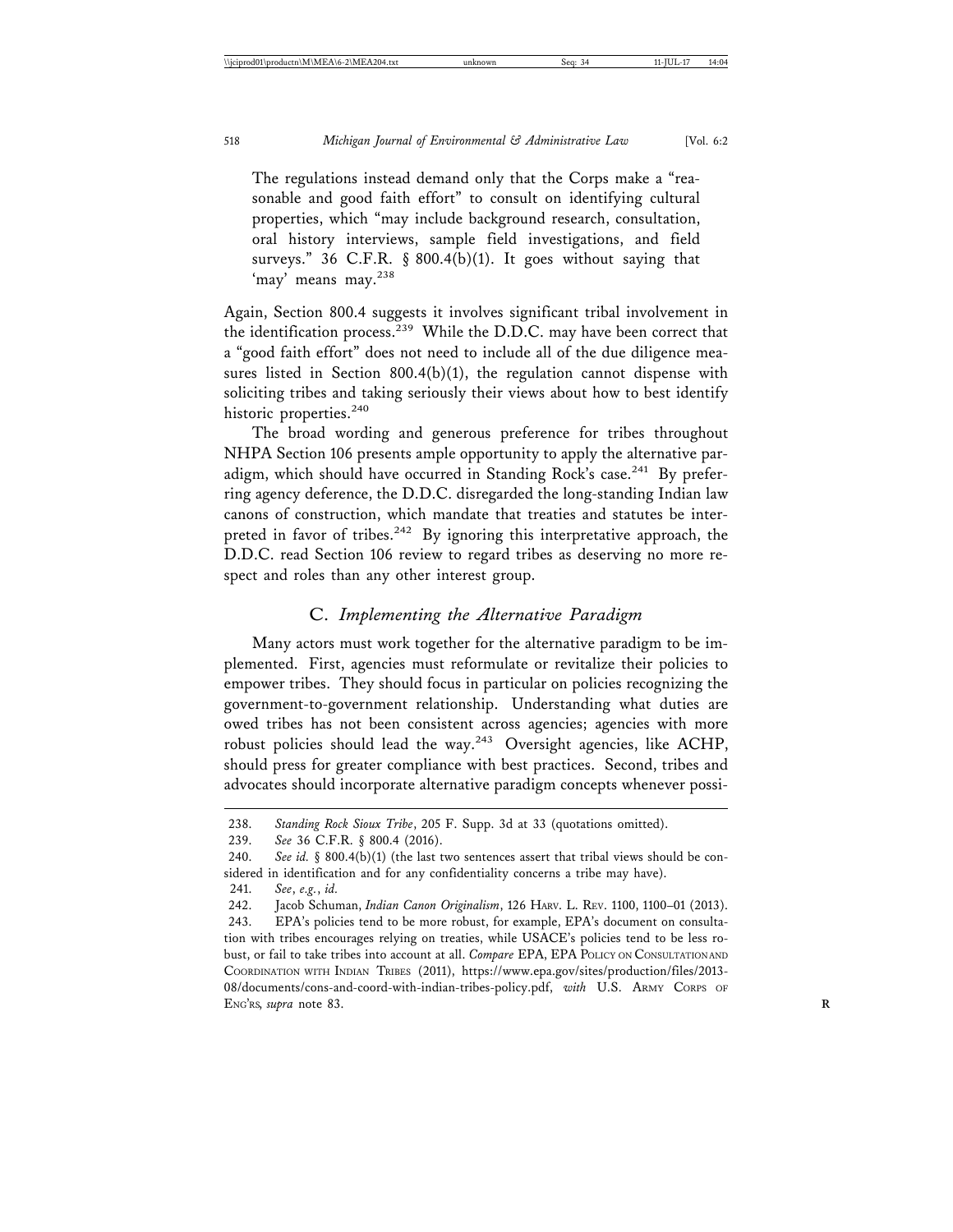The regulations instead demand only that the Corps make a "reasonable and good faith effort" to consult on identifying cultural properties, which "may include background research, consultation, oral history interviews, sample field investigations, and field surveys." 36 C.F.R. § 800.4(b)(1). It goes without saying that 'may' means may.<sup>238</sup>

Again, Section 800.4 suggests it involves significant tribal involvement in the identification process.<sup>239</sup> While the D.D.C. may have been correct that a "good faith effort" does not need to include all of the due diligence measures listed in Section 800.4(b)(1), the regulation cannot dispense with soliciting tribes and taking seriously their views about how to best identify historic properties.<sup>240</sup>

The broad wording and generous preference for tribes throughout NHPA Section 106 presents ample opportunity to apply the alternative paradigm, which should have occurred in Standing Rock's case.<sup>241</sup> By preferring agency deference, the D.D.C. disregarded the long-standing Indian law canons of construction, which mandate that treaties and statutes be interpreted in favor of tribes.<sup>242</sup> By ignoring this interpretative approach, the D.D.C. read Section 106 review to regard tribes as deserving no more respect and roles than any other interest group.

## C. *Implementing the Alternative Paradigm*

Many actors must work together for the alternative paradigm to be implemented. First, agencies must reformulate or revitalize their policies to empower tribes. They should focus in particular on policies recognizing the government-to-government relationship. Understanding what duties are owed tribes has not been consistent across agencies; agencies with more robust policies should lead the way.<sup>243</sup> Oversight agencies, like ACHP, should press for greater compliance with best practices. Second, tribes and advocates should incorporate alternative paradigm concepts whenever possi-

<sup>238.</sup> *Standing Rock Sioux Tribe*, 205 F. Supp. 3d at 33 (quotations omitted).

<sup>239.</sup> *See* 36 C.F.R. § 800.4 (2016).

<sup>240.</sup> *See id.* § 800.4(b)(1) (the last two sentences assert that tribal views should be considered in identification and for any confidentiality concerns a tribe may have).

<sup>241.</sup> *See*, *e.g.*, *id.*

<sup>242.</sup> Jacob Schuman, *Indian Canon Originalism*, 126 HARV. L. REV. 1100, 1100–01 (2013).

<sup>243.</sup> EPA's policies tend to be more robust, for example, EPA's document on consultation with tribes encourages relying on treaties, while USACE's policies tend to be less robust, or fail to take tribes into account at all. *Compare* EPA, EPA POLICY ON CONSULTATION AND COORDINATION WITH INDIAN TRIBES (2011), https://www.epa.gov/sites/production/files/2013- 08/documents/cons-and-coord-with-indian-tribes-policy.pdf, *with* U.S. ARMY CORPS OF ENG'RS, *supra* note 83. **R**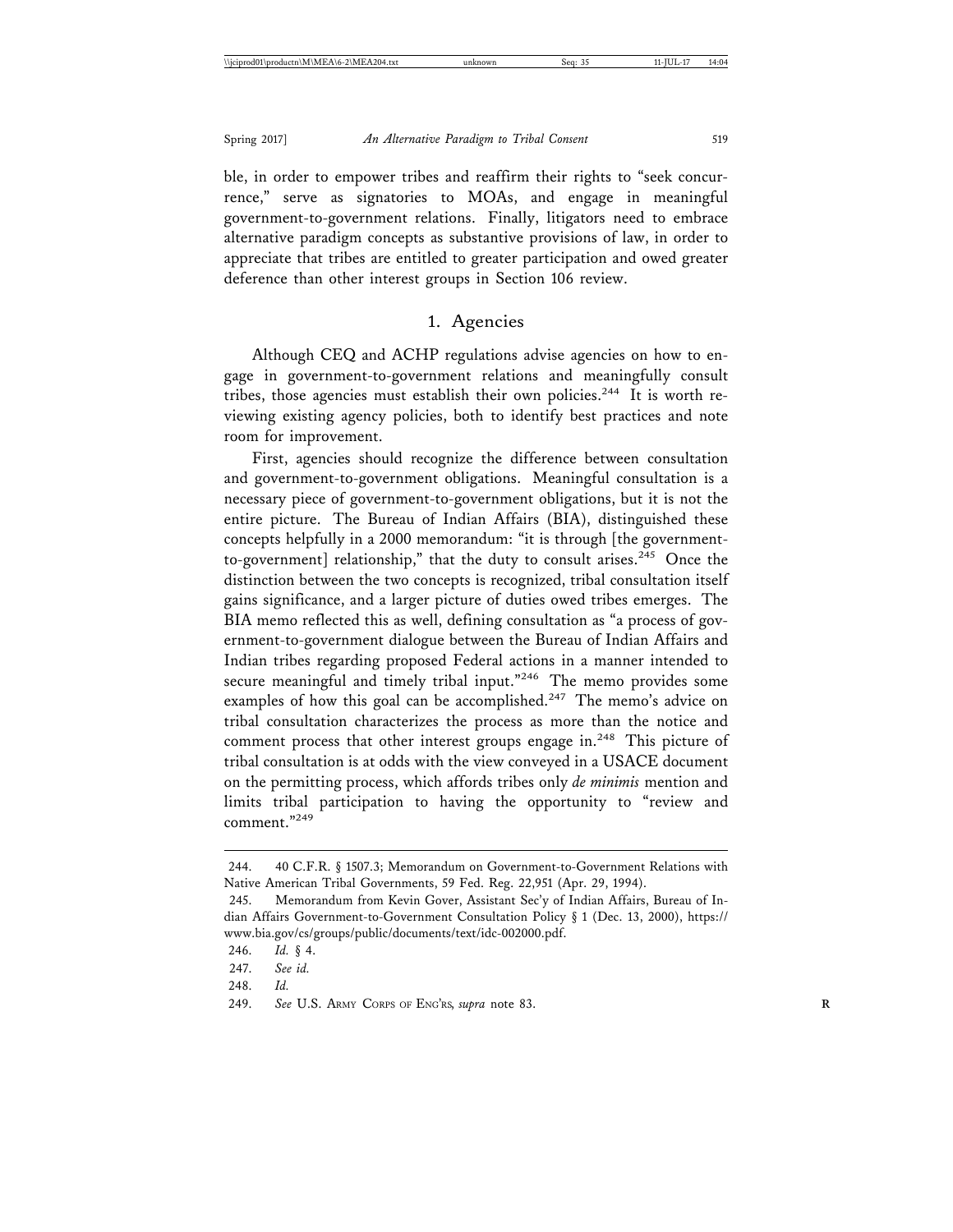ble, in order to empower tribes and reaffirm their rights to "seek concurrence," serve as signatories to MOAs, and engage in meaningful government-to-government relations. Finally, litigators need to embrace alternative paradigm concepts as substantive provisions of law, in order to appreciate that tribes are entitled to greater participation and owed greater deference than other interest groups in Section 106 review.

## 1. Agencies

Although CEQ and ACHP regulations advise agencies on how to engage in government-to-government relations and meaningfully consult tribes, those agencies must establish their own policies.<sup>244</sup> It is worth reviewing existing agency policies, both to identify best practices and note room for improvement.

First, agencies should recognize the difference between consultation and government-to-government obligations. Meaningful consultation is a necessary piece of government-to-government obligations, but it is not the entire picture. The Bureau of Indian Affairs (BIA), distinguished these concepts helpfully in a 2000 memorandum: "it is through [the governmentto-government] relationship," that the duty to consult arises. $245$  Once the distinction between the two concepts is recognized, tribal consultation itself gains significance, and a larger picture of duties owed tribes emerges. The BIA memo reflected this as well, defining consultation as "a process of government-to-government dialogue between the Bureau of Indian Affairs and Indian tribes regarding proposed Federal actions in a manner intended to secure meaningful and timely tribal input."<sup>246</sup> The memo provides some examples of how this goal can be accomplished.<sup>247</sup> The memo's advice on tribal consultation characterizes the process as more than the notice and comment process that other interest groups engage in.<sup>248</sup> This picture of tribal consultation is at odds with the view conveyed in a USACE document on the permitting process, which affords tribes only *de minimis* mention and limits tribal participation to having the opportunity to "review and comment."249

<sup>244. 40</sup> C.F.R. § 1507.3; Memorandum on Government-to-Government Relations with Native American Tribal Governments, 59 Fed. Reg. 22,951 (Apr. 29, 1994).

<sup>245.</sup> Memorandum from Kevin Gover, Assistant Sec'y of Indian Affairs, Bureau of Indian Affairs Government-to-Government Consultation Policy § 1 (Dec. 13, 2000), https:// www.bia.gov/cs/groups/public/documents/text/idc-002000.pdf.

<sup>246.</sup> *Id.* § 4.

<sup>247.</sup> *See id.*

<sup>248.</sup> *Id.*

<sup>249.</sup> *See* U.S. ARMY CORPS OF ENG'RS, *supra* note 83. **R**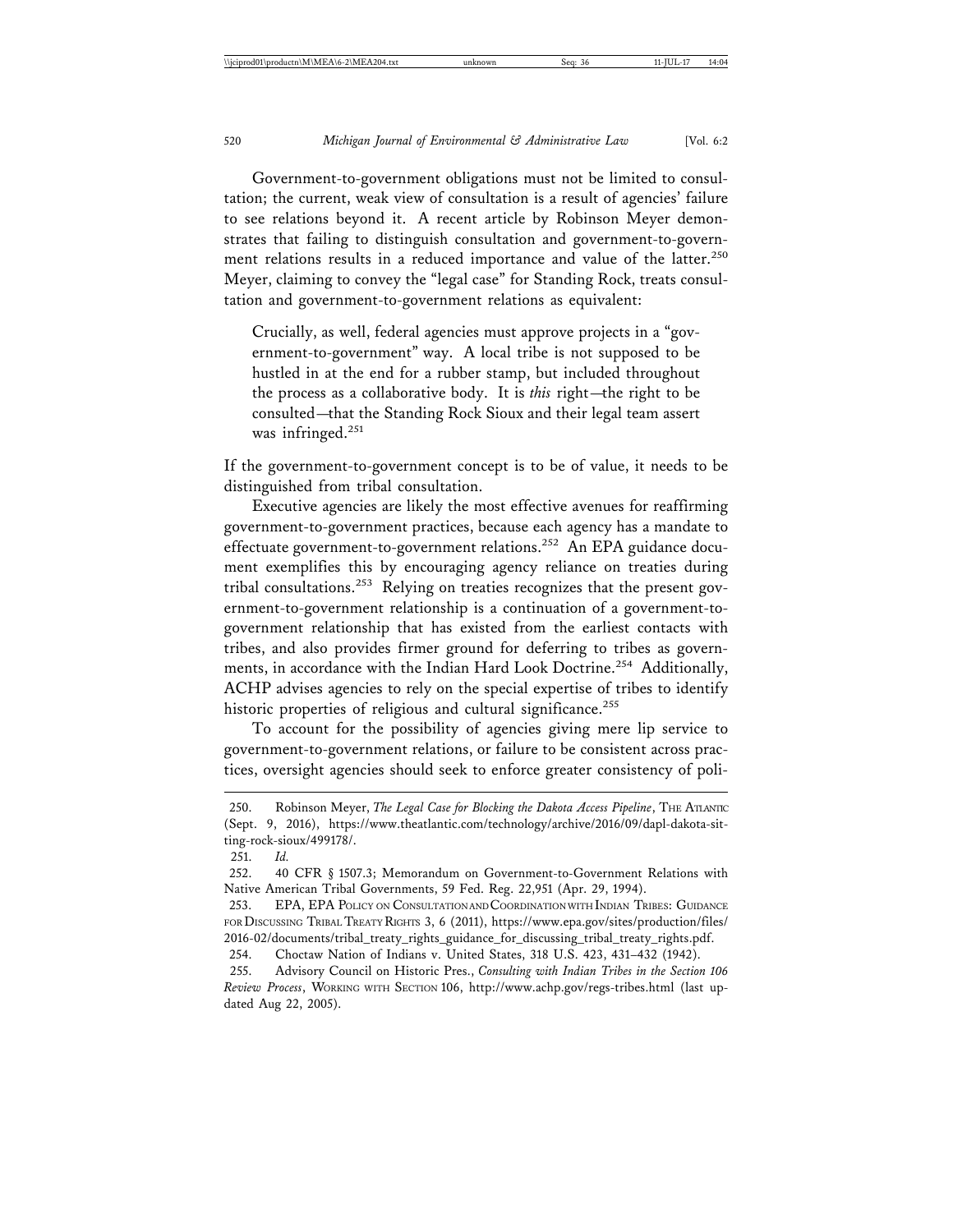Government-to-government obligations must not be limited to consultation; the current, weak view of consultation is a result of agencies' failure to see relations beyond it. A recent article by Robinson Meyer demonstrates that failing to distinguish consultation and government-to-government relations results in a reduced importance and value of the latter.<sup>250</sup> Meyer, claiming to convey the "legal case" for Standing Rock, treats consultation and government-to-government relations as equivalent:

Crucially, as well, federal agencies must approve projects in a "government-to-government" way. A local tribe is not supposed to be hustled in at the end for a rubber stamp, but included throughout the process as a collaborative body. It is *this* right—the right to be consulted—that the Standing Rock Sioux and their legal team assert was infringed.<sup>251</sup>

If the government-to-government concept is to be of value, it needs to be distinguished from tribal consultation.

Executive agencies are likely the most effective avenues for reaffirming government-to-government practices, because each agency has a mandate to effectuate government-to-government relations.<sup>252</sup> An EPA guidance document exemplifies this by encouraging agency reliance on treaties during tribal consultations.253 Relying on treaties recognizes that the present government-to-government relationship is a continuation of a government-togovernment relationship that has existed from the earliest contacts with tribes, and also provides firmer ground for deferring to tribes as governments, in accordance with the Indian Hard Look Doctrine.<sup>254</sup> Additionally, ACHP advises agencies to rely on the special expertise of tribes to identify historic properties of religious and cultural significance.<sup>255</sup>

To account for the possibility of agencies giving mere lip service to government-to-government relations, or failure to be consistent across practices, oversight agencies should seek to enforce greater consistency of poli-

<sup>250.</sup> Robinson Meyer, *The Legal Case for Blocking the Dakota Access Pipeline*, THE ATLANTIC (Sept. 9, 2016), https://www.theatlantic.com/technology/archive/2016/09/dapl-dakota-sitting-rock-sioux/499178/.

<sup>251.</sup> *Id.*

<sup>252. 40</sup> CFR § 1507.3; Memorandum on Government-to-Government Relations with Native American Tribal Governments, 59 Fed. Reg. 22,951 (Apr. 29, 1994).

<sup>253.</sup> EPA, EPA POLICY ON CONSULTATION AND COORDINATION WITH INDIAN TRIBES: GUIDANCE FOR DISCUSSING TRIBAL TREATY RIGHTS 3, 6 (2011), https://www.epa.gov/sites/production/files/ 2016-02/documents/tribal\_treaty\_rights\_guidance\_for\_discussing\_tribal\_treaty\_rights.pdf.

<sup>254.</sup> Choctaw Nation of Indians v. United States, 318 U.S. 423, 431–432 (1942).

<sup>255.</sup> Advisory Council on Historic Pres., *Consulting with Indian Tribes in the Section 106 Review Process*, WORKING WITH SECTION 106, http://www.achp.gov/regs-tribes.html (last updated Aug 22, 2005).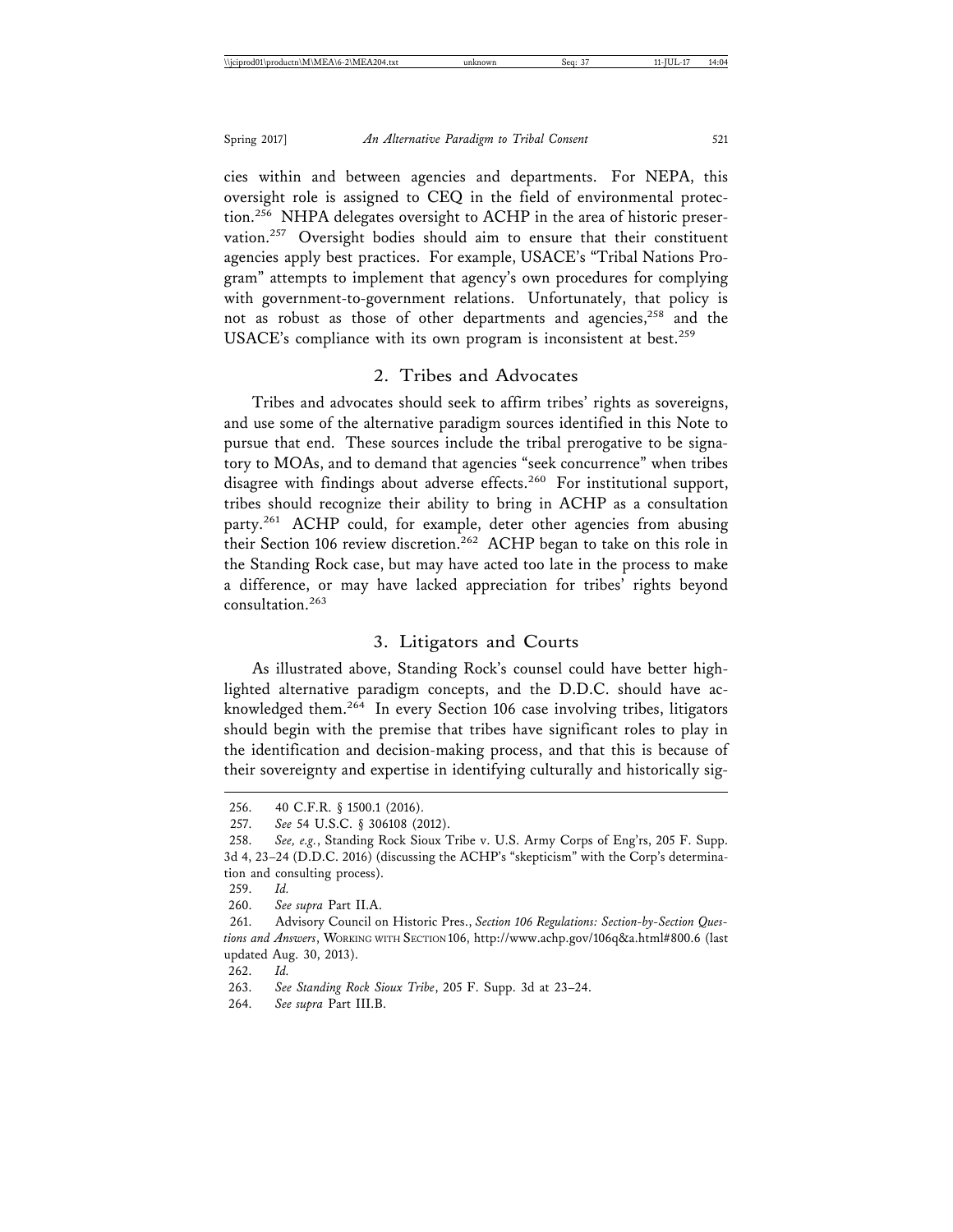cies within and between agencies and departments. For NEPA, this oversight role is assigned to CEQ in the field of environmental protection.<sup>256</sup> NHPA delegates oversight to ACHP in the area of historic preservation.<sup>257</sup> Oversight bodies should aim to ensure that their constituent agencies apply best practices. For example, USACE's "Tribal Nations Program" attempts to implement that agency's own procedures for complying with government-to-government relations. Unfortunately, that policy is not as robust as those of other departments and agencies,<sup>258</sup> and the USACE's compliance with its own program is inconsistent at best.<sup>259</sup>

#### 2. Tribes and Advocates

Tribes and advocates should seek to affirm tribes' rights as sovereigns, and use some of the alternative paradigm sources identified in this Note to pursue that end. These sources include the tribal prerogative to be signatory to MOAs, and to demand that agencies "seek concurrence" when tribes disagree with findings about adverse effects.<sup>260</sup> For institutional support, tribes should recognize their ability to bring in ACHP as a consultation party.<sup>261</sup> ACHP could, for example, deter other agencies from abusing their Section 106 review discretion.<sup>262</sup> ACHP began to take on this role in the Standing Rock case, but may have acted too late in the process to make a difference, or may have lacked appreciation for tribes' rights beyond consultation.263

## 3. Litigators and Courts

As illustrated above, Standing Rock's counsel could have better highlighted alternative paradigm concepts, and the D.D.C. should have acknowledged them.264 In every Section 106 case involving tribes, litigators should begin with the premise that tribes have significant roles to play in the identification and decision-making process, and that this is because of their sovereignty and expertise in identifying culturally and historically sig-

260. *See supra* Part II.A.

262. *Id.*

<sup>256. 40</sup> C.F.R. § 1500.1 (2016).

<sup>257.</sup> *See* 54 U.S.C. § 306108 (2012).

<sup>258.</sup> *See, e.g.*, Standing Rock Sioux Tribe v. U.S. Army Corps of Eng'rs, 205 F. Supp. 3d 4, 23–24 (D.D.C. 2016) (discussing the ACHP's "skepticism" with the Corp's determination and consulting process).

<sup>259.</sup> *Id.*

<sup>261.</sup> Advisory Council on Historic Pres., *Section 106 Regulations: Section-by-Section Questions and Answers*, WORKING WITH SECTION 106, http://www.achp.gov/106q&a.html#800.6 (last updated Aug. 30, 2013).

<sup>263.</sup> *See Standing Rock Sioux Tribe*, 205 F. Supp. 3d at 23–24.

<sup>264.</sup> *See supra* Part III.B.